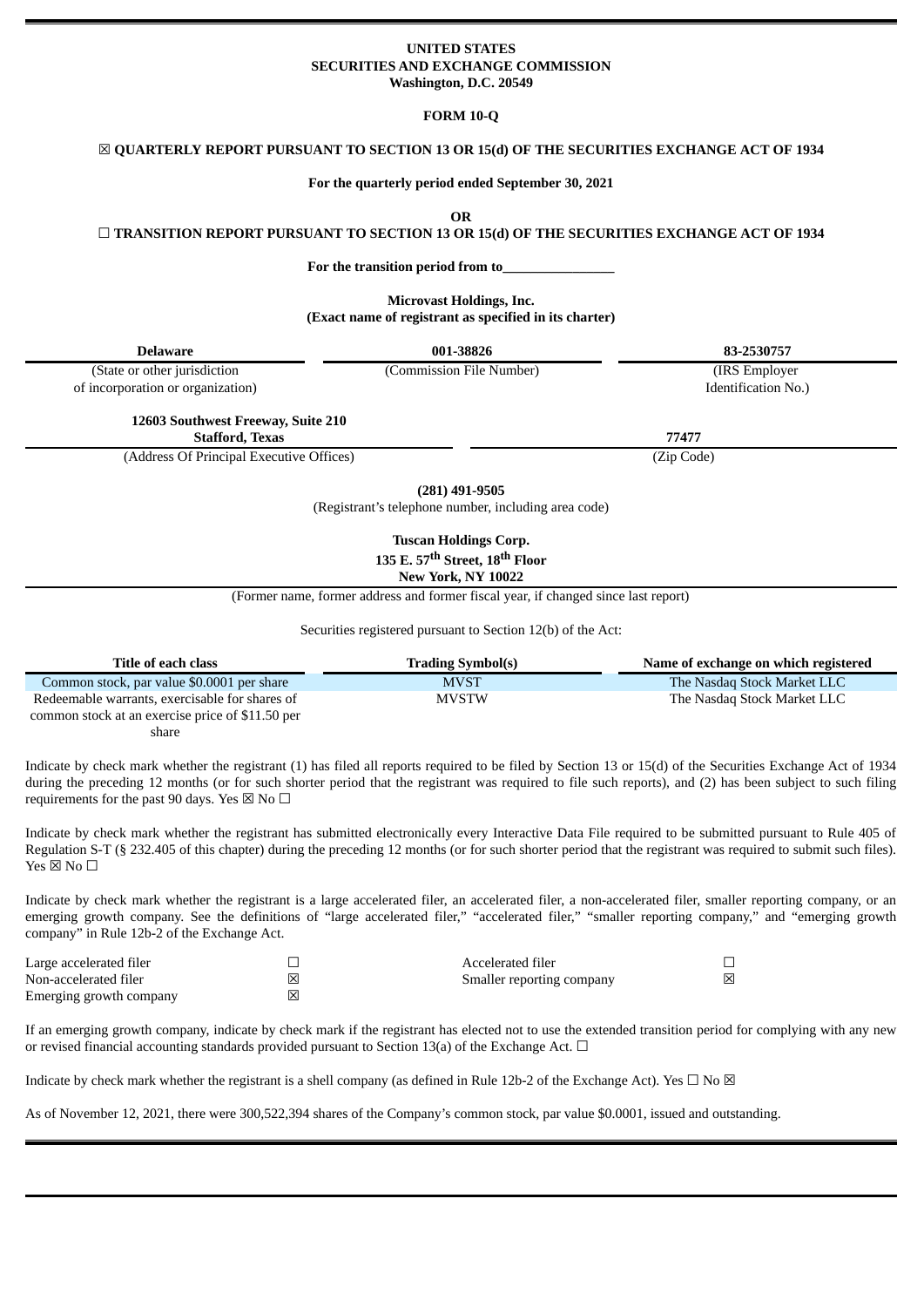#### **UNITED STATES SECURITIES AND EXCHANGE COMMISSION Washington, D.C. 20549**

**FORM 10-Q**

### ☒ **QUARTERLY REPORT PURSUANT TO SECTION 13 OR 15(d) OF THE SECURITIES EXCHANGE ACT OF 1934**

**For the quarterly period ended September 30, 2021**

**OR**

☐ **TRANSITION REPORT PURSUANT TO SECTION 13 OR 15(d) OF THE SECURITIES EXCHANGE ACT OF 1934**

**For the transition period from to\_\_\_\_\_\_\_\_\_\_\_\_\_\_\_\_**

**Microvast Holdings, Inc.**

**(Exact name of registrant as specified in its charter)**

**Delaware 001-38826 83-2530757** (State or other jurisdiction of incorporation or organization) (Commission File Number) (IRS Employer Identification No.)

**12603 Southwest Freeway, Suite 210**

**Stafford, Texas 77477**

(Address Of Principal Executive Offices) (Zip Code)

**(281) 491-9505**

(Registrant's telephone number, including area code)

**Tuscan Holdings Corp.**

**135 E. 57 th Street, 18 th Floor**

**New York, NY 10022**

(Former name, former address and former fiscal year, if changed since last report)

Securities registered pursuant to Section 12(b) of the Act:

| Title of each class                              | <b>Trading Symbol(s)</b> | Name of exchange on which registered |
|--------------------------------------------------|--------------------------|--------------------------------------|
| Common stock, par value \$0.0001 per share       | <b>MVST</b>              | The Nasdag Stock Market LLC          |
| Redeemable warrants, exercisable for shares of   | <b>MVSTW</b>             | The Nasdag Stock Market LLC          |
| common stock at an exercise price of \$11.50 per |                          |                                      |

share

Indicate by check mark whether the registrant (1) has filed all reports required to be filed by Section 13 or 15(d) of the Securities Exchange Act of 1934 during the preceding 12 months (or for such shorter period that the registrant was required to file such reports), and (2) has been subject to such filing requirements for the past 90 days. Yes  $\boxtimes$  No  $\Box$ 

Indicate by check mark whether the registrant has submitted electronically every Interactive Data File required to be submitted pursuant to Rule 405 of Regulation S-T (§ 232.405 of this chapter) during the preceding 12 months (or for such shorter period that the registrant was required to submit such files). Yes  $\boxtimes$  No  $\square$ 

Indicate by check mark whether the registrant is a large accelerated filer, an accelerated filer, a non-accelerated filer, smaller reporting company, or an emerging growth company. See the definitions of "large accelerated filer," "accelerated filer," "smaller reporting company," and "emerging growth company" in Rule 12b-2 of the Exchange Act.

| Large accelerated filer |   | Accelerated filer         |   |
|-------------------------|---|---------------------------|---|
| Non-accelerated filer   | ⊠ | Smaller reporting company | 冈 |
| Emerging growth company | ⊠ |                           |   |

If an emerging growth company, indicate by check mark if the registrant has elected not to use the extended transition period for complying with any new or revised financial accounting standards provided pursuant to Section 13(a) of the Exchange Act.  $\Box$ 

Indicate by check mark whether the registrant is a shell company (as defined in Rule 12b-2 of the Exchange Act). Yes  $\Box$  No  $\boxtimes$ 

As of November 12, 2021, there were 300,522,394 shares of the Company's common stock, par value \$0.0001, issued and outstanding.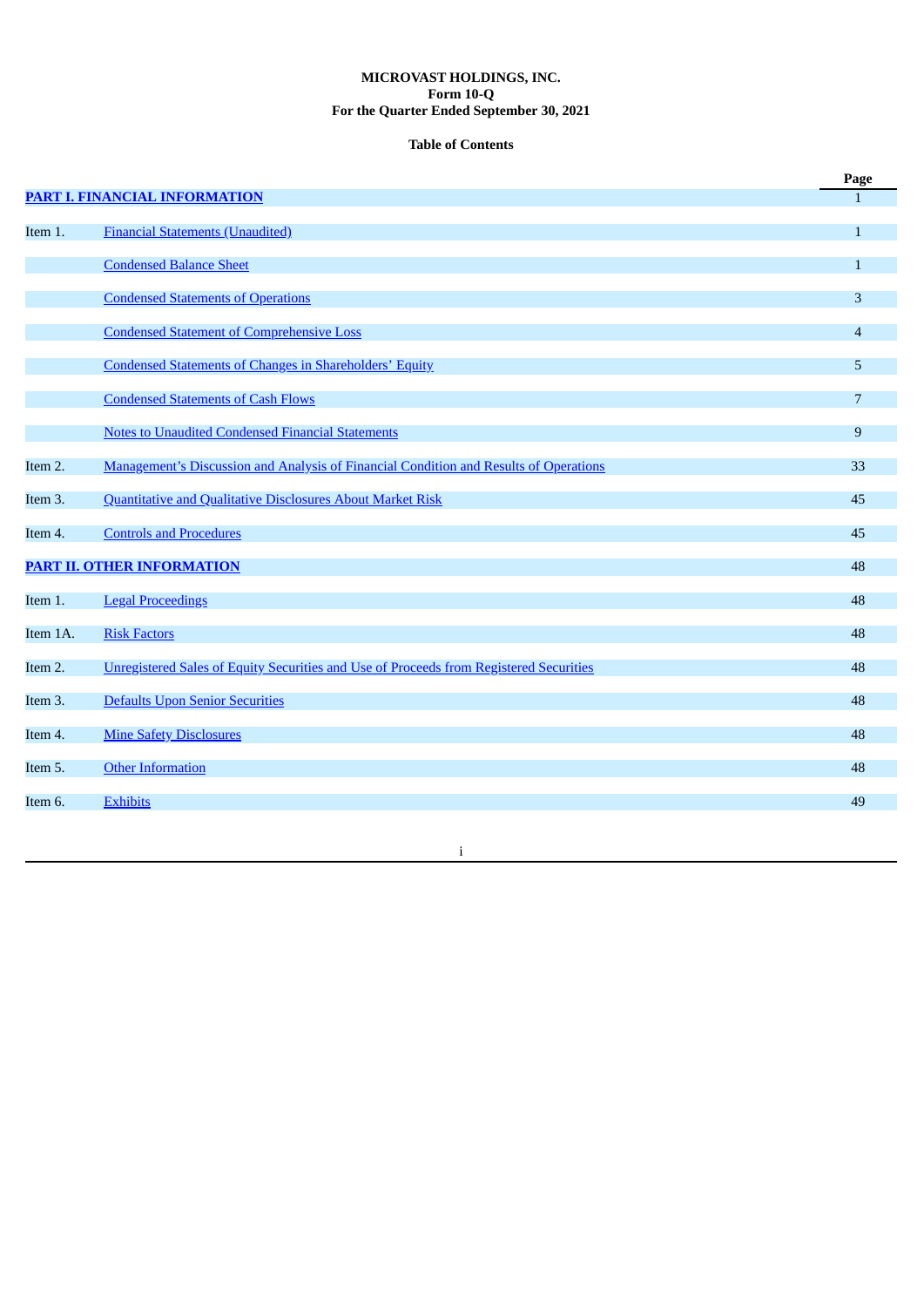### **MICROVAST HOLDINGS, INC. Form 10-Q For the Quarter Ended September 30, 2021**

### **Table of Contents**

|          |                                                                                        | Page           |
|----------|----------------------------------------------------------------------------------------|----------------|
|          | PART I. FINANCIAL INFORMATION                                                          | $\mathbf{1}$   |
|          |                                                                                        |                |
| Item 1.  | <b>Financial Statements (Unaudited)</b>                                                | $\mathbf{1}$   |
|          | <b>Condensed Balance Sheet</b>                                                         | $\mathbf{1}$   |
|          |                                                                                        |                |
|          | <b>Condensed Statements of Operations</b>                                              | 3              |
|          |                                                                                        |                |
|          | <b>Condensed Statement of Comprehensive Loss</b>                                       | $\overline{4}$ |
|          | <b>Condensed Statements of Changes in Shareholders' Equity</b>                         | 5              |
|          |                                                                                        |                |
|          | <b>Condensed Statements of Cash Flows</b>                                              | $\overline{7}$ |
|          |                                                                                        |                |
|          | <b>Notes to Unaudited Condensed Financial Statements</b>                               | 9              |
| Item 2.  | Management's Discussion and Analysis of Financial Condition and Results of Operations  | 33             |
|          |                                                                                        |                |
| Item 3.  | Quantitative and Qualitative Disclosures About Market Risk                             | 45             |
|          |                                                                                        |                |
| Item 4.  | <b>Controls and Procedures</b>                                                         | 45             |
|          | <b>PART II. OTHER INFORMATION</b>                                                      | 48             |
|          |                                                                                        |                |
| Item 1.  | <b>Legal Proceedings</b>                                                               | 48             |
|          |                                                                                        |                |
| Item 1A. | <b>Risk Factors</b>                                                                    | 48             |
| Item 2.  | Unregistered Sales of Equity Securities and Use of Proceeds from Registered Securities | 48             |
|          |                                                                                        |                |
| Item 3.  | <b>Defaults Upon Senior Securities</b>                                                 | 48             |
|          |                                                                                        |                |
| Item 4.  | <b>Mine Safety Disclosures</b>                                                         | 48             |
| Item 5.  | <b>Other Information</b>                                                               | 48             |
|          |                                                                                        |                |
| Item 6.  | <b>Exhibits</b>                                                                        | 49             |
|          |                                                                                        |                |

i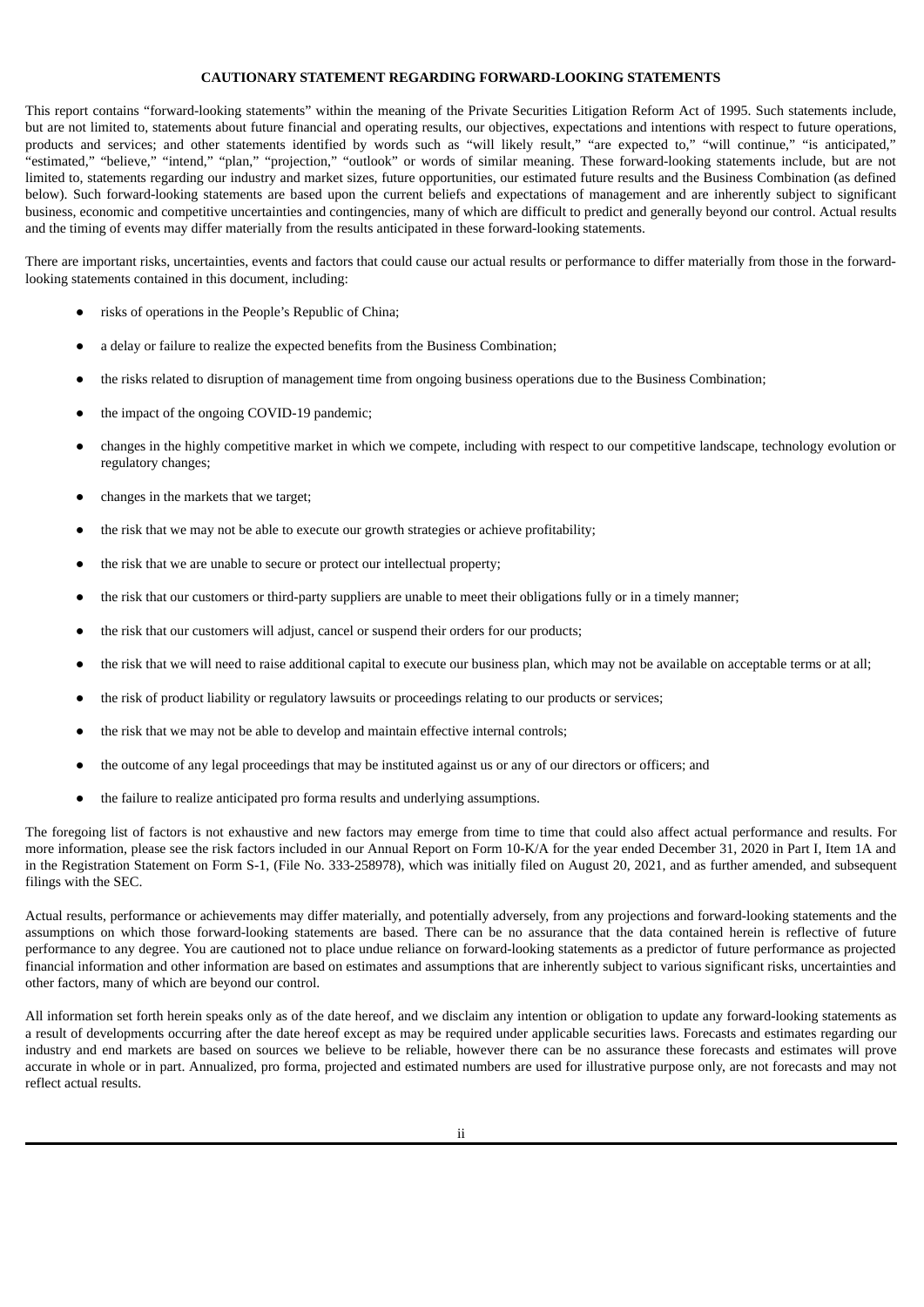#### **CAUTIONARY STATEMENT REGARDING FORWARD-LOOKING STATEMENTS**

This report contains "forward-looking statements" within the meaning of the Private Securities Litigation Reform Act of 1995. Such statements include, but are not limited to, statements about future financial and operating results, our objectives, expectations and intentions with respect to future operations, products and services; and other statements identified by words such as "will likely result," "are expected to," "will continue," "is anticipated," "estimated," "believe," "intend," "plan," "projection," "outlook" or words of similar meaning. These forward-looking statements include, but are not limited to, statements regarding our industry and market sizes, future opportunities, our estimated future results and the Business Combination (as defined below). Such forward-looking statements are based upon the current beliefs and expectations of management and are inherently subject to significant business, economic and competitive uncertainties and contingencies, many of which are difficult to predict and generally beyond our control. Actual results and the timing of events may differ materially from the results anticipated in these forward-looking statements.

There are important risks, uncertainties, events and factors that could cause our actual results or performance to differ materially from those in the forwardlooking statements contained in this document, including:

- risks of operations in the People's Republic of China;
- a delay or failure to realize the expected benefits from the Business Combination;
- the risks related to disruption of management time from ongoing business operations due to the Business Combination;
- the impact of the ongoing COVID-19 pandemic;
- changes in the highly competitive market in which we compete, including with respect to our competitive landscape, technology evolution or regulatory changes;
- changes in the markets that we target;
- the risk that we may not be able to execute our growth strategies or achieve profitability;
- the risk that we are unable to secure or protect our intellectual property;
- the risk that our customers or third-party suppliers are unable to meet their obligations fully or in a timely manner;
- the risk that our customers will adjust, cancel or suspend their orders for our products;
- the risk that we will need to raise additional capital to execute our business plan, which may not be available on acceptable terms or at all;
- the risk of product liability or regulatory lawsuits or proceedings relating to our products or services;
- the risk that we may not be able to develop and maintain effective internal controls;
- the outcome of any legal proceedings that may be instituted against us or any of our directors or officers; and
- the failure to realize anticipated pro forma results and underlying assumptions.

The foregoing list of factors is not exhaustive and new factors may emerge from time to time that could also affect actual performance and results. For more information, please see the risk factors included in our Annual Report on Form 10-K/A for the year ended December 31, 2020 in Part I, Item 1A and in the Registration Statement on Form S-1, (File No. 333-258978), which was initially filed on August 20, 2021, and as further amended, and subsequent filings with the SEC.

Actual results, performance or achievements may differ materially, and potentially adversely, from any projections and forward-looking statements and the assumptions on which those forward-looking statements are based. There can be no assurance that the data contained herein is reflective of future performance to any degree. You are cautioned not to place undue reliance on forward-looking statements as a predictor of future performance as projected financial information and other information are based on estimates and assumptions that are inherently subject to various significant risks, uncertainties and other factors, many of which are beyond our control.

All information set forth herein speaks only as of the date hereof, and we disclaim any intention or obligation to update any forward-looking statements as a result of developments occurring after the date hereof except as may be required under applicable securities laws. Forecasts and estimates regarding our industry and end markets are based on sources we believe to be reliable, however there can be no assurance these forecasts and estimates will prove accurate in whole or in part. Annualized, pro forma, projected and estimated numbers are used for illustrative purpose only, are not forecasts and may not reflect actual results.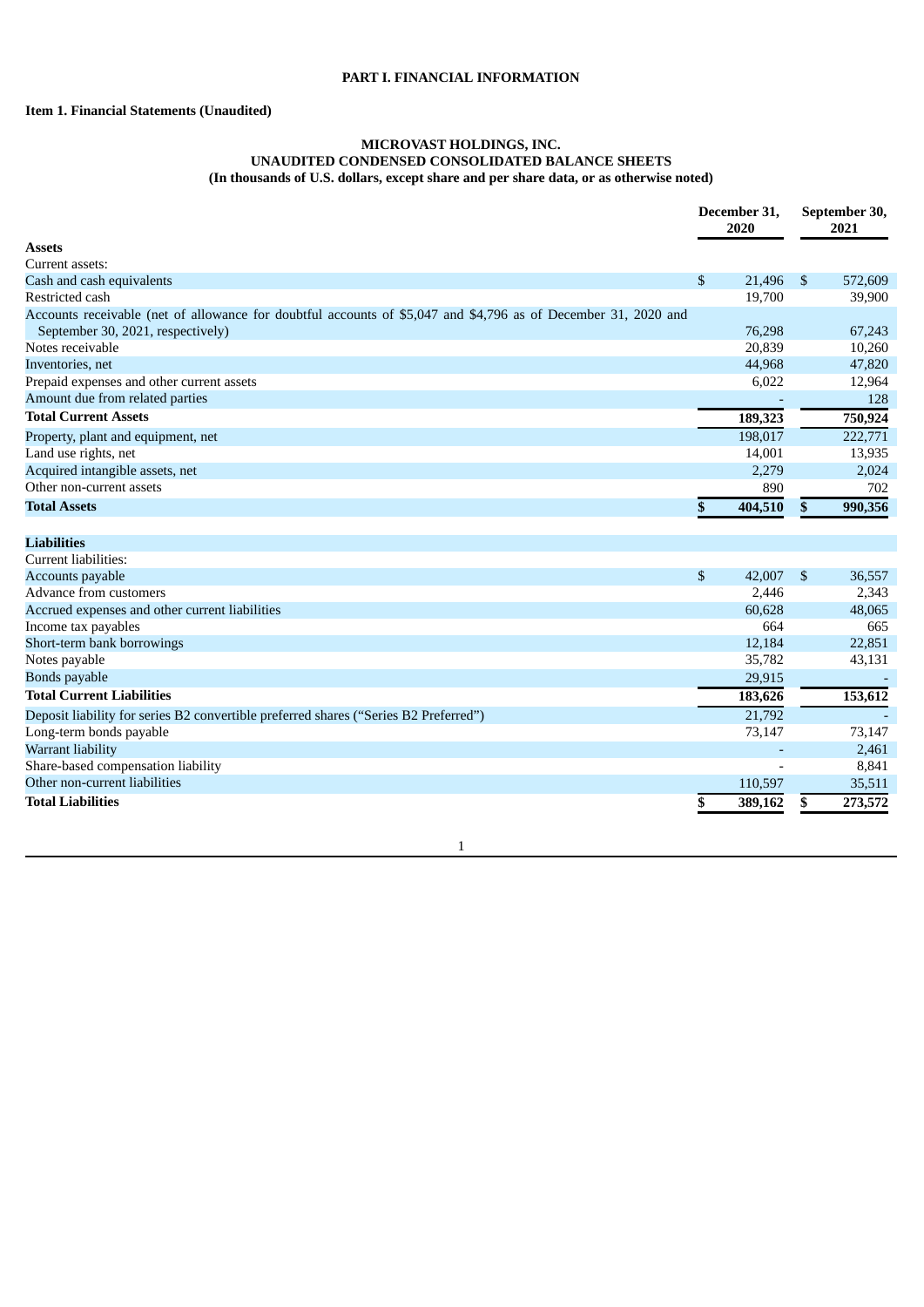### <span id="page-3-1"></span><span id="page-3-0"></span>**Item 1. Financial Statements (Unaudited)**

### **MICROVAST HOLDINGS, INC. UNAUDITED CONDENSED CONSOLIDATED BALANCE SHEETS (In thousands of U.S. dollars, except share and per share data, or as otherwise noted)**

<span id="page-3-2"></span>

|                                                                                                                | December 31,<br>2020 |                | September 30,<br>2021 |
|----------------------------------------------------------------------------------------------------------------|----------------------|----------------|-----------------------|
| <b>Assets</b>                                                                                                  |                      |                |                       |
| Current assets:                                                                                                |                      |                |                       |
| Cash and cash equivalents                                                                                      | \$<br>21,496         | \$             | 572,609               |
| Restricted cash                                                                                                | 19,700               |                | 39,900                |
| Accounts receivable (net of allowance for doubtful accounts of \$5,047 and \$4,796 as of December 31, 2020 and |                      |                |                       |
| September 30, 2021, respectively)                                                                              | 76,298               |                | 67,243                |
| Notes receivable                                                                                               | 20.839               |                | 10,260                |
| Inventories, net                                                                                               | 44,968               |                | 47,820                |
| Prepaid expenses and other current assets                                                                      | 6,022                |                | 12,964                |
| Amount due from related parties                                                                                |                      |                | 128                   |
| <b>Total Current Assets</b>                                                                                    | 189,323              |                | 750,924               |
| Property, plant and equipment, net                                                                             | 198,017              |                | 222,771               |
| Land use rights, net                                                                                           | 14,001               |                | 13,935                |
| Acquired intangible assets, net                                                                                | 2,279                |                | 2,024                 |
| Other non-current assets                                                                                       | 890                  |                | 702                   |
| <b>Total Assets</b>                                                                                            | \$<br>404,510        | \$             | 990,356               |
| <b>Liabilities</b>                                                                                             |                      |                |                       |
| Current liabilities:                                                                                           |                      |                |                       |
| Accounts payable                                                                                               | \$<br>42,007         | $\mathfrak{S}$ | 36,557                |
| Advance from customers                                                                                         | 2,446                |                | 2,343                 |
| Accrued expenses and other current liabilities                                                                 | 60.628               |                | 48,065                |
| Income tax payables                                                                                            | 664                  |                | 665                   |
| Short-term bank borrowings                                                                                     | 12,184               |                | 22,851                |
| Notes payable                                                                                                  | 35,782               |                | 43,131                |
| <b>Bonds</b> payable                                                                                           | 29,915               |                |                       |
| <b>Total Current Liabilities</b>                                                                               | 183,626              |                | 153,612               |
| Deposit liability for series B2 convertible preferred shares ("Series B2 Preferred")                           | 21,792               |                |                       |
| Long-term bonds payable                                                                                        | 73,147               |                | 73,147                |
| Warrant liability                                                                                              |                      |                | 2,461                 |
| Share-based compensation liability                                                                             |                      |                | 8,841                 |
| Other non-current liabilities                                                                                  | 110,597              |                | 35,511                |
| <b>Total Liabilities</b>                                                                                       | \$<br>389,162        | \$             | 273,572               |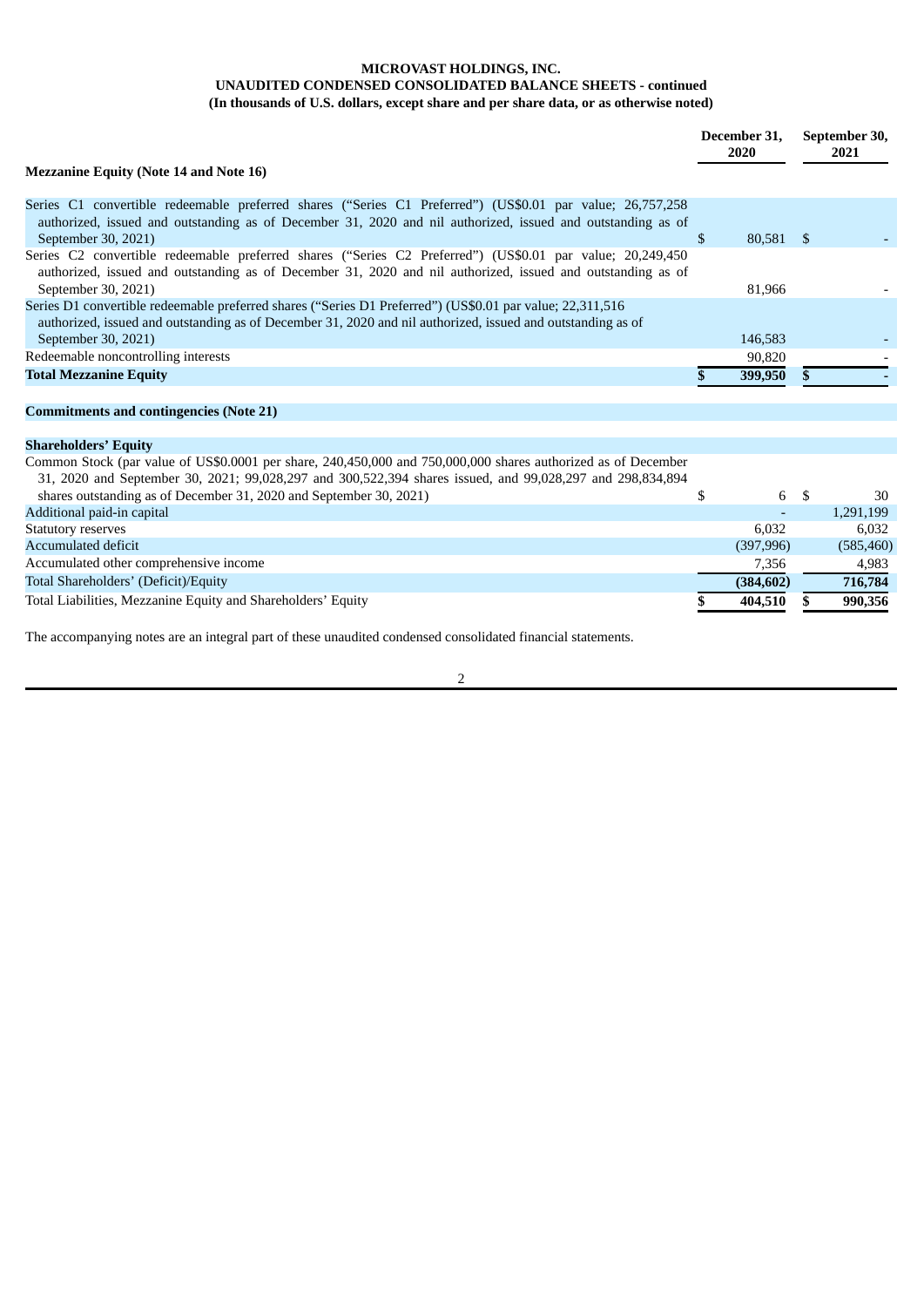#### **MICROVAST HOLDINGS, INC. UNAUDITED CONDENSED CONSOLIDATED BALANCE SHEETS - continued (In thousands of U.S. dollars, except share and per share data, or as otherwise noted)**

|                                                                                                                                                                                                                          |     | December 31.<br><b>2020</b> | September 30,<br>2021 |
|--------------------------------------------------------------------------------------------------------------------------------------------------------------------------------------------------------------------------|-----|-----------------------------|-----------------------|
| <b>Mezzanine Equity (Note 14 and Note 16)</b>                                                                                                                                                                            |     |                             |                       |
| Series C1 convertible redeemable preferred shares ("Series C1 Preferred") (US\$0.01 par value; 26,757,258<br>authorized, issued and outstanding as of December 31, 2020 and nil authorized, issued and outstanding as of |     |                             |                       |
| September 30, 2021)                                                                                                                                                                                                      | \$. | 80.581 \$                   |                       |
| Series C2 convertible redeemable preferred shares ("Series C2 Preferred") (US\$0.01 par value; 20,249,450<br>authorized, issued and outstanding as of December 31, 2020 and nil authorized, issued and outstanding as of |     |                             |                       |
| September 30, 2021)                                                                                                                                                                                                      |     | 81.966                      |                       |
| Series D1 convertible redeemable preferred shares ("Series D1 Preferred") (US\$0.01 par value; 22,311,516<br>authorized, issued and outstanding as of December 31, 2020 and nil authorized, issued and outstanding as of |     |                             |                       |
| September 30, 2021)                                                                                                                                                                                                      |     | 146,583                     |                       |
| Redeemable noncontrolling interests                                                                                                                                                                                      |     | 90,820                      |                       |
| <b>Total Mezzanine Equity</b>                                                                                                                                                                                            |     | 399,950                     |                       |
|                                                                                                                                                                                                                          |     |                             |                       |

### **Commitments and contingencies (Note 21)**

### **Shareholders' Equity**

| Common Stock (par value of US\$0.0001 per share, 240,450,000 and 750,000,000 shares authorized as of December |            |            |
|---------------------------------------------------------------------------------------------------------------|------------|------------|
| 31, 2020 and September 30, 2021; 99,028,297 and 300,522,394 shares issued, and 99,028,297 and 298,834,894     |            |            |
| shares outstanding as of December 31, 2020 and September 30, 2021)                                            | 6          | 30         |
| Additional paid-in capital                                                                                    |            | 1,291,199  |
| Statutory reserves                                                                                            | 6.032      | 6.032      |
| Accumulated deficit                                                                                           | (397,996)  | (585, 460) |
| Accumulated other comprehensive income                                                                        | 7,356      | 4,983      |
| Total Shareholders' (Deficit)/Equity                                                                          | (384, 602) | 716,784    |
| Total Liabilities, Mezzanine Equity and Shareholders' Equity                                                  | 404,510    | 990,356    |

The accompanying notes are an integral part of these unaudited condensed consolidated financial statements.

2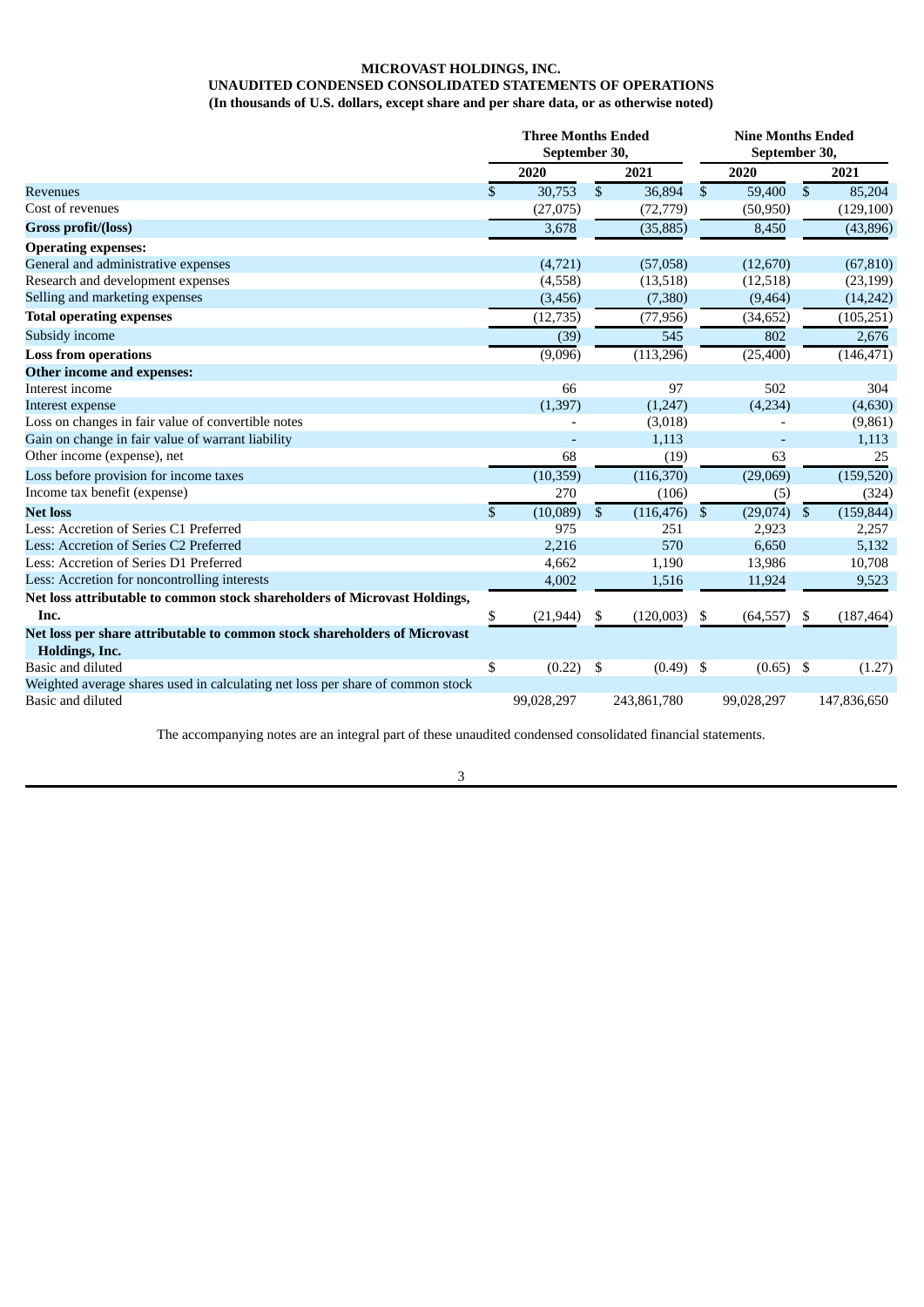### **MICROVAST HOLDINGS, INC. UNAUDITED CONDENSED CONSOLIDATED STATEMENTS OF OPERATIONS (In thousands of U.S. dollars, except share and per share data, or as otherwise noted)**

<span id="page-5-0"></span>

|                                                                                             | <b>Three Months Ended</b><br>September 30, |                |             |                 | <b>Nine Months Ended</b><br>September 30, |                 |             |
|---------------------------------------------------------------------------------------------|--------------------------------------------|----------------|-------------|-----------------|-------------------------------------------|-----------------|-------------|
|                                                                                             | 2020                                       |                | 2021        |                 | 2020                                      |                 | 2021        |
| <b>Revenues</b>                                                                             | \$<br>30,753                               | \$             | 36,894      | $\overline{\$}$ | 59,400                                    | $\overline{\$}$ | 85,204      |
| Cost of revenues                                                                            | (27,075)                                   |                | (72, 779)   |                 | (50, 950)                                 |                 | (129, 100)  |
| Gross profit/(loss)                                                                         | 3,678                                      |                | (35, 885)   |                 | 8,450                                     |                 | (43,896)    |
| <b>Operating expenses:</b>                                                                  |                                            |                |             |                 |                                           |                 |             |
| General and administrative expenses                                                         | (4,721)                                    |                | (57,058)    |                 | (12,670)                                  |                 | (67, 810)   |
| Research and development expenses                                                           | (4,558)                                    |                | (13,518)    |                 | (12, 518)                                 |                 | (23, 199)   |
| Selling and marketing expenses                                                              | (3, 456)                                   |                | (7,380)     |                 | (9,464)                                   |                 | (14, 242)   |
| <b>Total operating expenses</b>                                                             | (12, 735)                                  |                | (77, 956)   |                 | (34, 652)                                 |                 | (105, 251)  |
| Subsidy income                                                                              | (39)                                       |                | 545         |                 | 802                                       |                 | 2,676       |
| <b>Loss from operations</b>                                                                 | (9,096)                                    |                | (113, 296)  |                 | (25, 400)                                 |                 | (146, 471)  |
| Other income and expenses:                                                                  |                                            |                |             |                 |                                           |                 |             |
| Interest income                                                                             | 66                                         |                | 97          |                 | 502                                       |                 | 304         |
| Interest expense                                                                            | (1, 397)                                   |                | (1,247)     |                 | (4,234)                                   |                 | (4,630)     |
| Loss on changes in fair value of convertible notes                                          |                                            |                | (3,018)     |                 |                                           |                 | (9,861)     |
| Gain on change in fair value of warrant liability                                           |                                            |                | 1,113       |                 |                                           |                 | 1,113       |
| Other income (expense), net                                                                 | 68                                         |                | (19)        |                 | 63                                        |                 | 25          |
| Loss before provision for income taxes                                                      | (10, 359)                                  |                | (116, 370)  |                 | (29,069)                                  |                 | (159, 520)  |
| Income tax benefit (expense)                                                                | 270                                        |                | (106)       |                 | (5)                                       |                 | (324)       |
| <b>Net loss</b>                                                                             | \$<br>(10,089)                             | $\mathfrak{S}$ | (116, 476)  | $\mathbb{S}$    | (29,074)                                  | \$              | (159, 844)  |
| Less: Accretion of Series C1 Preferred                                                      | 975                                        |                | 251         |                 | 2,923                                     |                 | 2,257       |
| Less: Accretion of Series C2 Preferred                                                      | 2,216                                      |                | 570         |                 | 6,650                                     |                 | 5,132       |
| Less: Accretion of Series D1 Preferred                                                      | 4,662                                      |                | 1,190       |                 | 13,986                                    |                 | 10,708      |
| Less: Accretion for noncontrolling interests                                                | 4,002                                      |                | 1,516       |                 | 11,924                                    |                 | 9,523       |
| Net loss attributable to common stock shareholders of Microvast Holdings,                   |                                            |                |             |                 |                                           |                 |             |
| Inc.                                                                                        | \$<br>(21, 944)                            | \$             | (120,003)   | S.              | (64, 557)                                 | \$              | (187, 464)  |
| Net loss per share attributable to common stock shareholders of Microvast<br>Holdings, Inc. |                                            |                |             |                 |                                           |                 |             |
| Basic and diluted                                                                           | \$<br>(0.22)                               | \$             | $(0.49)$ \$ |                 | $(0.65)$ \$                               |                 | (1.27)      |
| Weighted average shares used in calculating net loss per share of common stock              |                                            |                |             |                 |                                           |                 |             |
| Basic and diluted                                                                           | 99,028,297                                 |                | 243,861,780 |                 | 99,028,297                                |                 | 147,836,650 |

The accompanying notes are an integral part of these unaudited condensed consolidated financial statements.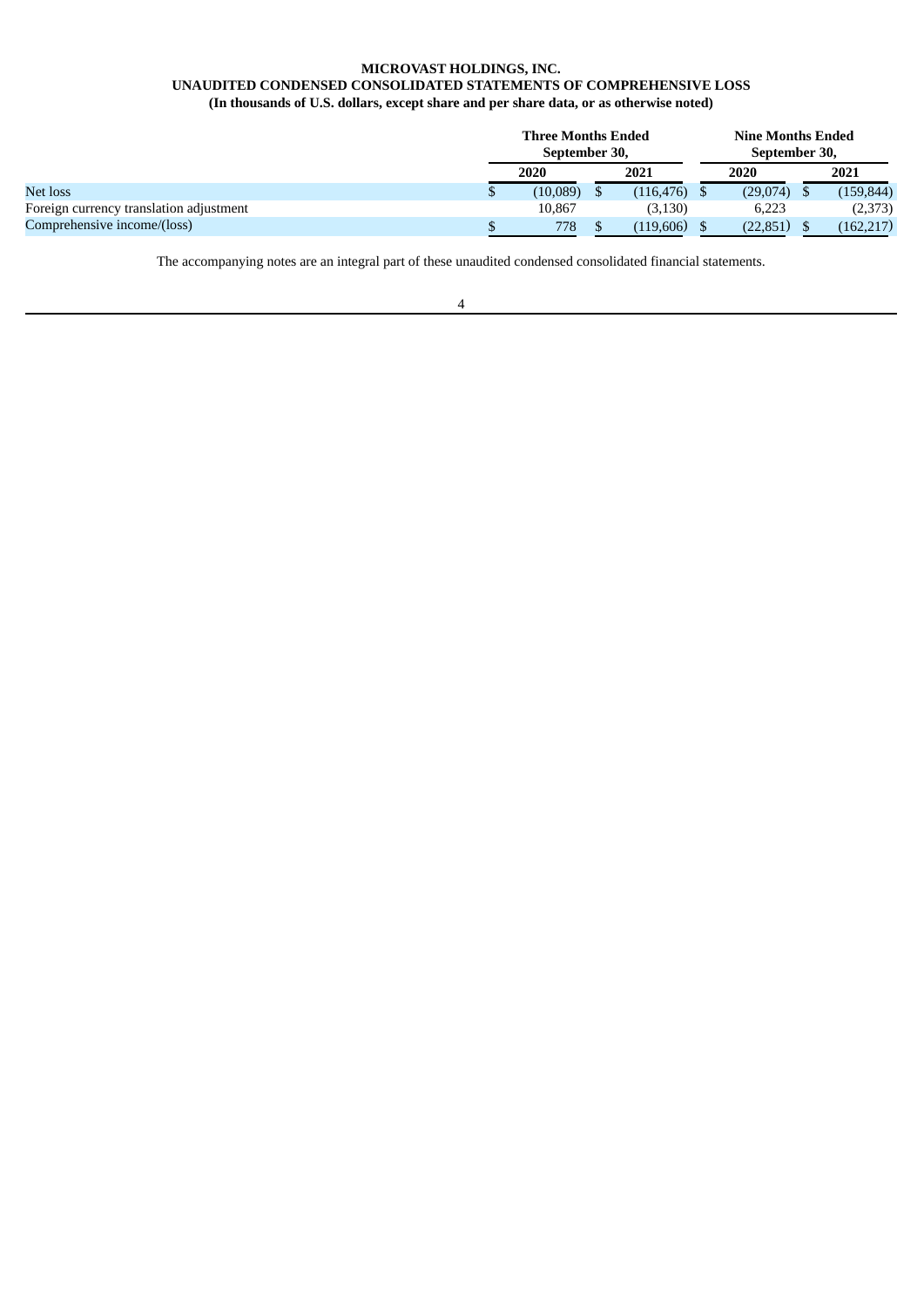### **MICROVAST HOLDINGS, INC. UNAUDITED CONDENSED CONSOLIDATED STATEMENTS OF COMPREHENSIVE LOSS (In thousands of U.S. dollars, except share and per share data, or as otherwise noted)**

<span id="page-6-0"></span>

|                                         |     | <b>Three Months Ended</b><br>September 30, |                 |           |  | <b>Nine Months Ended</b><br>September 30, |  |            |  |
|-----------------------------------------|-----|--------------------------------------------|-----------------|-----------|--|-------------------------------------------|--|------------|--|
|                                         |     | 2020                                       |                 | 2021      |  | 2020                                      |  | 2021       |  |
| Net loss                                |     | (10,089)                                   | $(116, 476)$ \$ |           |  | (29,074)                                  |  | (159, 844) |  |
| Foreign currency translation adjustment |     | 10.867                                     |                 | (3, 130)  |  | 6,223                                     |  | (2,373)    |  |
| Comprehensive income/(loss)             | 778 |                                            |                 | (119.606) |  | (22, 851)                                 |  | (162, 217) |  |

The accompanying notes are an integral part of these unaudited condensed consolidated financial statements.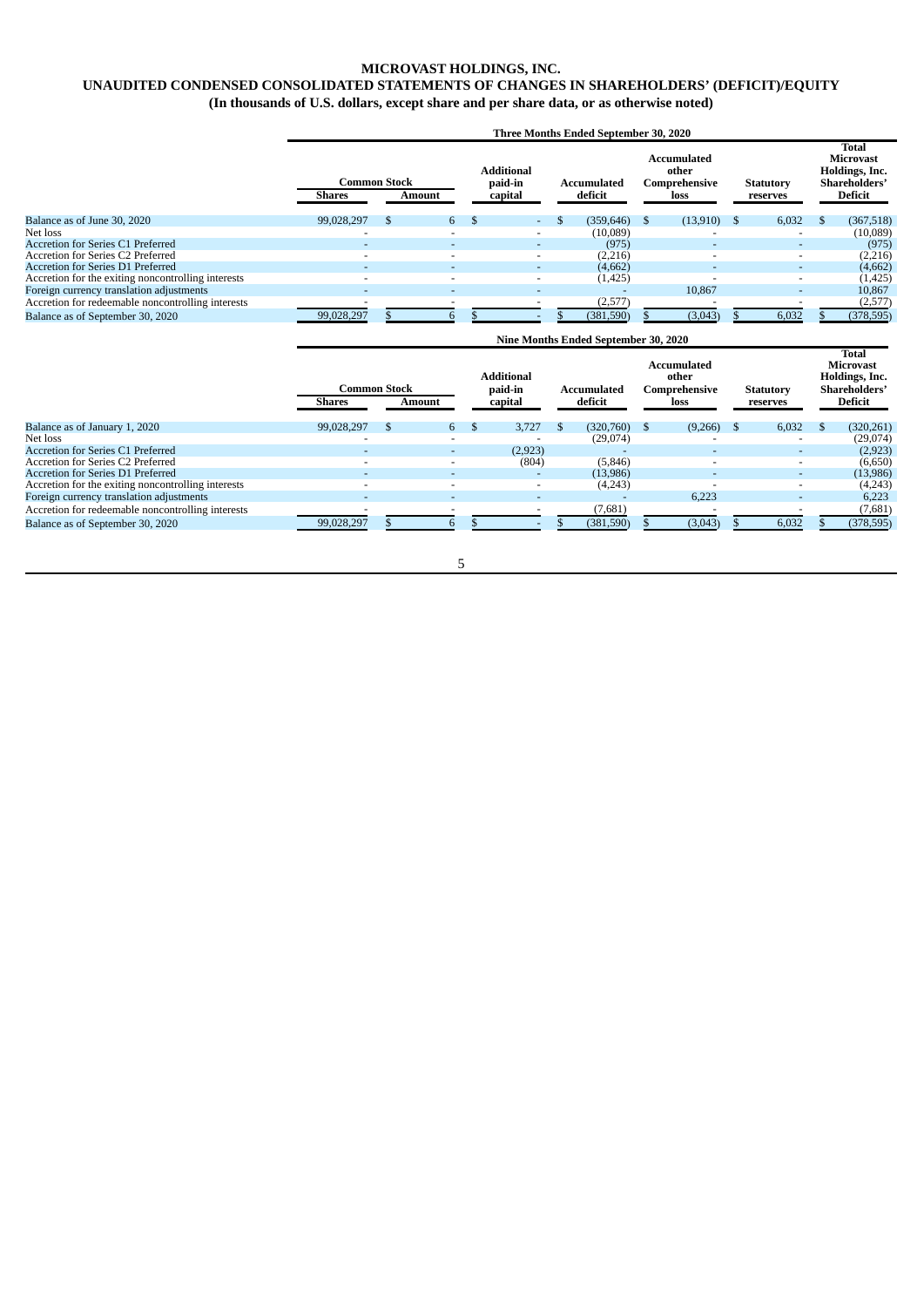### **MICROVAST HOLDINGS, INC.**

### **UNAUDITED CONDENSED CONSOLIDATED STATEMENTS OF CHANGES IN SHAREHOLDERS' (DEFICIT)/EQUITY (In thousands of U.S. dollars, except share and per share data, or as otherwise noted)**

<span id="page-7-0"></span>

|                                                    |                          |    |                          |    |                              | Three Months Ended September 30, 2020 |                                                           |                          |          |                          |                                                                                |            |  |
|----------------------------------------------------|--------------------------|----|--------------------------|----|------------------------------|---------------------------------------|-----------------------------------------------------------|--------------------------|----------|--------------------------|--------------------------------------------------------------------------------|------------|--|
|                                                    | <b>Common Stock</b>      |    |                          |    | <b>Additional</b><br>paid-in | Accumulated                           | Accumulated<br>other<br>Comprehensive<br><b>Statutory</b> |                          |          |                          | Total<br><b>Microvast</b><br>Holdings, Inc.<br>Shareholders'<br><b>Deficit</b> |            |  |
|                                                    | Shares                   |    | Amount                   |    | capital                      | deficit                               | loss                                                      |                          | reserves |                          |                                                                                |            |  |
| Balance as of June 30, 2020                        | 99,028,297               | Эb | 6                        | \$ | $\sim$                       | (359, 646)                            | -S                                                        | (13,910)                 | S        | 6,032                    | .S                                                                             | (367, 518) |  |
| Net loss                                           |                          |    | $\overline{\phantom{a}}$ |    |                              | (10,089)                              |                                                           |                          |          |                          |                                                                                | (10,089)   |  |
| Accretion for Series C1 Preferred                  |                          |    |                          |    | $\overline{\phantom{a}}$     | (975)                                 |                                                           | -                        |          | $\overline{\phantom{a}}$ |                                                                                | (975)      |  |
| Accretion for Series C2 Preferred                  | $\overline{\phantom{a}}$ |    | $\overline{\phantom{a}}$ |    | $\overline{\phantom{a}}$     | (2,216)                               |                                                           | -                        |          | $\overline{\phantom{a}}$ |                                                                                | (2,216)    |  |
| Accretion for Series D1 Preferred                  | $\overline{\phantom{0}}$ |    | $\overline{\phantom{a}}$ |    | $\overline{\phantom{a}}$     | (4,662)                               |                                                           | $\overline{\phantom{0}}$ |          | $\overline{\phantom{a}}$ |                                                                                | (4,662)    |  |
| Accretion for the exiting noncontrolling interests |                          |    | $\overline{\phantom{a}}$ |    | $\overline{\phantom{0}}$     | (1,425)                               |                                                           | $\overline{\phantom{0}}$ |          | $\overline{\phantom{a}}$ |                                                                                | (1, 425)   |  |
| Foreign currency translation adjustments           | -                        |    | $\overline{\phantom{a}}$ |    | $\overline{\phantom{a}}$     |                                       |                                                           | 10.867                   |          | $\overline{\phantom{0}}$ |                                                                                | 10,867     |  |
| Accretion for redeemable noncontrolling interests  |                          |    |                          |    |                              | (2,577)                               |                                                           |                          |          |                          |                                                                                | (2,577)    |  |
| Balance as of September 30, 2020                   | 99,028,297               |    |                          |    |                              | (381, 590)                            |                                                           | (3,043)                  |          | 6,032                    |                                                                                | (378, 595) |  |
|                                                    |                          |    |                          |    |                              | Nine Months Ended September 30, 2020  |                                                           |                          |          |                          |                                                                                |            |  |

|                                                    | <b>Common Stock</b>      |  |        |         | <b>Additional</b><br>paid-in |         | Accumulated |    | Accumulated<br>other<br>Comprehensive |               | <b>Statutory</b>         | Total<br><b>Microvast</b><br>Holdings, Inc.<br>Shareholders' |            |  |
|----------------------------------------------------|--------------------------|--|--------|---------|------------------------------|---------|-------------|----|---------------------------------------|---------------|--------------------------|--------------------------------------------------------------|------------|--|
|                                                    | <b>Shares</b>            |  | Amount | capital |                              | deficit |             |    | loss                                  | reserves      |                          | Deficit                                                      |            |  |
| Balance as of January 1, 2020                      | 99.028.297               |  | 6      | \$      | 3.727                        |         | (320.760)   | -S | (9,266)                               | <sup>\$</sup> | 6,032                    |                                                              | (320, 261) |  |
| Net loss                                           | -                        |  |        |         |                              |         | (29,074)    |    | -                                     |               |                          |                                                              | (29,074)   |  |
| Accretion for Series C1 Preferred                  | $\sim$                   |  |        |         | (2,923)                      |         |             |    | $\sim$                                |               | $\overline{\phantom{0}}$ |                                                              | (2, 923)   |  |
| Accretion for Series C2 Preferred                  | $\overline{\phantom{a}}$ |  |        |         | (804)                        |         | (5,846)     |    | $\overline{\phantom{a}}$              |               | $\overline{\phantom{0}}$ |                                                              | (6,650)    |  |
| Accretion for Series D1 Preferred                  | $\overline{\phantom{0}}$ |  |        |         |                              |         | (13,986)    |    | ۰                                     |               | $\overline{\phantom{0}}$ |                                                              | (13, 986)  |  |
| Accretion for the exiting noncontrolling interests |                          |  |        |         | $\overline{\phantom{0}}$     |         | (4,243)     |    | $\overline{\phantom{0}}$              |               |                          |                                                              | (4,243)    |  |
| Foreign currency translation adjustments           | $\sim$                   |  | $\sim$ |         | $\overline{\phantom{0}}$     |         |             |    | 6.223                                 |               | $\overline{\phantom{0}}$ |                                                              | 6,223      |  |
| Accretion for redeemable noncontrolling interests  |                          |  |        |         |                              |         | (7,681)     |    |                                       |               |                          |                                                              | (7,681)    |  |
| Balance as of September 30, 2020                   | 99,028,297               |  | 6      |         |                              |         | (381, 590)  |    | (3,043)                               |               | 6,032                    |                                                              | (378, 595) |  |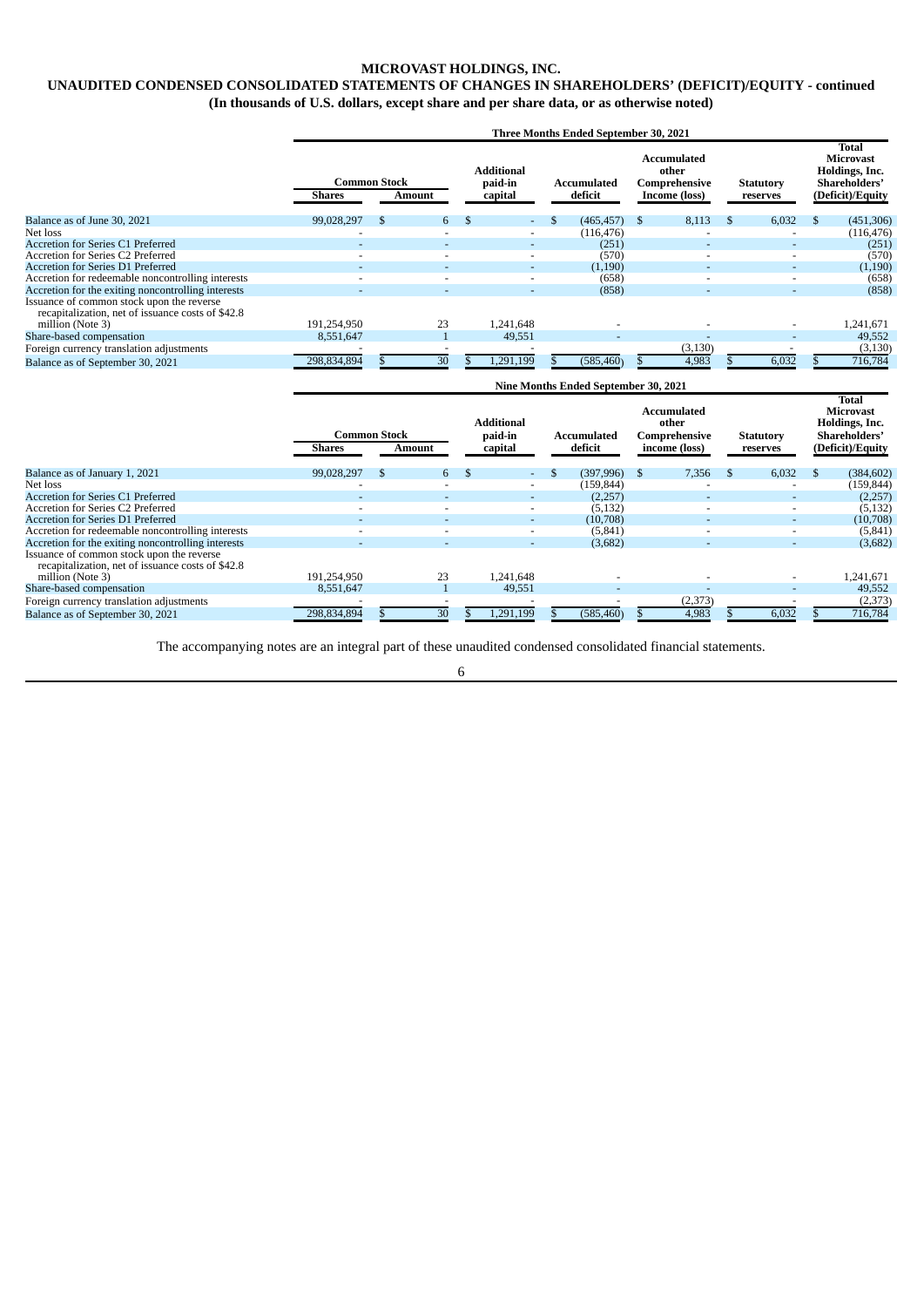### **MICROVAST HOLDINGS, INC.**

### **UNAUDITED CONDENSED CONSOLIDATED STATEMENTS OF CHANGES IN SHAREHOLDERS' (DEFICIT)/EQUITY - continued (In thousands of U.S. dollars, except share and per share data, or as otherwise noted)**

|                                                                                                |                                      |    |                          |    |                                         |    | Three Months Ended September 30, 2021 |                                                        |   |                              |          |                                                                                  |
|------------------------------------------------------------------------------------------------|--------------------------------------|----|--------------------------|----|-----------------------------------------|----|---------------------------------------|--------------------------------------------------------|---|------------------------------|----------|----------------------------------------------------------------------------------|
|                                                                                                | <b>Common Stock</b><br><b>Shares</b> |    | Amount                   |    | <b>Additional</b><br>paid-in<br>capital |    | Accumulated<br>deficit                | Accumulated<br>other<br>Comprehensive<br>Income (loss) |   | <b>Statutory</b><br>reserves |          | Total<br><b>Microvast</b><br>Holdings, Inc.<br>Shareholders'<br>(Deficit)/Equity |
| Balance as of June 30, 2021                                                                    | 99,028,297                           | -S | 6                        | -S | $\overline{\phantom{a}}$                | -S | $(465, 457)$ \$                       | 8,113                                                  | S | 6,032                        | $\sim$ S | (451,306)                                                                        |
| Net loss                                                                                       |                                      |    |                          |    | $\overline{\phantom{0}}$                |    | (116, 476)                            |                                                        |   |                              |          | (116, 476)                                                                       |
| <b>Accretion for Series C1 Preferred</b>                                                       |                                      |    |                          |    | $\overline{\phantom{a}}$                |    | (251)                                 | $\overline{\phantom{a}}$                               |   | $\overline{\phantom{0}}$     |          | (251)                                                                            |
| Accretion for Series C2 Preferred                                                              |                                      |    | $\overline{\phantom{0}}$ |    | $\overline{\phantom{a}}$                |    | (570)                                 | $\overline{\phantom{a}}$                               |   |                              |          | (570)                                                                            |
| <b>Accretion for Series D1 Preferred</b>                                                       |                                      |    | $\overline{\phantom{0}}$ |    | $\overline{\phantom{0}}$                |    | (1,190)                               | $\overline{\phantom{a}}$                               |   | $\overline{\phantom{0}}$     |          | (1,190)                                                                          |
| Accretion for redeemable noncontrolling interests                                              |                                      |    | $\overline{\phantom{a}}$ |    | $\overline{\phantom{a}}$                |    | (658)                                 | $\overline{\phantom{a}}$                               |   | -                            |          | (658)                                                                            |
| Accretion for the exiting noncontrolling interests                                             |                                      |    | $\overline{\phantom{0}}$ |    |                                         |    | (858)                                 | $\overline{\phantom{a}}$                               |   | ٠                            |          | (858)                                                                            |
| Issuance of common stock upon the reverse<br>recapitalization, net of issuance costs of \$42.8 |                                      |    |                          |    |                                         |    |                                       |                                                        |   |                              |          |                                                                                  |
| million (Note 3)                                                                               | 191,254,950                          |    | 23                       |    | 1,241,648                               |    |                                       |                                                        |   |                              |          | 1,241,671                                                                        |
| Share-based compensation                                                                       | 8,551,647                            |    |                          |    | 49,551                                  |    |                                       |                                                        |   | $\overline{\phantom{0}}$     |          | 49,552                                                                           |
| Foreign currency translation adjustments                                                       |                                      |    | -                        |    |                                         |    |                                       | (3, 130)                                               |   |                              |          | (3,130)                                                                          |
| Balance as of September 30, 2021                                                               | 298,834,894                          |    | 30                       |    | 1,291,199                               |    | (585, 460)                            | 4,983                                                  |   | 6,032                        |          | 716,784                                                                          |
|                                                                                                |                                      |    |                          |    |                                         |    | Nine Months Ended September 30, 2021  |                                                        |   |                              |          |                                                                                  |

|                                                                                                | <b>Shares</b>            | <b>Common Stock</b> | Amount                   | <b>Additional</b><br>paid-in<br>capital |                          | Accumulated<br>deficit   |    | Accumulated<br>other<br>Comprehensive<br>income (loss) | <b>Statutory</b><br>reserves |    | <b>Total</b><br><b>Microvast</b><br>Holdings, Inc.<br>Shareholders'<br>(Deficit)/Equity |
|------------------------------------------------------------------------------------------------|--------------------------|---------------------|--------------------------|-----------------------------------------|--------------------------|--------------------------|----|--------------------------------------------------------|------------------------------|----|-----------------------------------------------------------------------------------------|
| Balance as of January 1, 2021                                                                  | 99.028.297               | - \$                | 6                        | .ზ                                      | $- S$                    | (397,996)                | S. | 7,356                                                  | 6,032                        | S. | (384, 602)                                                                              |
| Net loss                                                                                       | $\overline{\phantom{0}}$ |                     | $\overline{\phantom{a}}$ |                                         |                          | (159, 844)               |    |                                                        |                              |    | (159, 844)                                                                              |
| Accretion for Series C1 Preferred                                                              |                          |                     | $\overline{\phantom{0}}$ |                                         | $\overline{\phantom{0}}$ | (2,257)                  |    | $\overline{\phantom{0}}$                               | $\overline{\phantom{a}}$     |    | (2,257)                                                                                 |
| Accretion for Series C2 Preferred                                                              |                          |                     | $\overline{\phantom{0}}$ |                                         |                          | (5, 132)                 |    |                                                        | $\overline{\phantom{0}}$     |    | (5, 132)                                                                                |
| <b>Accretion for Series D1 Preferred</b>                                                       |                          |                     | $\sim$                   |                                         | $\overline{\phantom{0}}$ | (10,708)                 |    | $\sim$                                                 | $\overline{\phantom{a}}$     |    | (10,708)                                                                                |
| Accretion for redeemable noncontrolling interests                                              |                          |                     | $\overline{\phantom{a}}$ |                                         | ۰                        | (5, 841)                 |    | $\overline{\phantom{a}}$                               | $\overline{a}$               |    | (5,841)                                                                                 |
| Accretion for the exiting noncontrolling interests                                             | $\overline{\phantom{0}}$ |                     | $\sim$                   |                                         | $\overline{\phantom{0}}$ | (3,682)                  |    | $\sim$                                                 | $\overline{\phantom{a}}$     |    | (3,682)                                                                                 |
| Issuance of common stock upon the reverse<br>recapitalization, net of issuance costs of \$42.8 |                          |                     |                          |                                         |                          |                          |    |                                                        |                              |    |                                                                                         |
| million (Note 3)                                                                               | 191,254,950              |                     | 23                       | 1,241,648                               |                          |                          |    |                                                        |                              |    | 1,241,671                                                                               |
| Share-based compensation                                                                       | 8,551,647                |                     |                          | 49,551                                  |                          | $\overline{\phantom{0}}$ |    |                                                        | $\overline{\phantom{a}}$     |    | 49,552                                                                                  |
| Foreign currency translation adjustments                                                       |                          |                     |                          |                                         |                          |                          |    | (2,373)                                                |                              |    | (2,373)                                                                                 |
| Balance as of September 30, 2021                                                               | 298,834,894              |                     | 30                       | 1,291,199                               |                          | (585, 460)               |    | 4,983                                                  | 6,032                        |    | 716,784                                                                                 |

The accompanying notes are an integral part of these unaudited condensed consolidated financial statements.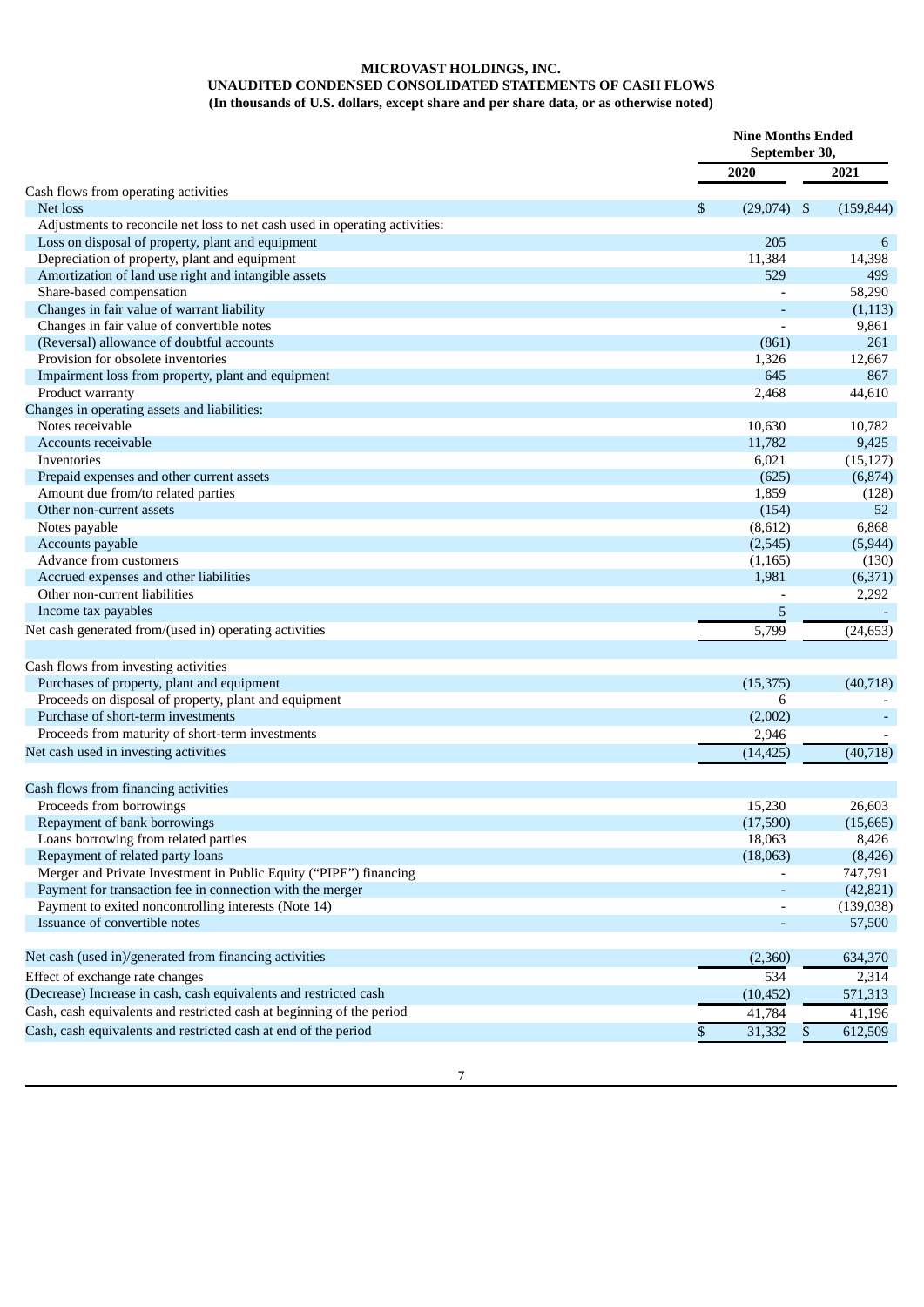### **MICROVAST HOLDINGS, INC. UNAUDITED CONDENSED CONSOLIDATED STATEMENTS OF CASH FLOWS (In thousands of U.S. dollars, except share and per share data, or as otherwise noted)**

<span id="page-9-0"></span>

|                                                                             | <b>Nine Months Ended</b><br>September 30, |                    |
|-----------------------------------------------------------------------------|-------------------------------------------|--------------------|
|                                                                             | 2020                                      | 2021               |
| Cash flows from operating activities                                        |                                           |                    |
| Net loss                                                                    | \$<br>(29,074)                            | (159, 844)<br>- \$ |
| Adjustments to reconcile net loss to net cash used in operating activities: |                                           |                    |
| Loss on disposal of property, plant and equipment                           | 205                                       | 6                  |
| Depreciation of property, plant and equipment                               | 11,384                                    | 14,398             |
| Amortization of land use right and intangible assets                        | 529                                       | 499                |
| Share-based compensation                                                    |                                           | 58,290             |
| Changes in fair value of warrant liability                                  |                                           | (1, 113)           |
| Changes in fair value of convertible notes                                  | $\overline{\phantom{a}}$                  | 9,861              |
| (Reversal) allowance of doubtful accounts                                   | (861)                                     | 261                |
| Provision for obsolete inventories                                          | 1,326                                     | 12,667             |
| Impairment loss from property, plant and equipment                          | 645                                       | 867                |
| Product warranty                                                            | 2,468                                     | 44,610             |
| Changes in operating assets and liabilities:                                |                                           |                    |
| Notes receivable                                                            | 10,630                                    | 10,782             |
| Accounts receivable                                                         | 11,782                                    | 9,425              |
| Inventories                                                                 | 6,021                                     | (15, 127)          |
| Prepaid expenses and other current assets                                   | (625)                                     | (6, 874)           |
| Amount due from/to related parties                                          | 1,859                                     | (128)              |
| Other non-current assets                                                    | (154)                                     | 52                 |
| Notes payable                                                               | (8,612)                                   | 6,868              |
| Accounts payable                                                            | (2,545)                                   | (5,944)            |
| Advance from customers                                                      | (1, 165)                                  | (130)              |
| Accrued expenses and other liabilities                                      | 1,981                                     | (6,371)            |
| Other non-current liabilities                                               |                                           | 2,292              |
| Income tax payables                                                         | 5                                         |                    |
| Net cash generated from/(used in) operating activities                      | 5,799                                     | (24, 653)          |
|                                                                             |                                           |                    |
| Cash flows from investing activities                                        |                                           |                    |
| Purchases of property, plant and equipment                                  | (15, 375)                                 | (40, 718)          |
| Proceeds on disposal of property, plant and equipment                       | 6                                         |                    |
| Purchase of short-term investments                                          | (2,002)                                   |                    |
| Proceeds from maturity of short-term investments                            | 2,946                                     |                    |
| Net cash used in investing activities                                       | (14, 425)                                 | (40, 718)          |
|                                                                             |                                           |                    |
| Cash flows from financing activities                                        |                                           |                    |
| Proceeds from borrowings                                                    | 15,230                                    | 26,603             |
| Repayment of bank borrowings                                                | (17,590)                                  | (15, 665)          |
| Loans borrowing from related parties                                        | 18,063                                    | 8,426              |
| Repayment of related party loans                                            | (18,063)                                  | (8,426)            |
| Merger and Private Investment in Public Equity ("PIPE") financing           |                                           | 747,791            |
| Payment for transaction fee in connection with the merger                   |                                           | (42, 821)          |
| Payment to exited noncontrolling interests (Note 14)                        |                                           | (139,038)          |
| Issuance of convertible notes                                               |                                           | 57,500             |
| Net cash (used in)/generated from financing activities                      | (2,360)                                   | 634,370            |
| Effect of exchange rate changes                                             | 534                                       | 2,314              |
| (Decrease) Increase in cash, cash equivalents and restricted cash           | (10, 452)                                 | 571,313            |
| Cash, cash equivalents and restricted cash at beginning of the period       | 41,784                                    | 41,196             |
| Cash, cash equivalents and restricted cash at end of the period             | \$<br>31,332                              | 612,509<br>\$      |
|                                                                             |                                           |                    |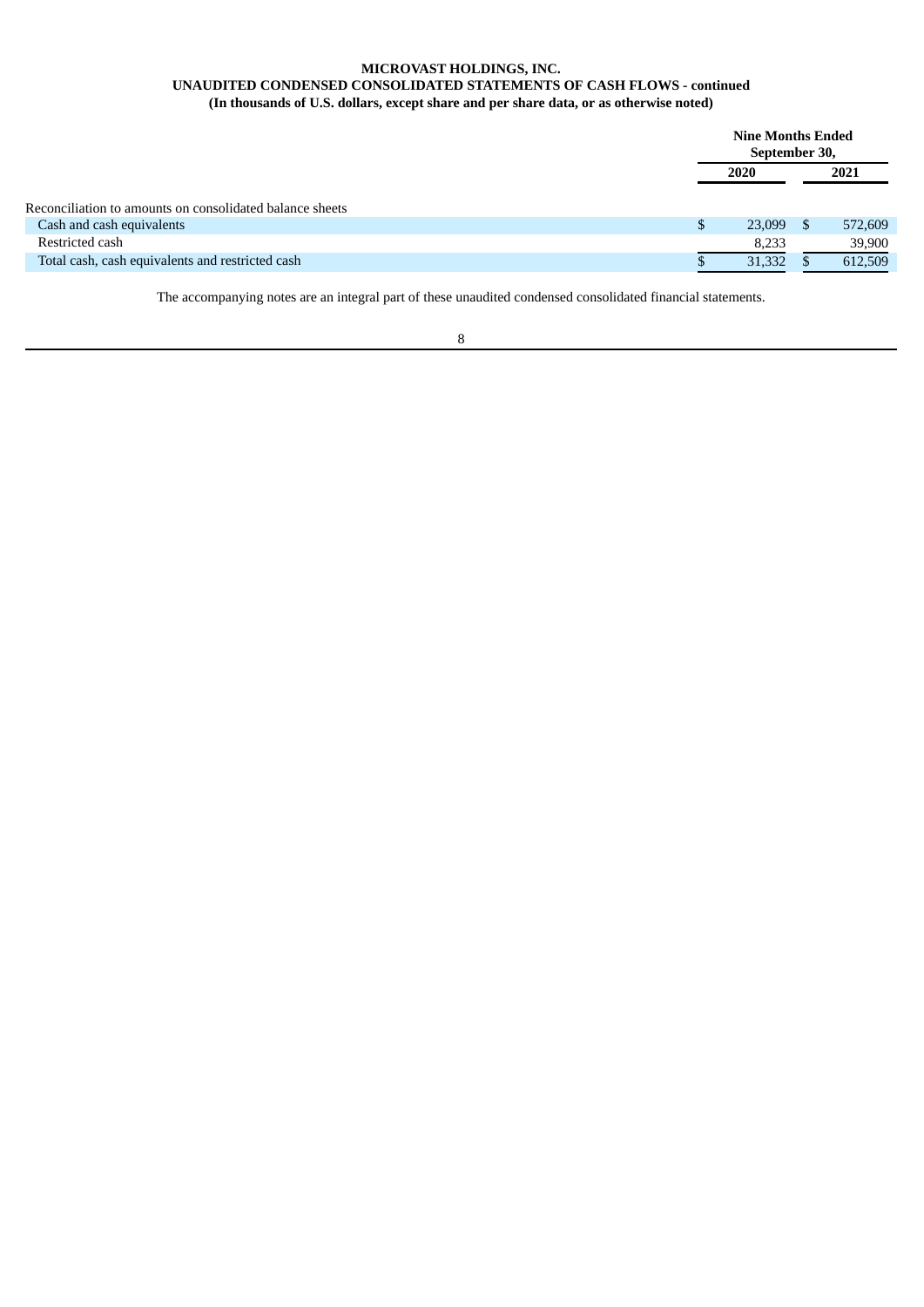### **MICROVAST HOLDINGS, INC. UNAUDITED CONDENSED CONSOLIDATED STATEMENTS OF CASH FLOWS - continued (In thousands of U.S. dollars, except share and per share data, or as otherwise noted)**

|                                                          |      | <b>Nine Months Ended</b><br>September 30, |  |         |
|----------------------------------------------------------|------|-------------------------------------------|--|---------|
|                                                          | 2020 |                                           |  | 2021    |
| Reconciliation to amounts on consolidated balance sheets |      |                                           |  |         |
| Cash and cash equivalents                                | \$   | 23,099                                    |  | 572,609 |
| Restricted cash                                          |      | 8,233                                     |  | 39,900  |
| Total cash, cash equivalents and restricted cash         |      | 31,332                                    |  | 612,509 |

The accompanying notes are an integral part of these unaudited condensed consolidated financial statements.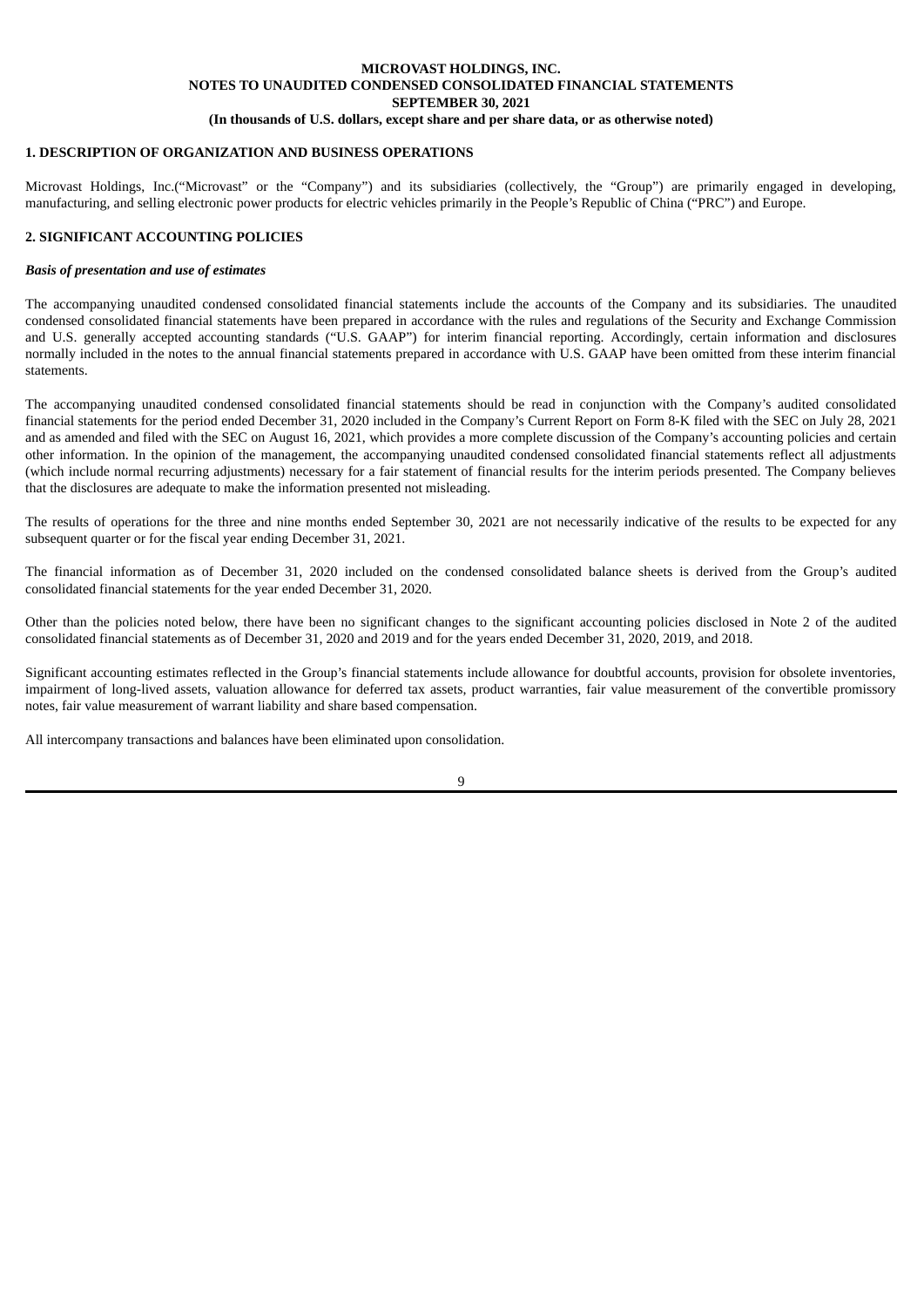#### **(In thousands of U.S. dollars, except share and per share data, or as otherwise noted)**

#### <span id="page-11-0"></span>**1. DESCRIPTION OF ORGANIZATION AND BUSINESS OPERATIONS**

Microvast Holdings, Inc.("Microvast" or the "Company") and its subsidiaries (collectively, the "Group") are primarily engaged in developing, manufacturing, and selling electronic power products for electric vehicles primarily in the People's Republic of China ("PRC") and Europe.

#### **2. SIGNIFICANT ACCOUNTING POLICIES**

#### *Basis of presentation and use of estimates*

The accompanying unaudited condensed consolidated financial statements include the accounts of the Company and its subsidiaries. The unaudited condensed consolidated financial statements have been prepared in accordance with the rules and regulations of the Security and Exchange Commission and U.S. generally accepted accounting standards ("U.S. GAAP") for interim financial reporting. Accordingly, certain information and disclosures normally included in the notes to the annual financial statements prepared in accordance with U.S. GAAP have been omitted from these interim financial statements.

The accompanying unaudited condensed consolidated financial statements should be read in conjunction with the Company's audited consolidated financial statements for the period ended December 31, 2020 included in the Company's Current Report on Form 8-K filed with the SEC on July 28, 2021 and as amended and filed with the SEC on August 16, 2021, which provides a more complete discussion of the Company's accounting policies and certain other information. In the opinion of the management, the accompanying unaudited condensed consolidated financial statements reflect all adjustments (which include normal recurring adjustments) necessary for a fair statement of financial results for the interim periods presented. The Company believes that the disclosures are adequate to make the information presented not misleading.

The results of operations for the three and nine months ended September 30, 2021 are not necessarily indicative of the results to be expected for any subsequent quarter or for the fiscal year ending December 31, 2021.

The financial information as of December 31, 2020 included on the condensed consolidated balance sheets is derived from the Group's audited consolidated financial statements for the year ended December 31, 2020.

Other than the policies noted below, there have been no significant changes to the significant accounting policies disclosed in Note 2 of the audited consolidated financial statements as of December 31, 2020 and 2019 and for the years ended December 31, 2020, 2019, and 2018.

Significant accounting estimates reflected in the Group's financial statements include allowance for doubtful accounts, provision for obsolete inventories, impairment of long-lived assets, valuation allowance for deferred tax assets, product warranties, fair value measurement of the convertible promissory notes, fair value measurement of warrant liability and share based compensation.

All intercompany transactions and balances have been eliminated upon consolidation.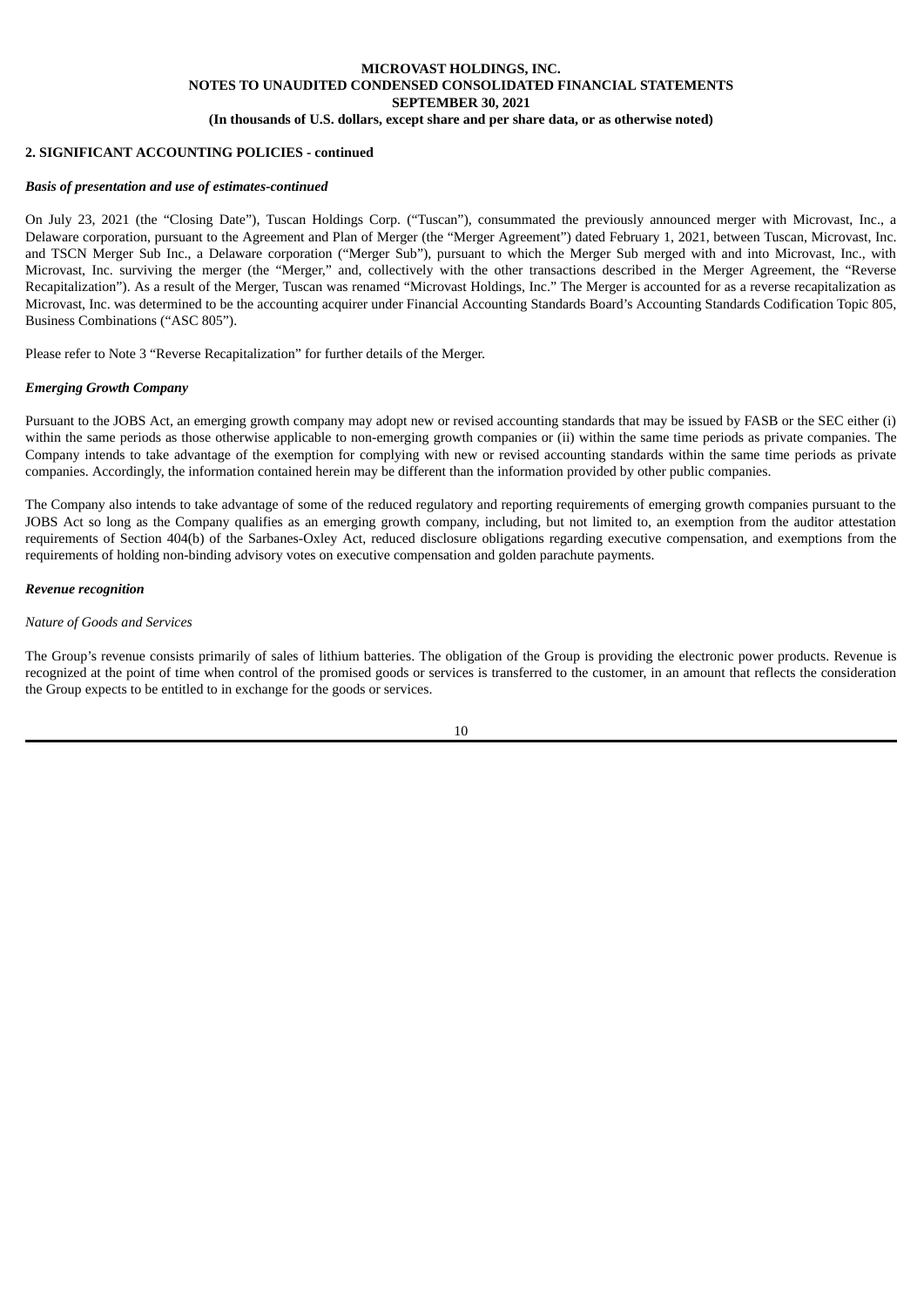#### **(In thousands of U.S. dollars, except share and per share data, or as otherwise noted)**

#### **2. SIGNIFICANT ACCOUNTING POLICIES - continued**

#### *Basis of presentation and use of estimates-continued*

On July 23, 2021 (the "Closing Date"), Tuscan Holdings Corp. ("Tuscan"), consummated the previously announced merger with Microvast, Inc., a Delaware corporation, pursuant to the Agreement and Plan of Merger (the "Merger Agreement") dated February 1, 2021, between Tuscan, Microvast, Inc. and TSCN Merger Sub Inc., a Delaware corporation ("Merger Sub"), pursuant to which the Merger Sub merged with and into Microvast, Inc., with Microvast, Inc. surviving the merger (the "Merger," and, collectively with the other transactions described in the Merger Agreement, the "Reverse Recapitalization"). As a result of the Merger, Tuscan was renamed "Microvast Holdings, Inc." The Merger is accounted for as a reverse recapitalization as Microvast, Inc. was determined to be the accounting acquirer under Financial Accounting Standards Board's Accounting Standards Codification Topic 805, Business Combinations ("ASC 805").

Please refer to Note 3 "Reverse Recapitalization" for further details of the Merger.

#### *Emerging Growth Company*

Pursuant to the JOBS Act, an emerging growth company may adopt new or revised accounting standards that may be issued by FASB or the SEC either (i) within the same periods as those otherwise applicable to non-emerging growth companies or (ii) within the same time periods as private companies. The Company intends to take advantage of the exemption for complying with new or revised accounting standards within the same time periods as private companies. Accordingly, the information contained herein may be different than the information provided by other public companies.

The Company also intends to take advantage of some of the reduced regulatory and reporting requirements of emerging growth companies pursuant to the JOBS Act so long as the Company qualifies as an emerging growth company, including, but not limited to, an exemption from the auditor attestation requirements of Section 404(b) of the Sarbanes-Oxley Act, reduced disclosure obligations regarding executive compensation, and exemptions from the requirements of holding non-binding advisory votes on executive compensation and golden parachute payments.

#### *Revenue recognition*

#### *Nature of Goods and Services*

The Group's revenue consists primarily of sales of lithium batteries. The obligation of the Group is providing the electronic power products. Revenue is recognized at the point of time when control of the promised goods or services is transferred to the customer, in an amount that reflects the consideration the Group expects to be entitled to in exchange for the goods or services.

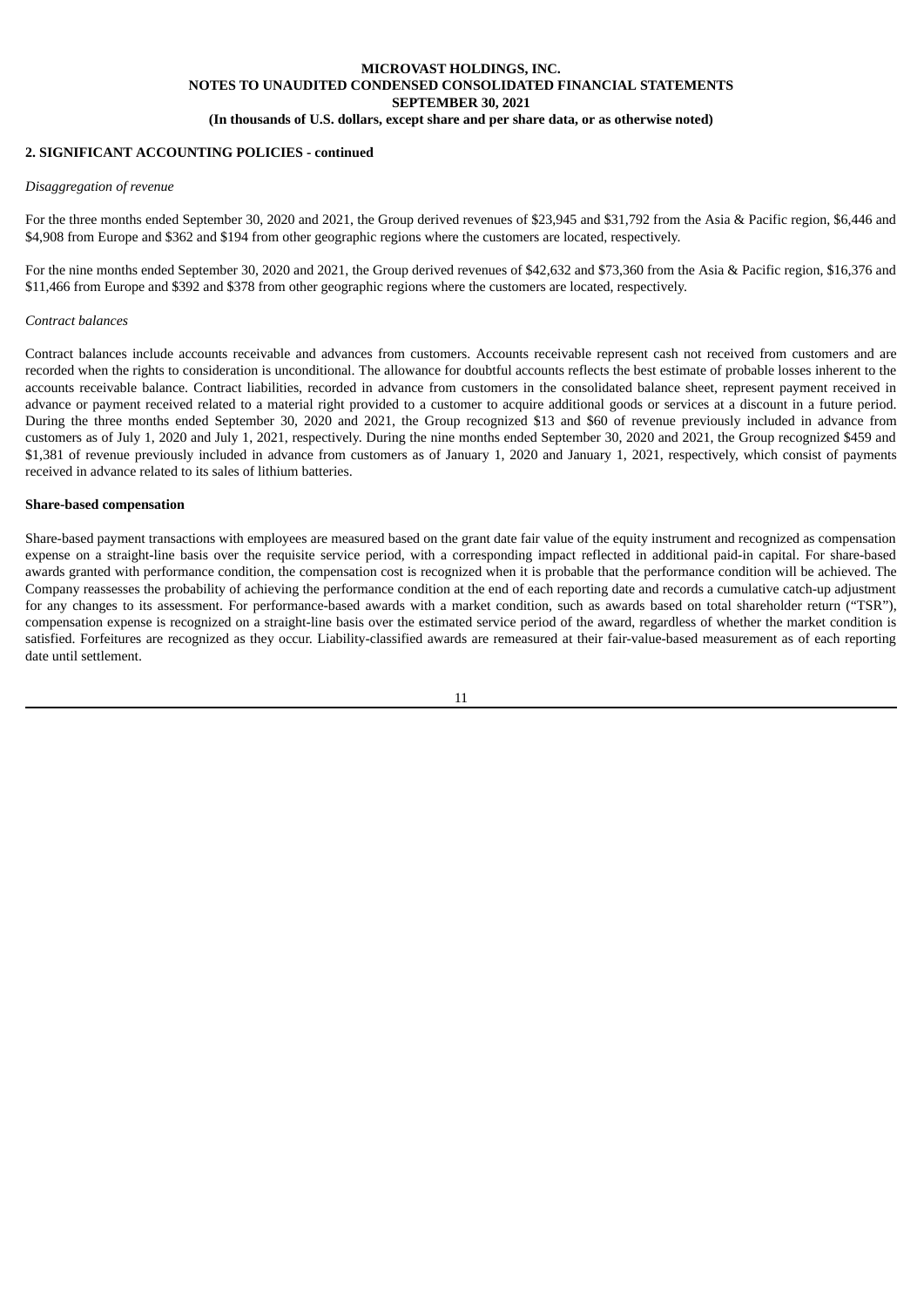### **(In thousands of U.S. dollars, except share and per share data, or as otherwise noted)**

#### **2. SIGNIFICANT ACCOUNTING POLICIES - continued**

#### *Disaggregation of revenue*

For the three months ended September 30, 2020 and 2021, the Group derived revenues of \$23,945 and \$31,792 from the Asia & Pacific region, \$6,446 and \$4,908 from Europe and \$362 and \$194 from other geographic regions where the customers are located, respectively.

For the nine months ended September 30, 2020 and 2021, the Group derived revenues of \$42,632 and \$73,360 from the Asia & Pacific region, \$16,376 and \$11,466 from Europe and \$392 and \$378 from other geographic regions where the customers are located, respectively.

#### *Contract balances*

Contract balances include accounts receivable and advances from customers. Accounts receivable represent cash not received from customers and are recorded when the rights to consideration is unconditional. The allowance for doubtful accounts reflects the best estimate of probable losses inherent to the accounts receivable balance. Contract liabilities, recorded in advance from customers in the consolidated balance sheet, represent payment received in advance or payment received related to a material right provided to a customer to acquire additional goods or services at a discount in a future period. During the three months ended September 30, 2020 and 2021, the Group recognized \$13 and \$60 of revenue previously included in advance from customers as of July 1, 2020 and July 1, 2021, respectively. During the nine months ended September 30, 2020 and 2021, the Group recognized \$459 and \$1,381 of revenue previously included in advance from customers as of January 1, 2020 and January 1, 2021, respectively, which consist of payments received in advance related to its sales of lithium batteries.

#### **Share-based compensation**

Share-based payment transactions with employees are measured based on the grant date fair value of the equity instrument and recognized as compensation expense on a straight-line basis over the requisite service period, with a corresponding impact reflected in additional paid-in capital. For share-based awards granted with performance condition, the compensation cost is recognized when it is probable that the performance condition will be achieved. The Company reassesses the probability of achieving the performance condition at the end of each reporting date and records a cumulative catch-up adjustment for any changes to its assessment. For performance-based awards with a market condition, such as awards based on total shareholder return ("TSR"). compensation expense is recognized on a straight-line basis over the estimated service period of the award, regardless of whether the market condition is satisfied. Forfeitures are recognized as they occur. Liability-classified awards are remeasured at their fair-value-based measurement as of each reporting date until settlement.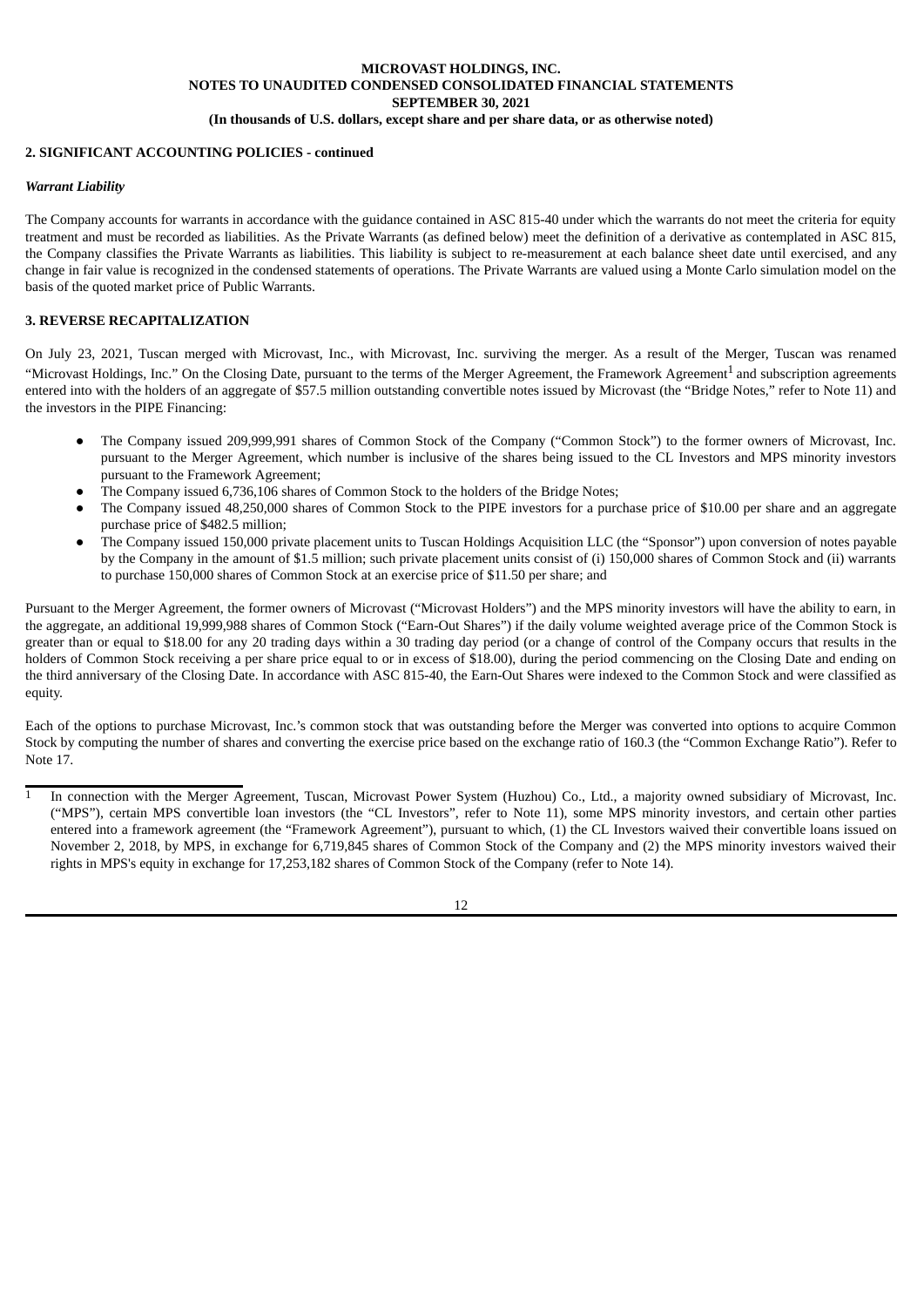### **(In thousands of U.S. dollars, except share and per share data, or as otherwise noted)**

### **2. SIGNIFICANT ACCOUNTING POLICIES - continued**

#### *Warrant Liability*

The Company accounts for warrants in accordance with the guidance contained in ASC 815-40 under which the warrants do not meet the criteria for equity treatment and must be recorded as liabilities. As the Private Warrants (as defined below) meet the definition of a derivative as contemplated in ASC 815, the Company classifies the Private Warrants as liabilities. This liability is subject to re-measurement at each balance sheet date until exercised, and any change in fair value is recognized in the condensed statements of operations. The Private Warrants are valued using a Monte Carlo simulation model on the basis of the quoted market price of Public Warrants.

### **3. REVERSE RECAPITALIZATION**

On July 23, 2021, Tuscan merged with Microvast, Inc., with Microvast, Inc. surviving the merger. As a result of the Merger, Tuscan was renamed "Microvast Holdings, Inc." On the Closing Date, pursuant to the terms of the Merger Agreement, the Framework Agreement<sup>1</sup> and subscription agreements entered into with the holders of an aggregate of \$57.5 million outstanding convertible notes issued by Microvast (the "Bridge Notes," refer to Note 11) and the investors in the PIPE Financing:

- The Company issued 209,999,991 shares of Common Stock of the Company ("Common Stock") to the former owners of Microvast, Inc. pursuant to the Merger Agreement, which number is inclusive of the shares being issued to the CL Investors and MPS minority investors pursuant to the Framework Agreement;
- The Company issued 6,736,106 shares of Common Stock to the holders of the Bridge Notes;
- The Company issued 48,250,000 shares of Common Stock to the PIPE investors for a purchase price of \$10.00 per share and an aggregate purchase price of \$482.5 million;
- The Company issued 150,000 private placement units to Tuscan Holdings Acquisition LLC (the "Sponsor") upon conversion of notes payable by the Company in the amount of \$1.5 million; such private placement units consist of (i) 150,000 shares of Common Stock and (ii) warrants to purchase 150,000 shares of Common Stock at an exercise price of \$11.50 per share; and

Pursuant to the Merger Agreement, the former owners of Microvast ("Microvast Holders") and the MPS minority investors will have the ability to earn, in the aggregate, an additional 19,999,988 shares of Common Stock ("Earn-Out Shares") if the daily volume weighted average price of the Common Stock is greater than or equal to \$18.00 for any 20 trading days within a 30 trading day period (or a change of control of the Company occurs that results in the holders of Common Stock receiving a per share price equal to or in excess of \$18.00), during the period commencing on the Closing Date and ending on the third anniversary of the Closing Date. In accordance with ASC 815-40, the Earn-Out Shares were indexed to the Common Stock and were classified as equity.

Each of the options to purchase Microvast, Inc.'s common stock that was outstanding before the Merger was converted into options to acquire Common Stock by computing the number of shares and converting the exercise price based on the exchange ratio of 160.3 (the "Common Exchange Ratio"). Refer to Note 17.

<sup>1</sup> In connection with the Merger Agreement, Tuscan, Microvast Power System (Huzhou) Co., Ltd., a majority owned subsidiary of Microvast, Inc. ("MPS"), certain MPS convertible loan investors (the "CL Investors", refer to Note 11), some MPS minority investors, and certain other parties entered into a framework agreement (the "Framework Agreement"), pursuant to which, (1) the CL Investors waived their convertible loans issued on November 2, 2018, by MPS, in exchange for 6,719,845 shares of Common Stock of the Company and (2) the MPS minority investors waived their rights in MPS's equity in exchange for 17,253,182 shares of Common Stock of the Company (refer to Note 14).

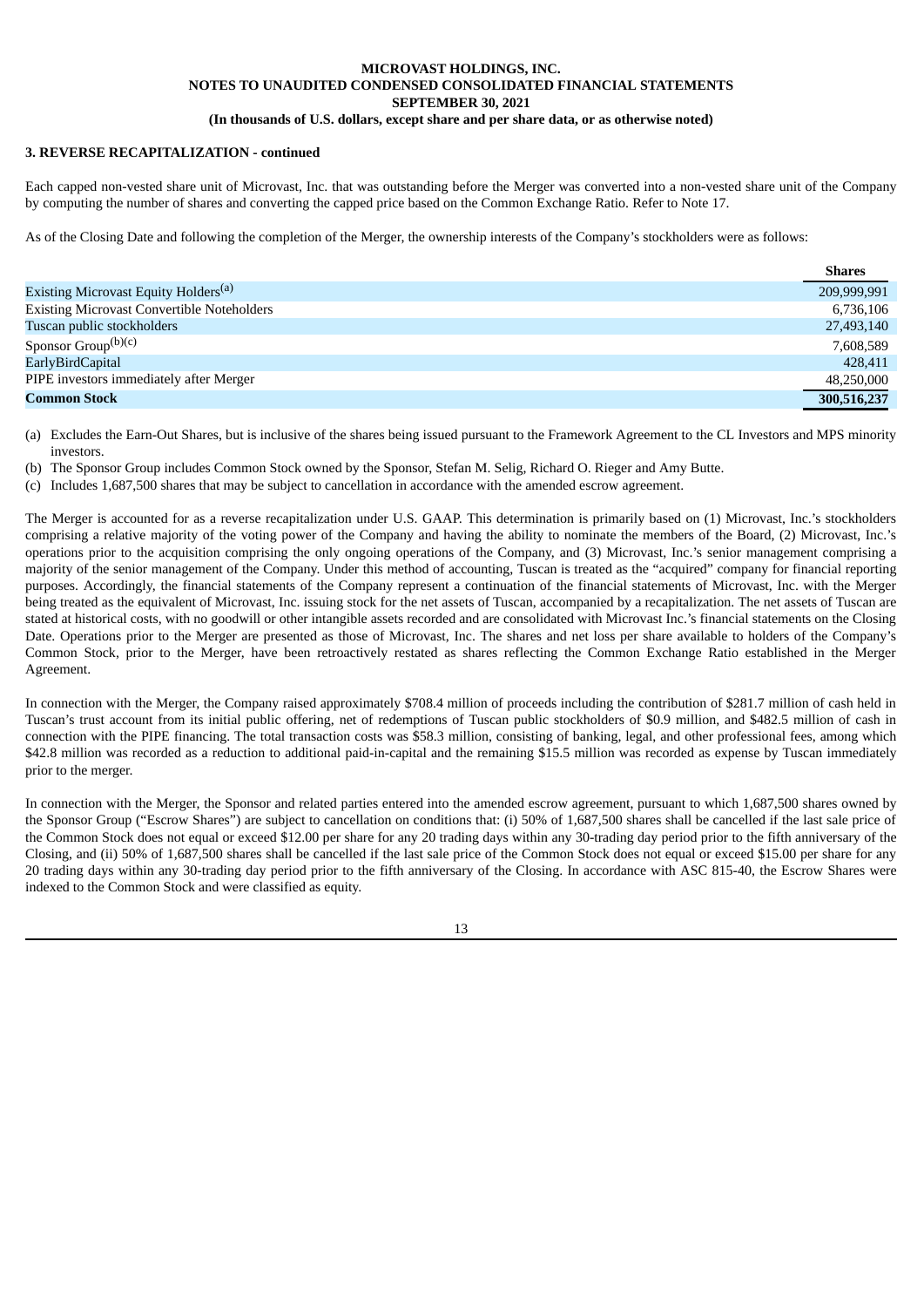#### **(In thousands of U.S. dollars, except share and per share data, or as otherwise noted)**

### **3. REVERSE RECAPITALIZATION - continued**

Each capped non-vested share unit of Microvast, Inc. that was outstanding before the Merger was converted into a non-vested share unit of the Company by computing the number of shares and converting the capped price based on the Common Exchange Ratio. Refer to Note 17.

As of the Closing Date and following the completion of the Merger, the ownership interests of the Company's stockholders were as follows:

|                                                   | <b>Shares</b> |
|---------------------------------------------------|---------------|
| Existing Microvast Equity Holders <sup>(a)</sup>  | 209,999,991   |
| <b>Existing Microvast Convertible Noteholders</b> | 6,736,106     |
| Tuscan public stockholders                        | 27,493,140    |
| Sponsor $Group^{(b)(c)}$                          | 7,608,589     |
| EarlyBirdCapital                                  | 428,411       |
| PIPE investors immediately after Merger           | 48,250,000    |
| <b>Common Stock</b>                               | 300,516,237   |

(a) Excludes the Earn-Out Shares, but is inclusive of the shares being issued pursuant to the Framework Agreement to the CL Investors and MPS minority investors.

(b) The Sponsor Group includes Common Stock owned by the Sponsor, Stefan M. Selig, Richard O. Rieger and Amy Butte.

(c) Includes 1,687,500 shares that may be subject to cancellation in accordance with the amended escrow agreement.

The Merger is accounted for as a reverse recapitalization under U.S. GAAP. This determination is primarily based on (1) Microvast, Inc.'s stockholders comprising a relative majority of the voting power of the Company and having the ability to nominate the members of the Board, (2) Microvast, Inc.'s operations prior to the acquisition comprising the only ongoing operations of the Company, and (3) Microvast, Inc.'s senior management comprising a majority of the senior management of the Company. Under this method of accounting, Tuscan is treated as the "acquired" company for financial reporting purposes. Accordingly, the financial statements of the Company represent a continuation of the financial statements of Microvast, Inc. with the Merger being treated as the equivalent of Microvast, Inc. issuing stock for the net assets of Tuscan, accompanied by a recapitalization. The net assets of Tuscan are stated at historical costs, with no goodwill or other intangible assets recorded and are consolidated with Microvast Inc.'s financial statements on the Closing Date. Operations prior to the Merger are presented as those of Microvast, Inc. The shares and net loss per share available to holders of the Company's Common Stock, prior to the Merger, have been retroactively restated as shares reflecting the Common Exchange Ratio established in the Merger Agreement.

In connection with the Merger, the Company raised approximately \$708.4 million of proceeds including the contribution of \$281.7 million of cash held in Tuscan's trust account from its initial public offering, net of redemptions of Tuscan public stockholders of \$0.9 million, and \$482.5 million of cash in connection with the PIPE financing. The total transaction costs was \$58.3 million, consisting of banking, legal, and other professional fees, among which \$42.8 million was recorded as a reduction to additional paid-in-capital and the remaining \$15.5 million was recorded as expense by Tuscan immediately prior to the merger.

In connection with the Merger, the Sponsor and related parties entered into the amended escrow agreement, pursuant to which 1,687,500 shares owned by the Sponsor Group ("Escrow Shares") are subject to cancellation on conditions that: (i) 50% of 1,687,500 shares shall be cancelled if the last sale price of the Common Stock does not equal or exceed \$12.00 per share for any 20 trading days within any 30-trading day period prior to the fifth anniversary of the Closing, and (ii) 50% of 1,687,500 shares shall be cancelled if the last sale price of the Common Stock does not equal or exceed \$15.00 per share for any 20 trading days within any 30-trading day period prior to the fifth anniversary of the Closing. In accordance with ASC 815-40, the Escrow Shares were indexed to the Common Stock and were classified as equity.

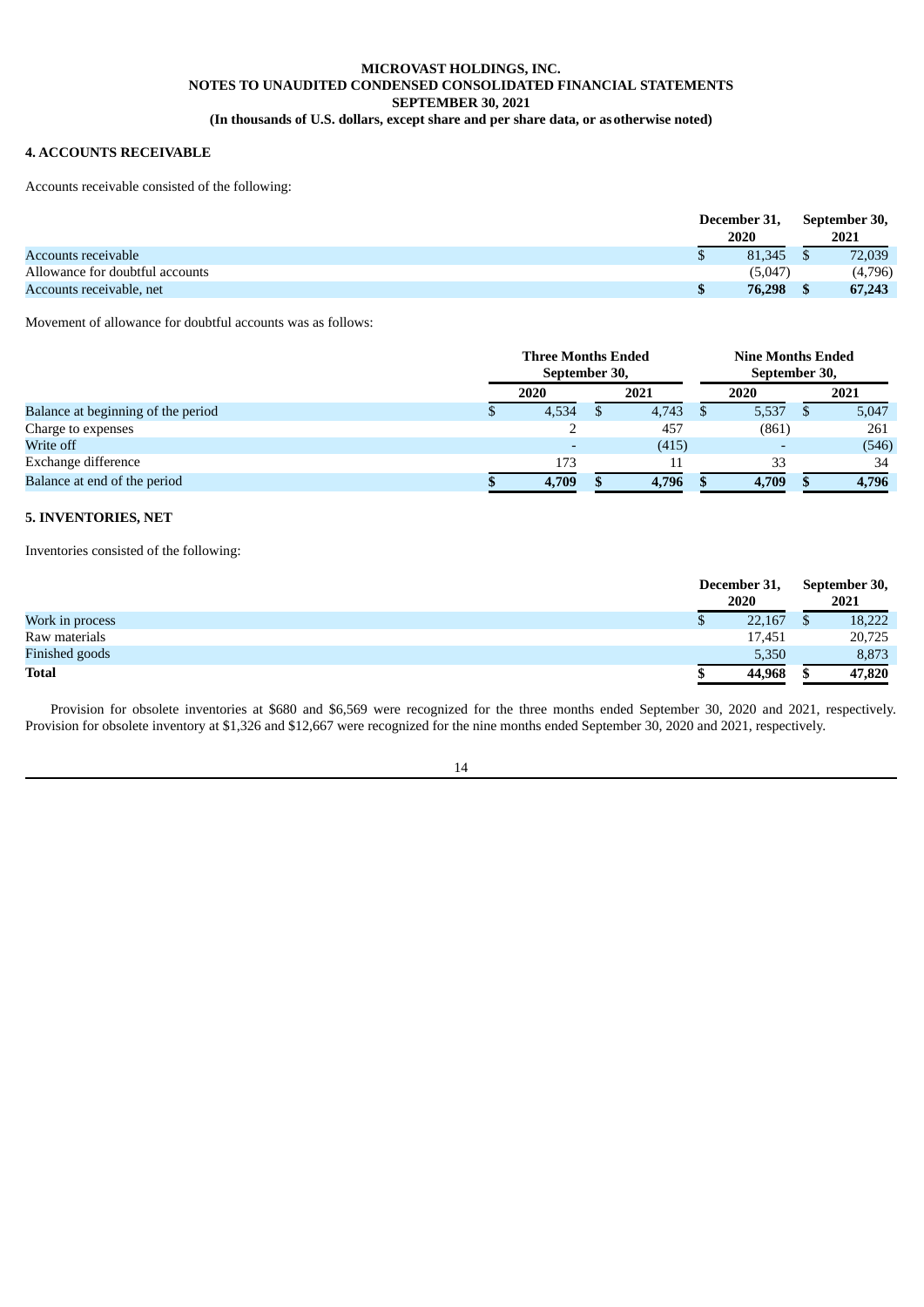# **(In thousands of U.S. dollars, except share and per share data, or as otherwise noted)**

### **4. ACCOUNTS RECEIVABLE**

Accounts receivable consisted of the following:

|                                 | December 31,<br>2020 |         | September 30,<br>2021 |         |  |
|---------------------------------|----------------------|---------|-----------------------|---------|--|
| Accounts receivable             |                      | 81,345  |                       | 72,039  |  |
| Allowance for doubtful accounts |                      | (5,047) |                       | (4,796) |  |
| Accounts receivable, net        |                      | 76,298  |                       | 67,243  |  |

Movement of allowance for doubtful accounts was as follows:

|                                    | <b>Three Months Ended</b><br>September 30, |  |       | <b>Nine Months Ended</b><br>September 30, |       |  |       |
|------------------------------------|--------------------------------------------|--|-------|-------------------------------------------|-------|--|-------|
|                                    | 2020                                       |  | 2021  |                                           | 2020  |  | 2021  |
| Balance at beginning of the period | 4,534                                      |  | 4,743 |                                           | 5,537 |  | 5,047 |
| Charge to expenses                 |                                            |  | 457   |                                           | (861) |  | 261   |
| Write off                          |                                            |  | (415) |                                           |       |  | (546) |
| Exchange difference                | 173                                        |  |       |                                           | 33    |  | 34    |
| Balance at end of the period       | 4.709                                      |  | 4,796 |                                           | 4,709 |  | 4,796 |

### **5. INVENTORIES, NET**

Inventories consisted of the following:

|                 | December 31,<br>2020 | September 30,<br>2021 |  |  |
|-----------------|----------------------|-----------------------|--|--|
| Work in process | 22,167<br>Φ          | 18,222                |  |  |
| Raw materials   | 17,451               | 20,725                |  |  |
| Finished goods  | 5,350                | 8,873                 |  |  |
| <b>Total</b>    | 44,968               | 47,820                |  |  |

Provision for obsolete inventories at \$680 and \$6,569 were recognized for the three months ended September 30, 2020 and 2021, respectively. Provision for obsolete inventory at \$1,326 and \$12,667 were recognized for the nine months ended September 30, 2020 and 2021, respectively.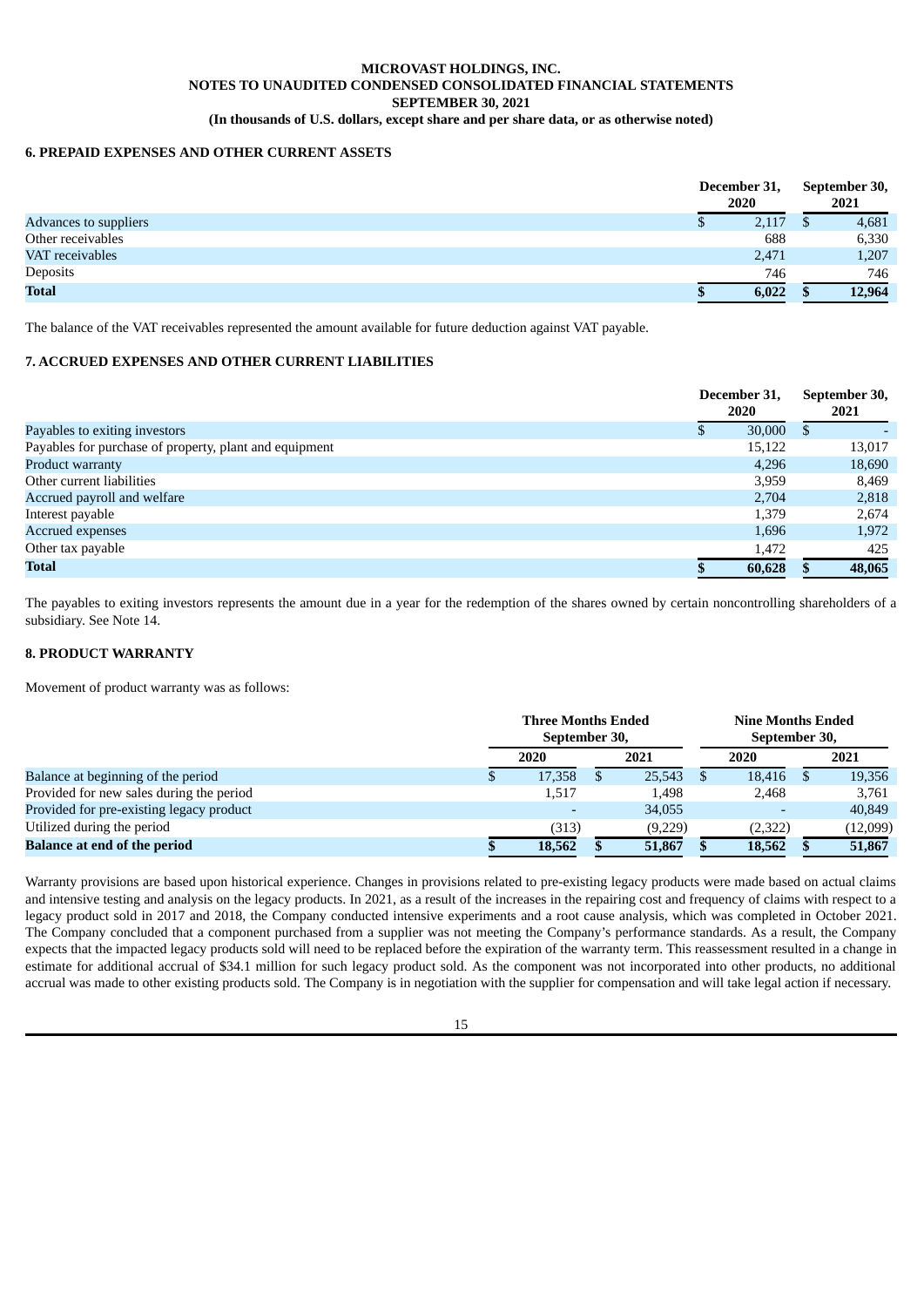### **(In thousands of U.S. dollars, except share and per share data, or as otherwise noted)**

#### **6. PREPAID EXPENSES AND OTHER CURRENT ASSETS**

|                       | December 31,<br>2020 |       | September 30,<br>2021 |
|-----------------------|----------------------|-------|-----------------------|
| Advances to suppliers |                      | 2,117 | 4,681                 |
| Other receivables     |                      | 688   | 6,330                 |
| VAT receivables       |                      | 2,471 | 1,207                 |
| Deposits              |                      | 746   | 746                   |
| <b>Total</b>          |                      | 6,022 | 12,964                |

The balance of the VAT receivables represented the amount available for future deduction against VAT payable.

#### **7. ACCRUED EXPENSES AND OTHER CURRENT LIABILITIES**

|                                                        | December 31.<br>2020 |        |     | September 30,<br>2021 |
|--------------------------------------------------------|----------------------|--------|-----|-----------------------|
| Payables to exiting investors                          | D                    | 30,000 | \$. |                       |
| Payables for purchase of property, plant and equipment |                      | 15,122 |     | 13,017                |
| Product warranty                                       |                      | 4.296  |     | 18,690                |
| Other current liabilities                              |                      | 3.959  |     | 8,469                 |
| Accrued payroll and welfare                            |                      | 2.704  |     | 2,818                 |
| Interest payable                                       |                      | 1.379  |     | 2,674                 |
| <b>Accrued expenses</b>                                |                      | 1,696  |     | 1,972                 |
| Other tax payable                                      |                      | 1,472  |     | 425                   |
| Total                                                  |                      | 60,628 |     | 48,065                |

The payables to exiting investors represents the amount due in a year for the redemption of the shares owned by certain noncontrolling shareholders of a subsidiary. See Note 14.

### **8. PRODUCT WARRANTY**

Movement of product warranty was as follows:

|                                          | <b>Three Months Ended</b><br>September 30, |  |         |  | <b>Nine Months Ended</b><br>September 30, |  |          |
|------------------------------------------|--------------------------------------------|--|---------|--|-------------------------------------------|--|----------|
|                                          | 2020                                       |  | 2021    |  | 2020                                      |  | 2021     |
| Balance at beginning of the period       | 17,358                                     |  | 25,543  |  | 18,416                                    |  | 19,356   |
| Provided for new sales during the period | 1,517                                      |  | 1,498   |  | 2,468                                     |  | 3.761    |
| Provided for pre-existing legacy product |                                            |  | 34,055  |  |                                           |  | 40,849   |
| Utilized during the period               | (313)                                      |  | (9,229) |  | (2,322)                                   |  | (12,099) |
| <b>Balance at end of the period</b>      | 18,562                                     |  | 51,867  |  | 18,562                                    |  | 51,867   |

Warranty provisions are based upon historical experience. Changes in provisions related to pre-existing legacy products were made based on actual claims and intensive testing and analysis on the legacy products. In 2021, as a result of the increases in the repairing cost and frequency of claims with respect to a legacy product sold in 2017 and 2018, the Company conducted intensive experiments and a root cause analysis, which was completed in October 2021. The Company concluded that a component purchased from a supplier was not meeting the Company's performance standards. As a result, the Company expects that the impacted legacy products sold will need to be replaced before the expiration of the warranty term. This reassessment resulted in a change in estimate for additional accrual of \$34.1 million for such legacy product sold. As the component was not incorporated into other products, no additional accrual was made to other existing products sold. The Company is in negotiation with the supplier for compensation and will take legal action if necessary.

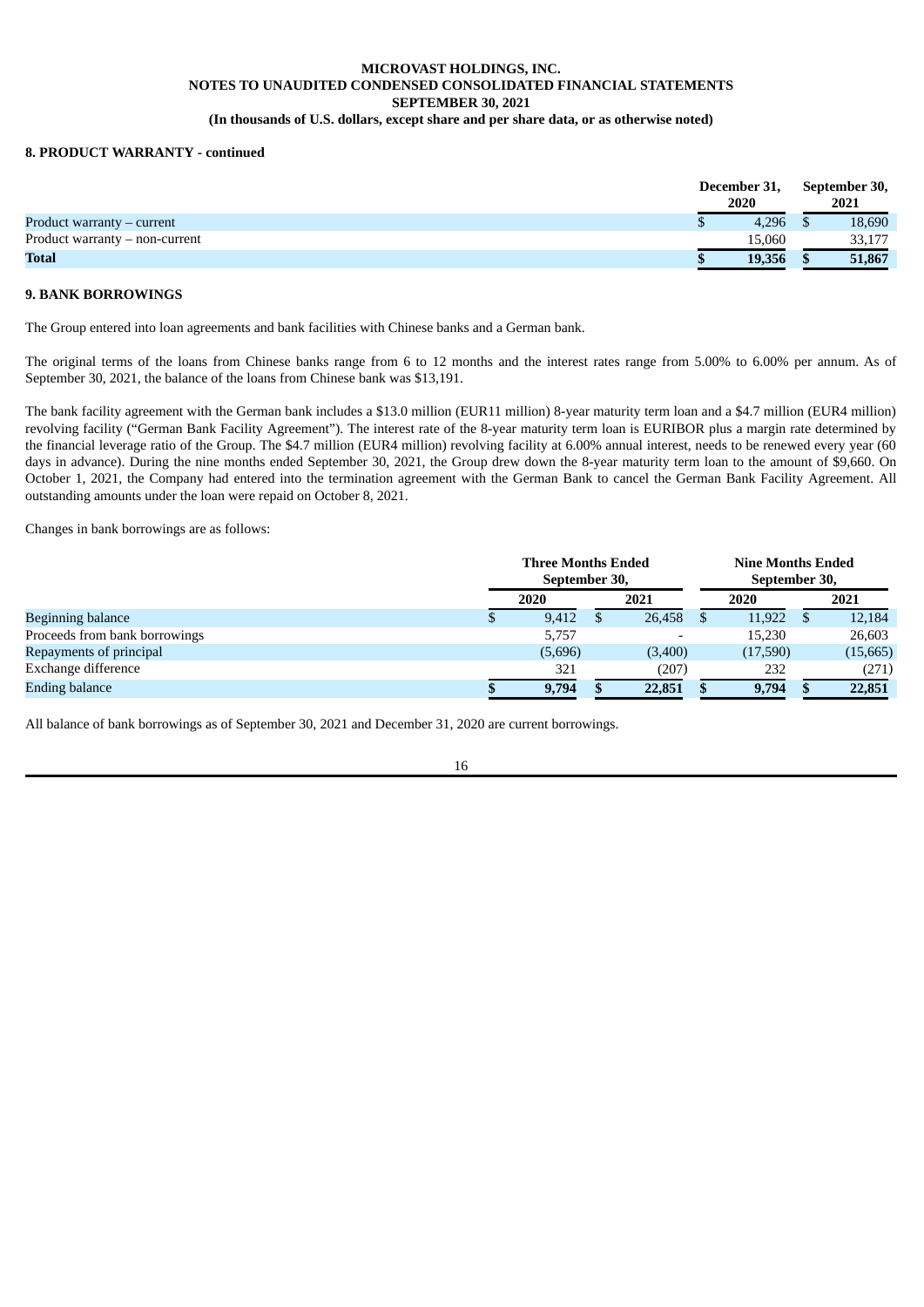### **(In thousands of U.S. dollars, except share and per share data, or as otherwise noted)**

#### **8. PRODUCT WARRANTY - continued**

|                                  | December 31, |        | September 30, |        |  |
|----------------------------------|--------------|--------|---------------|--------|--|
|                                  | 2020         |        |               | 2021   |  |
| Product warranty – current       |              | 4.296  |               | 18,690 |  |
| $Product warranty - non-current$ |              | 15.060 |               | 33,177 |  |
| <b>Total</b>                     |              | 19,356 |               | 51,867 |  |

#### **9. BANK BORROWINGS**

The Group entered into loan agreements and bank facilities with Chinese banks and a German bank.

The original terms of the loans from Chinese banks range from 6 to 12 months and the interest rates range from 5.00% to 6.00% per annum. As of September 30, 2021, the balance of the loans from Chinese bank was \$13,191.

The bank facility agreement with the German bank includes a \$13.0 million (EUR11 million) 8-year maturity term loan and a \$4.7 million (EUR4 million) revolving facility ("German Bank Facility Agreement"). The interest rate of the 8-year maturity term loan is EURIBOR plus a margin rate determined by the financial leverage ratio of the Group. The \$4.7 million (EUR4 million) revolving facility at 6.00% annual interest, needs to be renewed every year (60 days in advance). During the nine months ended September 30, 2021, the Group drew down the 8-year maturity term loan to the amount of \$9,660. On October 1, 2021, the Company had entered into the termination agreement with the German Bank to cancel the German Bank Facility Agreement. All outstanding amounts under the loan were repaid on October 8, 2021.

Changes in bank borrowings are as follows:

|                               | <b>Three Months Ended</b><br>September 30, |  |                          |  | <b>Nine Months Ended</b><br>September 30, |  |           |
|-------------------------------|--------------------------------------------|--|--------------------------|--|-------------------------------------------|--|-----------|
|                               | 2020                                       |  | 2021                     |  | 2020                                      |  | 2021      |
| Beginning balance             | 9,412                                      |  | 26,458                   |  | 11,922                                    |  | 12,184    |
| Proceeds from bank borrowings | 5,757                                      |  | $\overline{\phantom{a}}$ |  | 15,230                                    |  | 26,603    |
| Repayments of principal       | (5,696)                                    |  | (3,400)                  |  | (17,590)                                  |  | (15, 665) |
| Exchange difference           | 321                                        |  | (207)                    |  | 232                                       |  | (271)     |
| <b>Ending balance</b>         | 9,794                                      |  | 22,851                   |  | 9,794                                     |  | 22,851    |

All balance of bank borrowings as of September 30, 2021 and December 31, 2020 are current borrowings.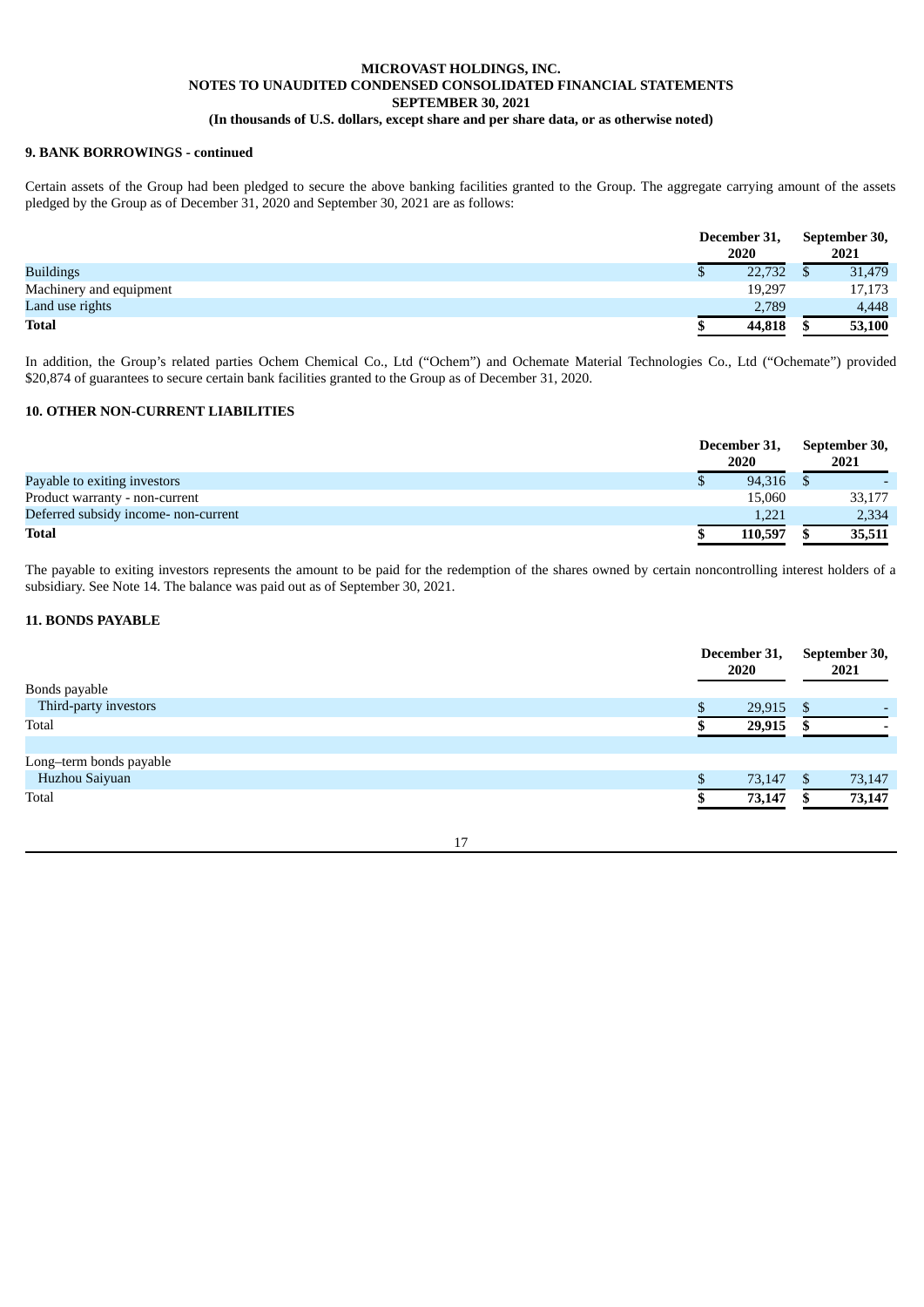## **(In thousands of U.S. dollars, except share and per share data, or as otherwise noted)**

#### **9. BANK BORROWINGS - continued**

Certain assets of the Group had been pledged to secure the above banking facilities granted to the Group. The aggregate carrying amount of the assets pledged by the Group as of December 31, 2020 and September 30, 2021 are as follows:

|                         | December 31, | September 30, |        |  |
|-------------------------|--------------|---------------|--------|--|
|                         | 2020         | 2021          |        |  |
| <b>Buildings</b>        | 22,732       |               | 31,479 |  |
| Machinery and equipment | 19,297       |               | 17,173 |  |
| Land use rights         | 2,789        |               | 4,448  |  |
| <b>Total</b>            | 44,818       |               | 53,100 |  |

In addition, the Group's related parties Ochem Chemical Co., Ltd ("Ochem") and Ochemate Material Technologies Co., Ltd ("Ochemate") provided \$20,874 of guarantees to secure certain bank facilities granted to the Group as of December 31, 2020.

### **10. OTHER NON-CURRENT LIABILITIES**

|                                      | December 31,<br>2020 | September 30,<br>2021 |        |
|--------------------------------------|----------------------|-----------------------|--------|
| Payable to exiting investors         | 94.316               |                       |        |
| Product warranty - non-current       | 15.060               |                       | 33,177 |
| Deferred subsidy income- non-current | 1.221                |                       | 2,334  |
| <b>Total</b>                         | 110,597              |                       | 35,511 |

The payable to exiting investors represents the amount to be paid for the redemption of the shares owned by certain noncontrolling interest holders of a subsidiary. See Note 14. The balance was paid out as of September 30, 2021.

### **11. BONDS PAYABLE**

| Bonds payable           | December 31,<br>2020 |          | September 30,<br>2021 |
|-------------------------|----------------------|----------|-----------------------|
| Third-party investors   | 29,915               | £.       |                       |
| Total                   | 29,915               |          |                       |
|                         |                      |          |                       |
| Long-term bonds payable |                      |          |                       |
| Huzhou Saiyuan          | 73,147               | <b>S</b> | 73,147                |
| Total                   | 73,147               |          | 73,147                |
|                         |                      |          |                       |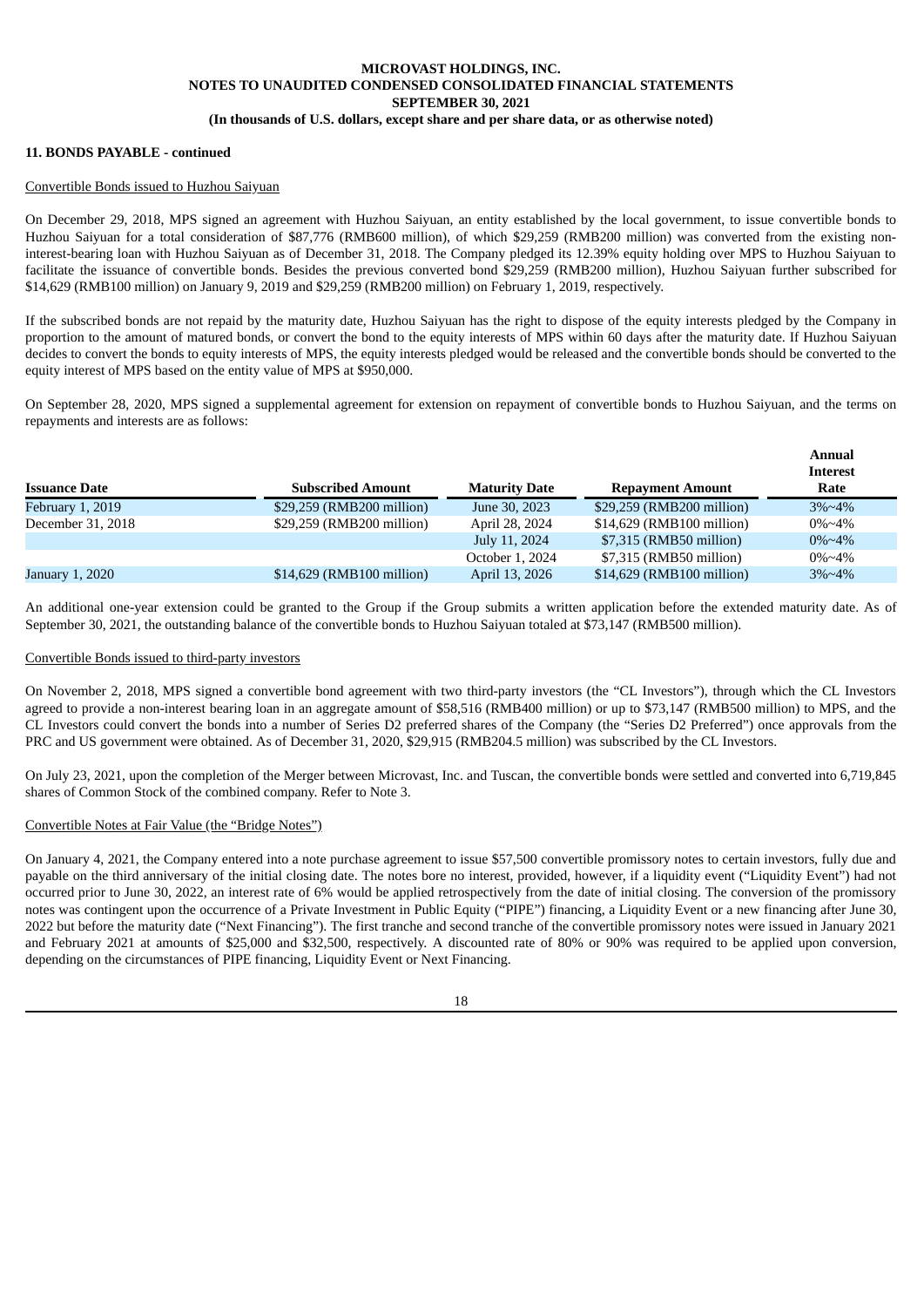### **(In thousands of U.S. dollars, except share and per share data, or as otherwise noted)**

#### **11. BONDS PAYABLE - continued**

#### Convertible Bonds issued to Huzhou Saiyuan

On December 29, 2018, MPS signed an agreement with Huzhou Saiyuan, an entity established by the local government, to issue convertible bonds to Huzhou Saiyuan for a total consideration of \$87,776 (RMB600 million), of which \$29,259 (RMB200 million) was converted from the existing noninterest-bearing loan with Huzhou Saiyuan as of December 31, 2018. The Company pledged its 12.39% equity holding over MPS to Huzhou Saiyuan to facilitate the issuance of convertible bonds. Besides the previous converted bond \$29,259 (RMB200 million), Huzhou Saiyuan further subscribed for \$14,629 (RMB100 million) on January 9, 2019 and \$29,259 (RMB200 million) on February 1, 2019, respectively.

If the subscribed bonds are not repaid by the maturity date, Huzhou Saiyuan has the right to dispose of the equity interests pledged by the Company in proportion to the amount of matured bonds, or convert the bond to the equity interests of MPS within 60 days after the maturity date. If Huzhou Saiyuan decides to convert the bonds to equity interests of MPS, the equity interests pledged would be released and the convertible bonds should be converted to the equity interest of MPS based on the entity value of MPS at \$950,000.

On September 28, 2020, MPS signed a supplemental agreement for extension on repayment of convertible bonds to Huzhou Saiyuan, and the terms on repayments and interests are as follows:

|                         |                           |                      |                           | Annual<br><b>Interest</b> |
|-------------------------|---------------------------|----------------------|---------------------------|---------------------------|
| <b>Issuance Date</b>    | <b>Subscribed Amount</b>  | <b>Maturity Date</b> | <b>Repayment Amount</b>   | Rate                      |
| <b>February 1, 2019</b> | \$29,259 (RMB200 million) | June 30, 2023        | \$29,259 (RMB200 million) | $3\% \sim 4\%$            |
| December 31, 2018       | \$29,259 (RMB200 million) | April 28, 2024       | \$14,629 (RMB100 million) | $0\% \sim 4\%$            |
|                         |                           | July 11, 2024        | \$7,315 (RMB50 million)   | $0\% \sim 4\%$            |
|                         |                           | October 1, 2024      | \$7,315 (RMB50 million)   | $0\% \sim 4\%$            |
| January 1, 2020         | \$14,629 (RMB100 million) | April 13, 2026       | \$14,629 (RMB100 million) | $3\% \sim 4\%$            |

An additional one-year extension could be granted to the Group if the Group submits a written application before the extended maturity date. As of September 30, 2021, the outstanding balance of the convertible bonds to Huzhou Saiyuan totaled at \$73,147 (RMB500 million).

#### Convertible Bonds issued to third-party investors

On November 2, 2018, MPS signed a convertible bond agreement with two third-party investors (the "CL Investors"), through which the CL Investors agreed to provide a non-interest bearing loan in an aggregate amount of \$58,516 (RMB400 million) or up to \$73,147 (RMB500 million) to MPS, and the CL Investors could convert the bonds into a number of Series D2 preferred shares of the Company (the "Series D2 Preferred") once approvals from the PRC and US government were obtained. As of December 31, 2020, \$29,915 (RMB204.5 million) was subscribed by the CL Investors.

On July 23, 2021, upon the completion of the Merger between Microvast, Inc. and Tuscan, the convertible bonds were settled and converted into 6,719,845 shares of Common Stock of the combined company. Refer to Note 3.

#### Convertible Notes at Fair Value (the "Bridge Notes")

On January 4, 2021, the Company entered into a note purchase agreement to issue \$57,500 convertible promissory notes to certain investors, fully due and payable on the third anniversary of the initial closing date. The notes bore no interest, provided, however, if a liquidity event ("Liquidity Event") had not occurred prior to June 30, 2022, an interest rate of 6% would be applied retrospectively from the date of initial closing. The conversion of the promissory notes was contingent upon the occurrence of a Private Investment in Public Equity ("PIPE") financing, a Liquidity Event or a new financing after June 30, 2022 but before the maturity date ("Next Financing"). The first tranche and second tranche of the convertible promissory notes were issued in January 2021 and February 2021 at amounts of \$25,000 and \$32,500, respectively. A discounted rate of 80% or 90% was required to be applied upon conversion, depending on the circumstances of PIPE financing, Liquidity Event or Next Financing.

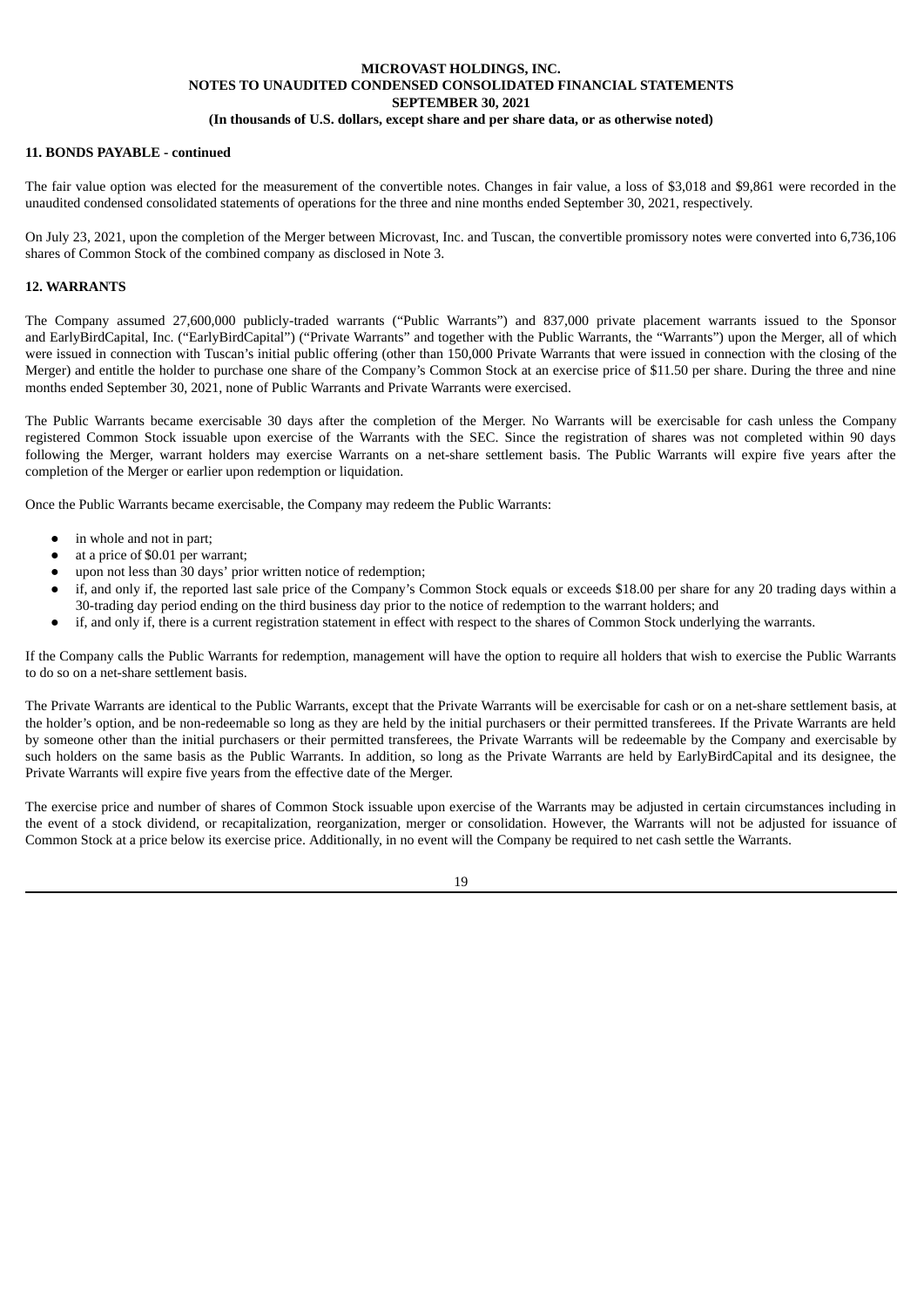### **(In thousands of U.S. dollars, except share and per share data, or as otherwise noted)**

#### **11. BONDS PAYABLE - continued**

The fair value option was elected for the measurement of the convertible notes. Changes in fair value, a loss of \$3,018 and \$9,861 were recorded in the unaudited condensed consolidated statements of operations for the three and nine months ended September 30, 2021, respectively.

On July 23, 2021, upon the completion of the Merger between Microvast, Inc. and Tuscan, the convertible promissory notes were converted into 6,736,106 shares of Common Stock of the combined company as disclosed in Note 3.

#### **12. WARRANTS**

The Company assumed 27,600,000 publicly-traded warrants ("Public Warrants") and 837,000 private placement warrants issued to the Sponsor and EarlyBirdCapital, Inc. ("EarlyBirdCapital") ("Private Warrants" and together with the Public Warrants, the "Warrants") upon the Merger, all of which were issued in connection with Tuscan's initial public offering (other than 150,000 Private Warrants that were issued in connection with the closing of the Merger) and entitle the holder to purchase one share of the Company's Common Stock at an exercise price of \$11.50 per share. During the three and nine months ended September 30, 2021, none of Public Warrants and Private Warrants were exercised.

The Public Warrants became exercisable 30 days after the completion of the Merger. No Warrants will be exercisable for cash unless the Company registered Common Stock issuable upon exercise of the Warrants with the SEC. Since the registration of shares was not completed within 90 days following the Merger, warrant holders may exercise Warrants on a net-share settlement basis. The Public Warrants will expire five years after the completion of the Merger or earlier upon redemption or liquidation.

Once the Public Warrants became exercisable, the Company may redeem the Public Warrants:

- in whole and not in part;
- at a price of \$0.01 per warrant;
- upon not less than 30 days' prior written notice of redemption;
- if, and only if, the reported last sale price of the Company's Common Stock equals or exceeds \$18.00 per share for any 20 trading days within a 30-trading day period ending on the third business day prior to the notice of redemption to the warrant holders; and
- if, and only if, there is a current registration statement in effect with respect to the shares of Common Stock underlying the warrants.

If the Company calls the Public Warrants for redemption, management will have the option to require all holders that wish to exercise the Public Warrants to do so on a net-share settlement basis.

The Private Warrants are identical to the Public Warrants, except that the Private Warrants will be exercisable for cash or on a net-share settlement basis, at the holder's option, and be non-redeemable so long as they are held by the initial purchasers or their permitted transferees. If the Private Warrants are held by someone other than the initial purchasers or their permitted transferees, the Private Warrants will be redeemable by the Company and exercisable by such holders on the same basis as the Public Warrants. In addition, so long as the Private Warrants are held by EarlyBirdCapital and its designee, the Private Warrants will expire five years from the effective date of the Merger.

The exercise price and number of shares of Common Stock issuable upon exercise of the Warrants may be adjusted in certain circumstances including in the event of a stock dividend, or recapitalization, reorganization, merger or consolidation. However, the Warrants will not be adjusted for issuance of Common Stock at a price below its exercise price. Additionally, in no event will the Company be required to net cash settle the Warrants.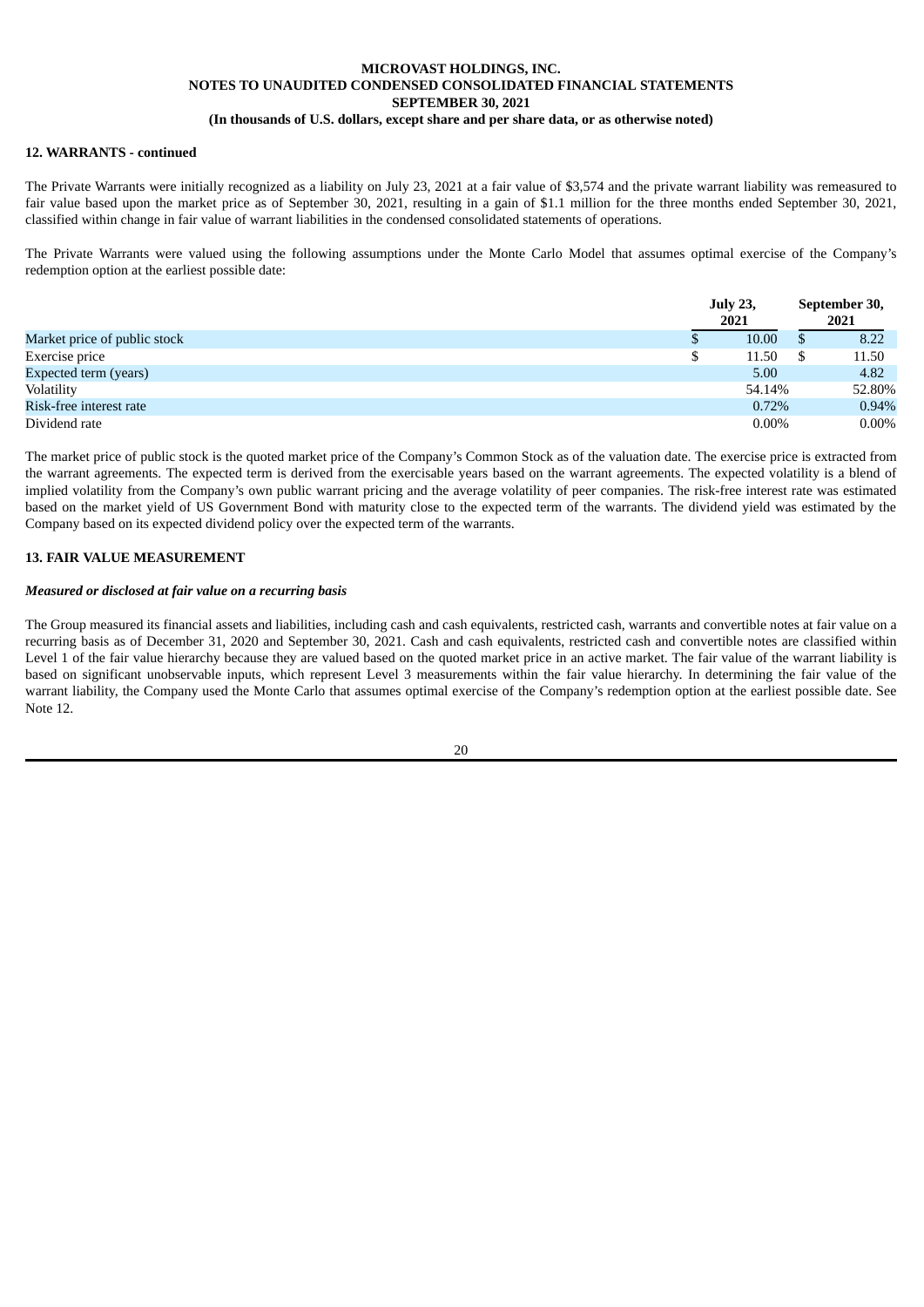#### **MICROVAST HOLDINGS, INC. NOTES TO UNAUDITED CONDENSED CONSOLIDATED FINANCIAL STATEMENTS SEPTEMBER 30, 2021 (In thousands of U.S. dollars, except share and per share data, or as otherwise noted)**

#### **12. WARRANTS - continued**

The Private Warrants were initially recognized as a liability on July 23, 2021 at a fair value of \$3,574 and the private warrant liability was remeasured to fair value based upon the market price as of September 30, 2021, resulting in a gain of \$1.1 million for the three months ended September 30, 2021, classified within change in fair value of warrant liabilities in the condensed consolidated statements of operations.

The Private Warrants were valued using the following assumptions under the Monte Carlo Model that assumes optimal exercise of the Company's redemption option at the earliest possible date:

|                              | <b>July 23,</b><br>2021 |               | September 30,<br>2021 |
|------------------------------|-------------------------|---------------|-----------------------|
| Market price of public stock | 10.00                   | <sup>\$</sup> | 8.22                  |
| Exercise price               | 11.50                   | S             | 11.50                 |
| Expected term (years)        | 5.00                    |               | 4.82                  |
| Volatility                   | 54.14%                  |               | 52.80%                |
| Risk-free interest rate      | 0.72%                   |               | 0.94%                 |
| Dividend rate                | $0.00\%$                |               | $0.00\%$              |

The market price of public stock is the quoted market price of the Company's Common Stock as of the valuation date. The exercise price is extracted from the warrant agreements. The expected term is derived from the exercisable years based on the warrant agreements. The expected volatility is a blend of implied volatility from the Company's own public warrant pricing and the average volatility of peer companies. The risk-free interest rate was estimated based on the market yield of US Government Bond with maturity close to the expected term of the warrants. The dividend yield was estimated by the Company based on its expected dividend policy over the expected term of the warrants.

#### **13. FAIR VALUE MEASUREMENT**

#### *Measured or disclosed at fair value on a recurring basis*

The Group measured its financial assets and liabilities, including cash and cash equivalents, restricted cash, warrants and convertible notes at fair value on a recurring basis as of December 31, 2020 and September 30, 2021. Cash and cash equivalents, restricted cash and convertible notes are classified within Level 1 of the fair value hierarchy because they are valued based on the quoted market price in an active market. The fair value of the warrant liability is based on significant unobservable inputs, which represent Level 3 measurements within the fair value hierarchy. In determining the fair value of the warrant liability, the Company used the Monte Carlo that assumes optimal exercise of the Company's redemption option at the earliest possible date. See Note 12.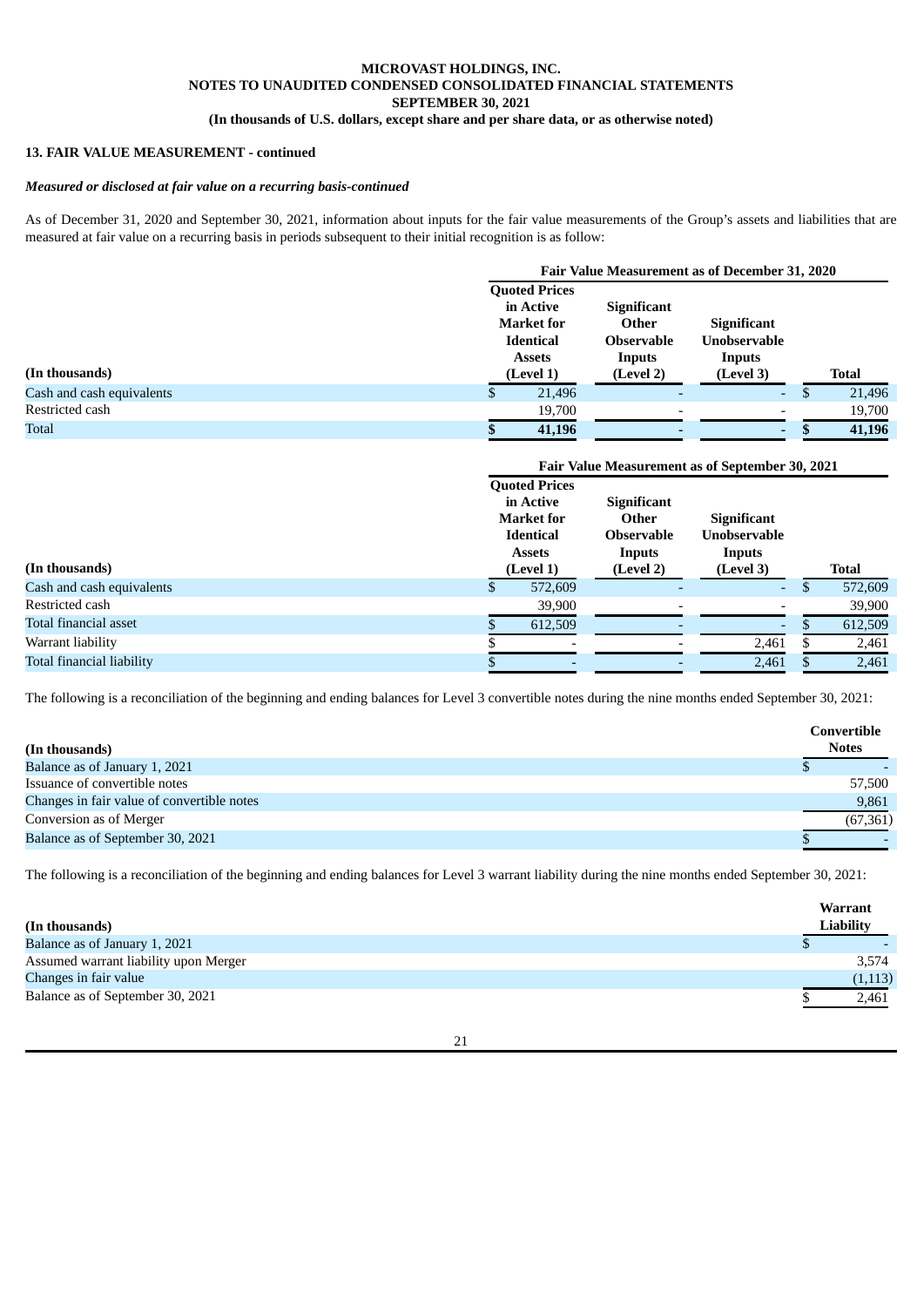### **(In thousands of U.S. dollars, except share and per share data, or as otherwise noted)**

#### **13. FAIR VALUE MEASUREMENT - continued**

#### *Measured or disclosed at fair value on a recurring basis-continued*

As of December 31, 2020 and September 30, 2021, information about inputs for the fair value measurements of the Group's assets and liabilities that are measured at fair value on a recurring basis in periods subsequent to their initial recognition is as follow:

|                           |                      | <b>Fair Value Measurement as of December 31, 2020</b> |                          |  |              |  |  |  |
|---------------------------|----------------------|-------------------------------------------------------|--------------------------|--|--------------|--|--|--|
|                           | <b>Quoted Prices</b> |                                                       |                          |  |              |  |  |  |
|                           | in Active            | <b>Significant</b>                                    |                          |  |              |  |  |  |
|                           | <b>Market for</b>    | Other                                                 | <b>Significant</b>       |  |              |  |  |  |
|                           | <b>Identical</b>     | <b>Observable</b>                                     | Unobservable             |  |              |  |  |  |
|                           | <b>Assets</b>        | Inputs                                                | Inputs                   |  |              |  |  |  |
| (In thousands)            | (Level 1)            | (Level 2)                                             | (Level 3)                |  | <b>Total</b> |  |  |  |
| Cash and cash equivalents | 21,496<br>Φ          |                                                       | ۰                        |  | 21,496       |  |  |  |
| Restricted cash           | 19,700               | $\overline{\phantom{a}}$                              | $\overline{\phantom{0}}$ |  | 19,700       |  |  |  |
| Total                     | 41,196               |                                                       | $\sim$                   |  | 41,196       |  |  |  |

|                           | <b>Fair Value Measurement as of September 30, 2021</b> |                                                                                             |                                                            |                                                     |   |              |
|---------------------------|--------------------------------------------------------|---------------------------------------------------------------------------------------------|------------------------------------------------------------|-----------------------------------------------------|---|--------------|
|                           |                                                        | <b>Quoted Prices</b><br>in Active<br><b>Market for</b><br><b>Identical</b><br><b>Assets</b> | <b>Significant</b><br>Other<br><b>Observable</b><br>Inputs | <b>Significant</b><br><b>Unobservable</b><br>Inputs |   |              |
| (In thousands)            |                                                        | (Level 1)                                                                                   | (Level 2)                                                  | (Level 3)                                           |   | <b>Total</b> |
| Cash and cash equivalents | \$.                                                    | 572,609                                                                                     | $\overline{\phantom{0}}$                                   | ٠.                                                  | S | 572,609      |
| Restricted cash           |                                                        | 39,900                                                                                      | $\overline{\phantom{0}}$                                   |                                                     |   | 39,900       |
| Total financial asset     |                                                        | 612,509                                                                                     |                                                            | ۰                                                   |   | 612,509      |
| Warrant liability         |                                                        |                                                                                             |                                                            | 2,461                                               |   | 2,461        |
| Total financial liability |                                                        |                                                                                             |                                                            | 2,461                                               |   | 2,461        |

The following is a reconciliation of the beginning and ending balances for Level 3 convertible notes during the nine months ended September 30, 2021:

| (In thousands)                             | Convertible<br><b>Notes</b> |
|--------------------------------------------|-----------------------------|
| Balance as of January 1, 2021              |                             |
| Issuance of convertible notes              | 57,500                      |
| Changes in fair value of convertible notes | 9,861                       |
| Conversion as of Merger                    | (67, 361)                   |
| Balance as of September 30, 2021           |                             |

The following is a reconciliation of the beginning and ending balances for Level 3 warrant liability during the nine months ended September 30, 2021:

| (In thousands)                        | <b>Warrant</b><br>Liability |
|---------------------------------------|-----------------------------|
| Balance as of January 1, 2021         |                             |
| Assumed warrant liability upon Merger | 3,574                       |
| Changes in fair value                 | (1, 113)                    |
| Balance as of September 30, 2021      | 2,461                       |

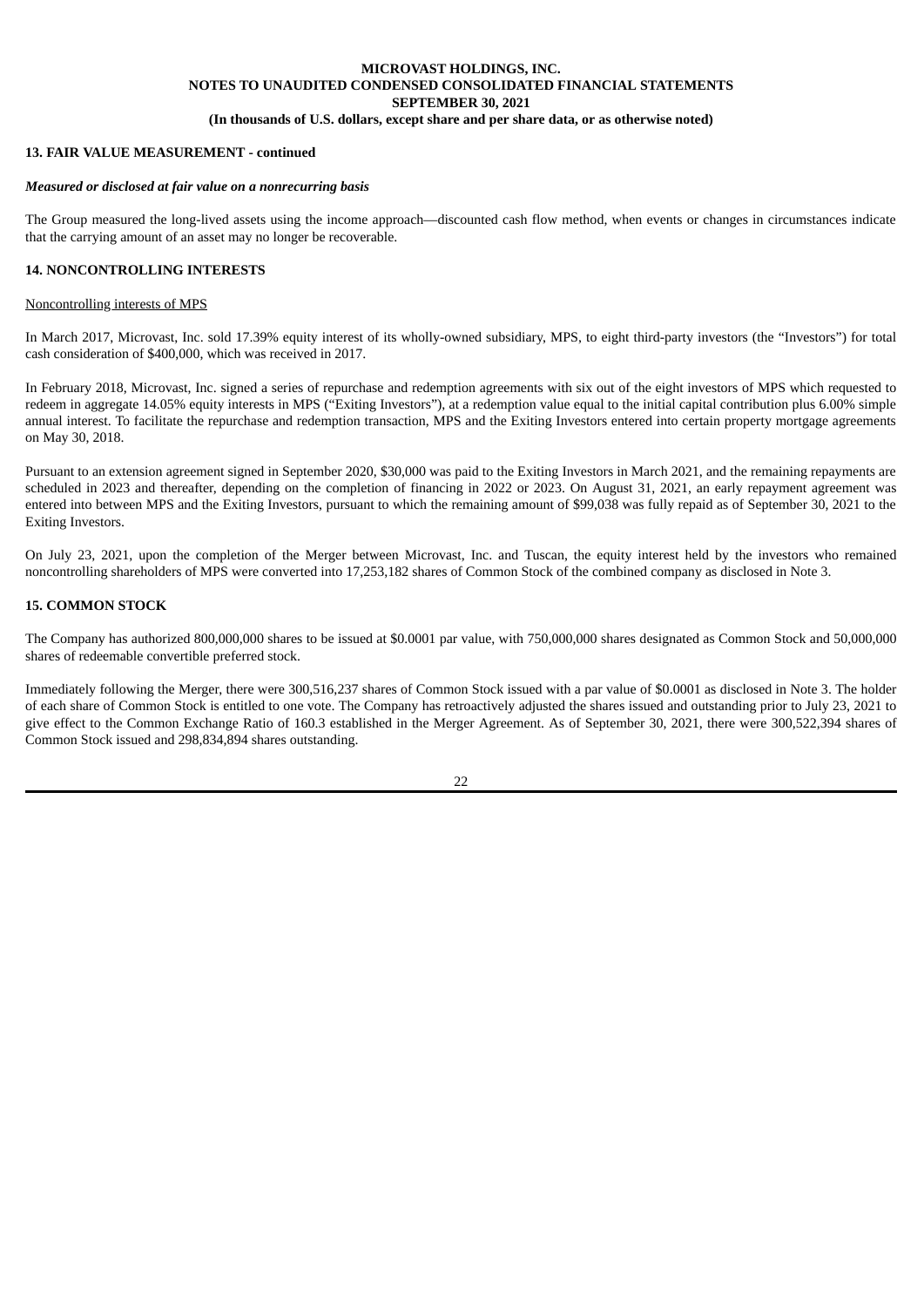#### **(In thousands of U.S. dollars, except share and per share data, or as otherwise noted)**

#### **13. FAIR VALUE MEASUREMENT - continued**

#### *Measured or disclosed at fair value on a nonrecurring basis*

The Group measured the long-lived assets using the income approach—discounted cash flow method, when events or changes in circumstances indicate that the carrying amount of an asset may no longer be recoverable.

#### **14. NONCONTROLLING INTERESTS**

#### Noncontrolling interests of MPS

In March 2017, Microvast, Inc. sold 17.39% equity interest of its wholly-owned subsidiary, MPS, to eight third-party investors (the "Investors") for total cash consideration of \$400,000, which was received in 2017.

In February 2018, Microvast, Inc. signed a series of repurchase and redemption agreements with six out of the eight investors of MPS which requested to redeem in aggregate 14.05% equity interests in MPS ("Exiting Investors"), at a redemption value equal to the initial capital contribution plus 6.00% simple annual interest. To facilitate the repurchase and redemption transaction, MPS and the Exiting Investors entered into certain property mortgage agreements on May 30, 2018.

Pursuant to an extension agreement signed in September 2020, \$30,000 was paid to the Exiting Investors in March 2021, and the remaining repayments are scheduled in 2023 and thereafter, depending on the completion of financing in 2022 or 2023. On August 31, 2021, an early repayment agreement was entered into between MPS and the Exiting Investors, pursuant to which the remaining amount of \$99,038 was fully repaid as of September 30, 2021 to the Exiting Investors.

On July 23, 2021, upon the completion of the Merger between Microvast, Inc. and Tuscan, the equity interest held by the investors who remained noncontrolling shareholders of MPS were converted into 17,253,182 shares of Common Stock of the combined company as disclosed in Note 3.

#### **15. COMMON STOCK**

The Company has authorized 800,000,000 shares to be issued at \$0.0001 par value, with 750,000,000 shares designated as Common Stock and 50,000,000 shares of redeemable convertible preferred stock.

Immediately following the Merger, there were 300,516,237 shares of Common Stock issued with a par value of \$0.0001 as disclosed in Note 3. The holder of each share of Common Stock is entitled to one vote. The Company has retroactively adjusted the shares issued and outstanding prior to July 23, 2021 to give effect to the Common Exchange Ratio of 160.3 established in the Merger Agreement. As of September 30, 2021, there were 300,522,394 shares of Common Stock issued and 298,834,894 shares outstanding.

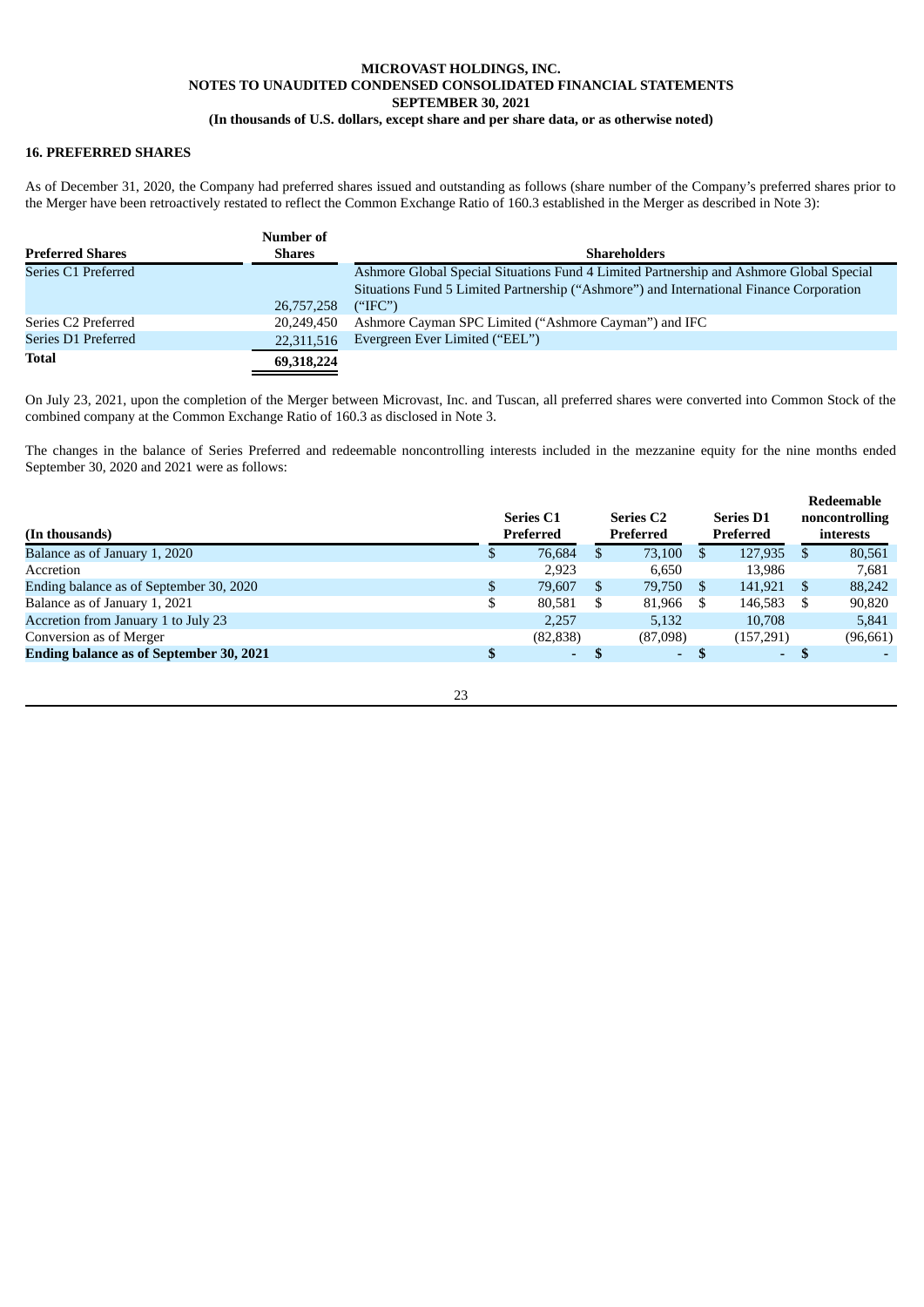### **MICROVAST HOLDINGS, INC. NOTES TO UNAUDITED CONDENSED CONSOLIDATED FINANCIAL STATEMENTS SEPTEMBER 30, 2021 (In thousands of U.S. dollars, except share and per share data, or as otherwise noted)**

### **16. PREFERRED SHARES**

As of December 31, 2020, the Company had preferred shares issued and outstanding as follows (share number of the Company's preferred shares prior to the Merger have been retroactively restated to reflect the Common Exchange Ratio of 160.3 established in the Merger as described in Note 3):

|                         | Number of  |                                                                                         |
|-------------------------|------------|-----------------------------------------------------------------------------------------|
| <b>Preferred Shares</b> | Shares     | <b>Shareholders</b>                                                                     |
| Series C1 Preferred     |            | Ashmore Global Special Situations Fund 4 Limited Partnership and Ashmore Global Special |
|                         |            | Situations Fund 5 Limited Partnership ("Ashmore") and International Finance Corporation |
|                         | 26,757,258 | ("IFC")                                                                                 |
| Series C2 Preferred     | 20,249,450 | Ashmore Cayman SPC Limited ("Ashmore Cayman") and IFC                                   |
| Series D1 Preferred     | 22,311,516 | Evergreen Ever Limited ("EEL")                                                          |
| Total                   | 69,318,224 |                                                                                         |

On July 23, 2021, upon the completion of the Merger between Microvast, Inc. and Tuscan, all preferred shares were converted into Common Stock of the combined company at the Common Exchange Ratio of 160.3 as disclosed in Note 3.

The changes in the balance of Series Preferred and redeemable noncontrolling interests included in the mezzanine equity for the nine months ended September 30, 2020 and 2021 were as follows:

|    |           |                               |          |                               |              |                               | Redeemable<br>noncontrolling<br>interests |
|----|-----------|-------------------------------|----------|-------------------------------|--------------|-------------------------------|-------------------------------------------|
| D  | 76.684    |                               | 73,100   |                               | 127,935      | S                             | 80,561                                    |
|    | 2.923     |                               | 6.650    |                               | 13,986       |                               | 7,681                                     |
| \$ | 79.607    | \$.                           | 79.750   | \$.                           |              |                               | 88,242                                    |
| \$ | 80,581    | S                             | 81,966   |                               | 146,583      |                               | 90,820                                    |
|    | 2.257     |                               | 5,132    |                               | 10,708       |                               | 5,841                                     |
|    | (82, 838) |                               | (87,098) |                               | (157, 291)   |                               | (96, 661)                                 |
| \$ |           | - \$                          |          | - \$                          |              |                               |                                           |
|    |           | <b>Series C1</b><br>Preferred | v.       | <b>Series C2</b><br>Preferred | <b>THE R</b> | <b>Series D1</b><br>Preferred | 141,921 \$<br>- \$                        |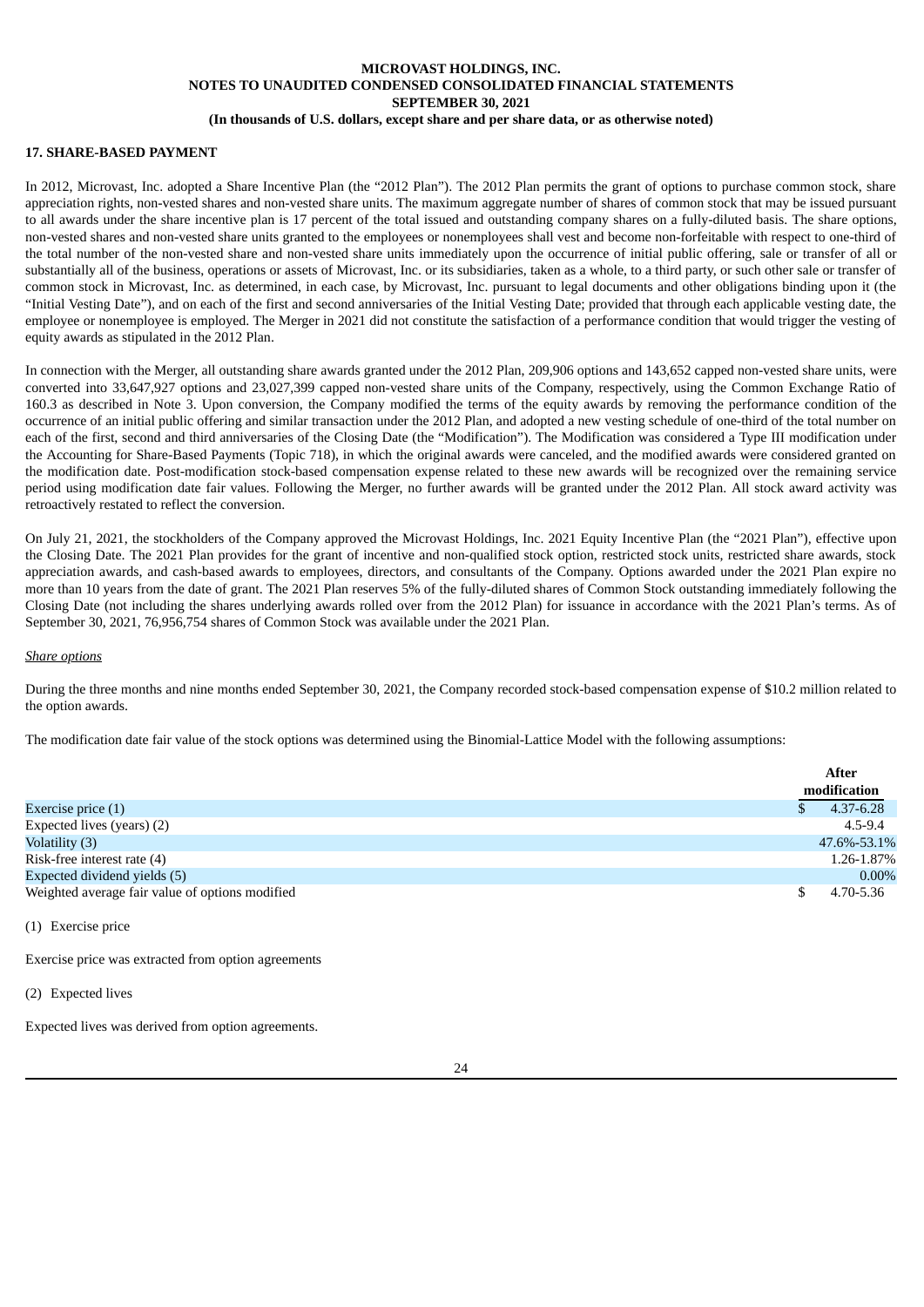#### **MICROVAST HOLDINGS, INC. NOTES TO UNAUDITED CONDENSED CONSOLIDATED FINANCIAL STATEMENTS SEPTEMBER 30, 2021 (In thousands of U.S. dollars, except share and per share data, or as otherwise noted)**

### **17. SHARE-BASED PAYMENT**

In 2012, Microvast, Inc. adopted a Share Incentive Plan (the "2012 Plan"). The 2012 Plan permits the grant of options to purchase common stock, share appreciation rights, non-vested shares and non-vested share units. The maximum aggregate number of shares of common stock that may be issued pursuant to all awards under the share incentive plan is 17 percent of the total issued and outstanding company shares on a fully-diluted basis. The share options, non-vested shares and non-vested share units granted to the employees or nonemployees shall vest and become non-forfeitable with respect to one-third of the total number of the non-vested share and non-vested share units immediately upon the occurrence of initial public offering, sale or transfer of all or substantially all of the business, operations or assets of Microvast, Inc. or its subsidiaries, taken as a whole, to a third party, or such other sale or transfer of common stock in Microvast, Inc. as determined, in each case, by Microvast, Inc. pursuant to legal documents and other obligations binding upon it (the "Initial Vesting Date"), and on each of the first and second anniversaries of the Initial Vesting Date; provided that through each applicable vesting date, the employee or nonemployee is employed. The Merger in 2021 did not constitute the satisfaction of a performance condition that would trigger the vesting of equity awards as stipulated in the 2012 Plan.

In connection with the Merger, all outstanding share awards granted under the 2012 Plan, 209,906 options and 143,652 capped non-vested share units, were converted into 33,647,927 options and 23,027,399 capped non-vested share units of the Company, respectively, using the Common Exchange Ratio of 160.3 as described in Note 3. Upon conversion, the Company modified the terms of the equity awards by removing the performance condition of the occurrence of an initial public offering and similar transaction under the 2012 Plan, and adopted a new vesting schedule of one-third of the total number on each of the first, second and third anniversaries of the Closing Date (the "Modification"). The Modification was considered a Type III modification under the Accounting for Share-Based Payments (Topic 718), in which the original awards were canceled, and the modified awards were considered granted on the modification date. Post-modification stock-based compensation expense related to these new awards will be recognized over the remaining service period using modification date fair values. Following the Merger, no further awards will be granted under the 2012 Plan. All stock award activity was retroactively restated to reflect the conversion.

On July 21, 2021, the stockholders of the Company approved the Microvast Holdings, Inc. 2021 Equity Incentive Plan (the "2021 Plan"), effective upon the Closing Date. The 2021 Plan provides for the grant of incentive and non-qualified stock option, restricted stock units, restricted share awards, stock appreciation awards, and cash-based awards to employees, directors, and consultants of the Company. Options awarded under the 2021 Plan expire no more than 10 years from the date of grant. The 2021 Plan reserves 5% of the fully-diluted shares of Common Stock outstanding immediately following the Closing Date (not including the shares underlying awards rolled over from the 2012 Plan) for issuance in accordance with the 2021 Plan's terms. As of September 30, 2021, 76,956,754 shares of Common Stock was available under the 2021 Plan.

#### *Share options*

During the three months and nine months ended September 30, 2021, the Company recorded stock-based compensation expense of \$10.2 million related to the option awards.

The modification date fair value of the stock options was determined using the Binomial-Lattice Model with the following assumptions:

|                                                 | After        |
|-------------------------------------------------|--------------|
|                                                 | modification |
| Exercise price $(1)$                            | 4.37-6.28    |
| Expected lives (years) (2)                      | $4.5 - 9.4$  |
| Volatility (3)                                  | 47.6%-53.1%  |
| Risk-free interest rate (4)                     | 1.26-1.87%   |
| Expected dividend yields (5)                    | $0.00\%$     |
| Weighted average fair value of options modified | 4.70-5.36    |

(1) Exercise price

Exercise price was extracted from option agreements

(2) Expected lives

Expected lives was derived from option agreements.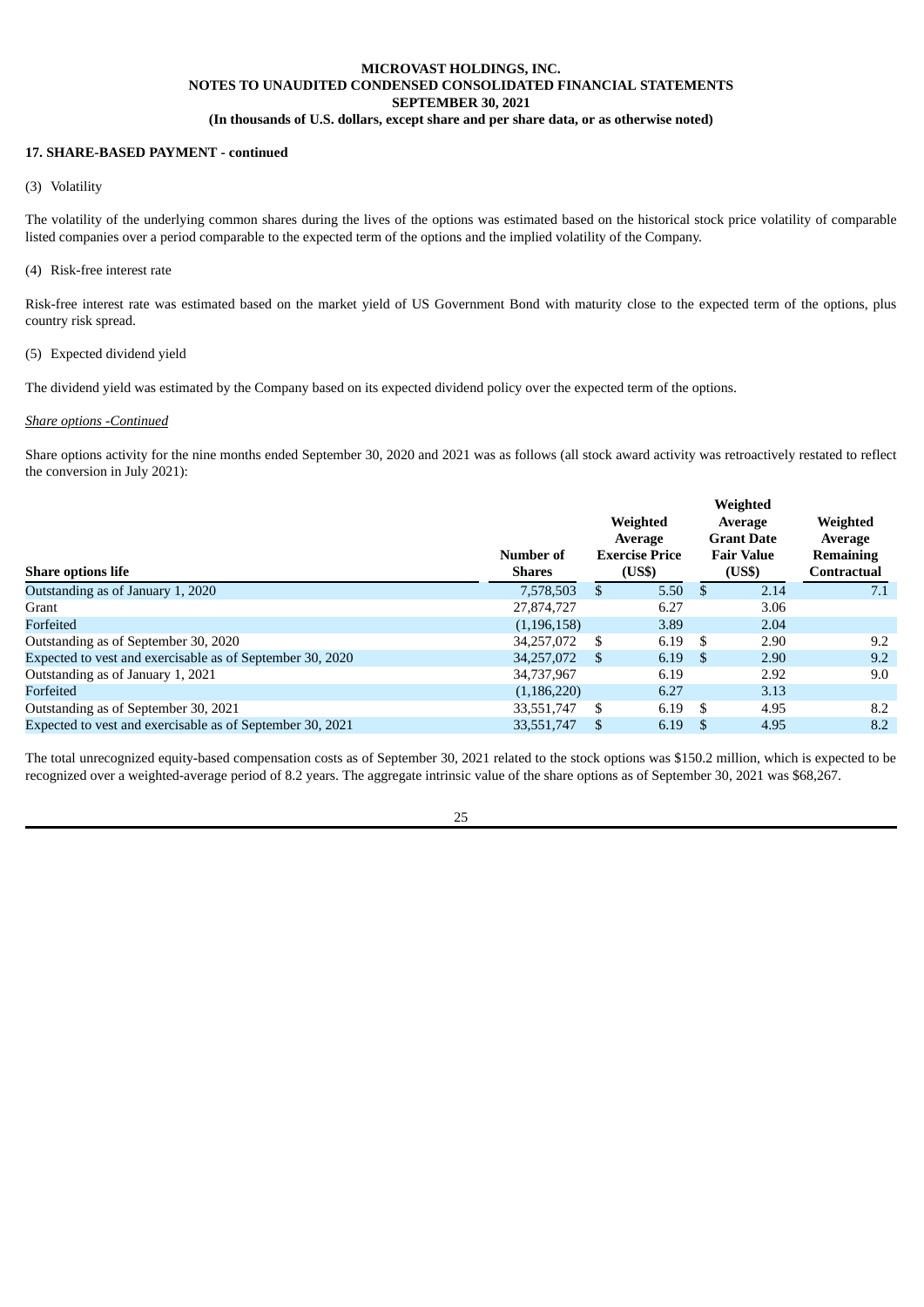### **(In thousands of U.S. dollars, except share and per share data, or as otherwise noted)**

#### **17. SHARE-BASED PAYMENT - continued**

#### (3) Volatility

The volatility of the underlying common shares during the lives of the options was estimated based on the historical stock price volatility of comparable listed companies over a period comparable to the expected term of the options and the implied volatility of the Company.

#### (4) Risk-free interest rate

Risk-free interest rate was estimated based on the market yield of US Government Bond with maturity close to the expected term of the options, plus country risk spread.

#### (5) Expected dividend yield

The dividend yield was estimated by the Company based on its expected dividend policy over the expected term of the options.

#### *Share options -Continued*

Share options activity for the nine months ended September 30, 2020 and 2021 was as follows (all stock award activity was retroactively restated to reflect the conversion in July 2021):

|                                                           |               | Weighted      |                       |               |                              |                     |  |
|-----------------------------------------------------------|---------------|---------------|-----------------------|---------------|------------------------------|---------------------|--|
|                                                           |               |               | Weighted<br>Average   |               | Average<br><b>Grant Date</b> | Weighted<br>Average |  |
|                                                           | Number of     |               | <b>Exercise Price</b> |               | <b>Fair Value</b>            | <b>Remaining</b>    |  |
| <b>Share options life</b>                                 | <b>Shares</b> |               | (US\$)                |               | (US\$)                       | Contractual         |  |
| Outstanding as of January 1, 2020                         | 7,578,503     |               | 5.50                  | <sup>\$</sup> | 2.14                         | 7.1                 |  |
| Grant                                                     | 27,874,727    |               | 6.27                  |               | 3.06                         |                     |  |
| Forfeited                                                 | (1, 196, 158) |               | 3.89                  |               | 2.04                         |                     |  |
| Outstanding as of September 30, 2020                      | 34,257,072    |               | 6.19                  | \$            | 2.90                         | 9.2                 |  |
| Expected to vest and exercisable as of September 30, 2020 | 34.257,072    | <sup>\$</sup> | 6.19                  | - \$          | 2.90                         | 9.2                 |  |
| Outstanding as of January 1, 2021                         | 34,737,967    |               | 6.19                  |               | 2.92                         | 9.0                 |  |
| Forfeited                                                 | (1, 186, 220) |               | 6.27                  |               | 3.13                         |                     |  |
| Outstanding as of September 30, 2021                      | 33,551,747    | \$.           | 6.19                  | -S            | 4.95                         | 8.2                 |  |
| Expected to vest and exercisable as of September 30, 2021 | 33,551,747    | S             | 6.19                  | - \$          | 4.95                         | 8.2                 |  |
|                                                           |               |               |                       |               |                              |                     |  |

The total unrecognized equity-based compensation costs as of September 30, 2021 related to the stock options was \$150.2 million, which is expected to be recognized over a weighted-average period of 8.2 years. The aggregate intrinsic value of the share options as of September 30, 2021 was \$68,267.

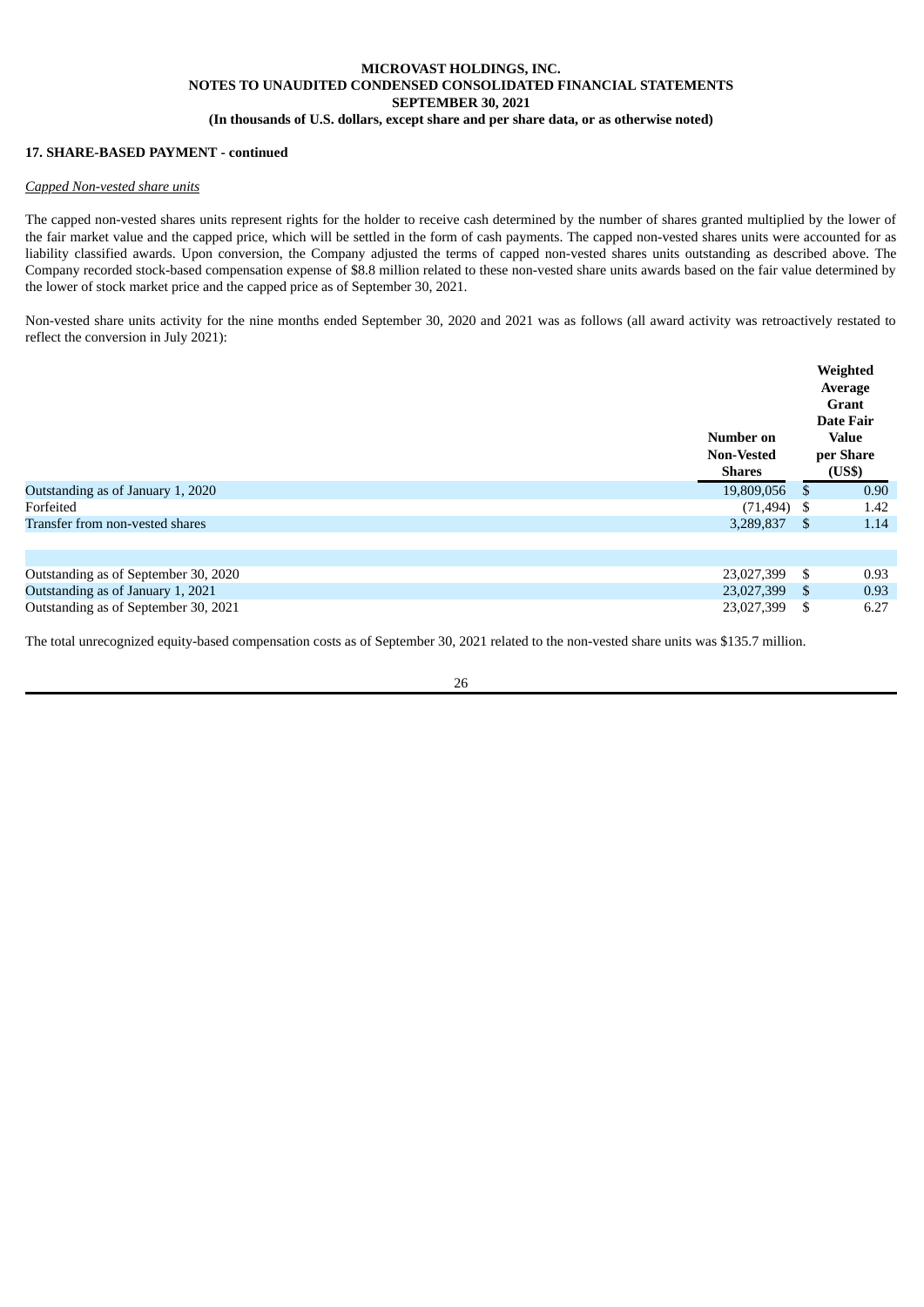### **(In thousands of U.S. dollars, except share and per share data, or as otherwise noted)**

#### **17. SHARE-BASED PAYMENT - continued**

#### *Capped Non-vested share units*

The capped non-vested shares units represent rights for the holder to receive cash determined by the number of shares granted multiplied by the lower of the fair market value and the capped price, which will be settled in the form of cash payments. The capped non-vested shares units were accounted for as liability classified awards. Upon conversion, the Company adjusted the terms of capped non-vested shares units outstanding as described above. The Company recorded stock-based compensation expense of \$8.8 million related to these non-vested share units awards based on the fair value determined by the lower of stock market price and the capped price as of September 30, 2021.

Non-vested share units activity for the nine months ended September 30, 2020 and 2021 was as follows (all award activity was retroactively restated to reflect the conversion in July 2021):

|                                      | Number on<br><b>Non-Vested</b><br><b>Shares</b> |    | Weighted<br>Average<br>Grant<br><b>Date Fair</b><br><b>Value</b><br>per Share<br>(US\$) |
|--------------------------------------|-------------------------------------------------|----|-----------------------------------------------------------------------------------------|
| Outstanding as of January 1, 2020    | 19,809,056                                      | \$ | 0.90                                                                                    |
| Forfeited                            | $(71, 494)$ \$                                  |    | 1.42                                                                                    |
| Transfer from non-vested shares      | 3,289,837                                       | -S | 1.14                                                                                    |
|                                      |                                                 |    |                                                                                         |
| Outstanding as of September 30, 2020 | 23,027,399                                      | -S | 0.93                                                                                    |
| Outstanding as of January 1, 2021    | 23,027,399 \$                                   |    | 0.93                                                                                    |
| Outstanding as of September 30, 2021 | 23,027,399                                      | S  | 6.27                                                                                    |

The total unrecognized equity-based compensation costs as of September 30, 2021 related to the non-vested share units was \$135.7 million.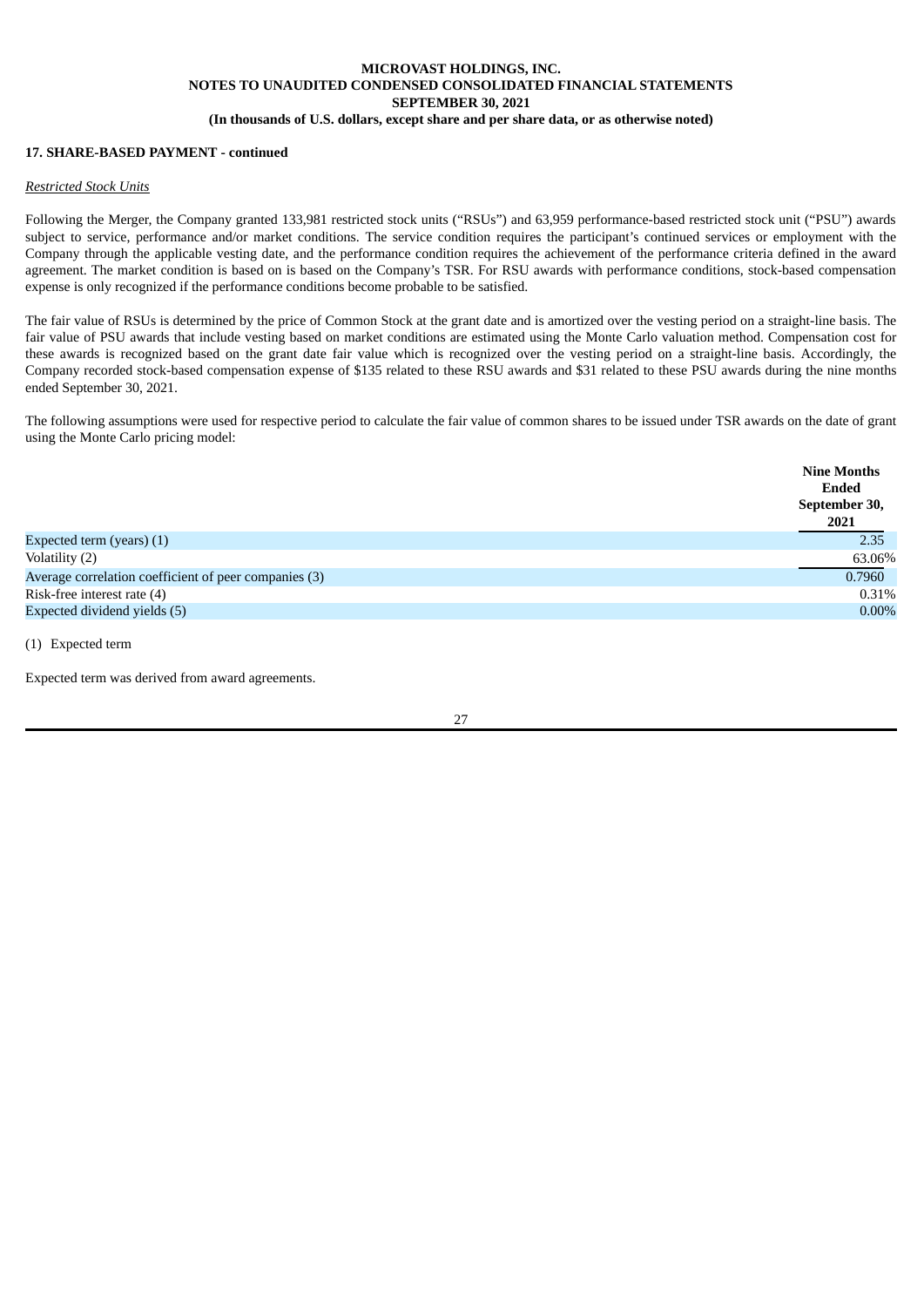### **(In thousands of U.S. dollars, except share and per share data, or as otherwise noted)**

### **17. SHARE-BASED PAYMENT - continued**

#### *Restricted Stock Units*

Following the Merger, the Company granted 133,981 restricted stock units ("RSUs") and 63,959 performance-based restricted stock unit ("PSU") awards subject to service, performance and/or market conditions. The service condition requires the participant's continued services or employment with the Company through the applicable vesting date, and the performance condition requires the achievement of the performance criteria defined in the award agreement. The market condition is based on is based on the Company's TSR. For RSU awards with performance conditions, stock-based compensation expense is only recognized if the performance conditions become probable to be satisfied.

The fair value of RSUs is determined by the price of Common Stock at the grant date and is amortized over the vesting period on a straight-line basis. The fair value of PSU awards that include vesting based on market conditions are estimated using the Monte Carlo valuation method. Compensation cost for these awards is recognized based on the grant date fair value which is recognized over the vesting period on a straight-line basis. Accordingly, the Company recorded stock-based compensation expense of \$135 related to these RSU awards and \$31 related to these PSU awards during the nine months ended September 30, 2021.

The following assumptions were used for respective period to calculate the fair value of common shares to be issued under TSR awards on the date of grant using the Monte Carlo pricing model:

|                                                       | <b>Nine Months</b><br>Ended<br>September 30,<br>2021 |
|-------------------------------------------------------|------------------------------------------------------|
| Expected term (years) $(1)$                           | 2.35                                                 |
| Volatility (2)                                        | 63.06%                                               |
| Average correlation coefficient of peer companies (3) | 0.7960                                               |
| Risk-free interest rate (4)                           | 0.31%                                                |
| Expected dividend yields (5)                          | $0.00\%$                                             |

(1) Expected term

Expected term was derived from award agreements.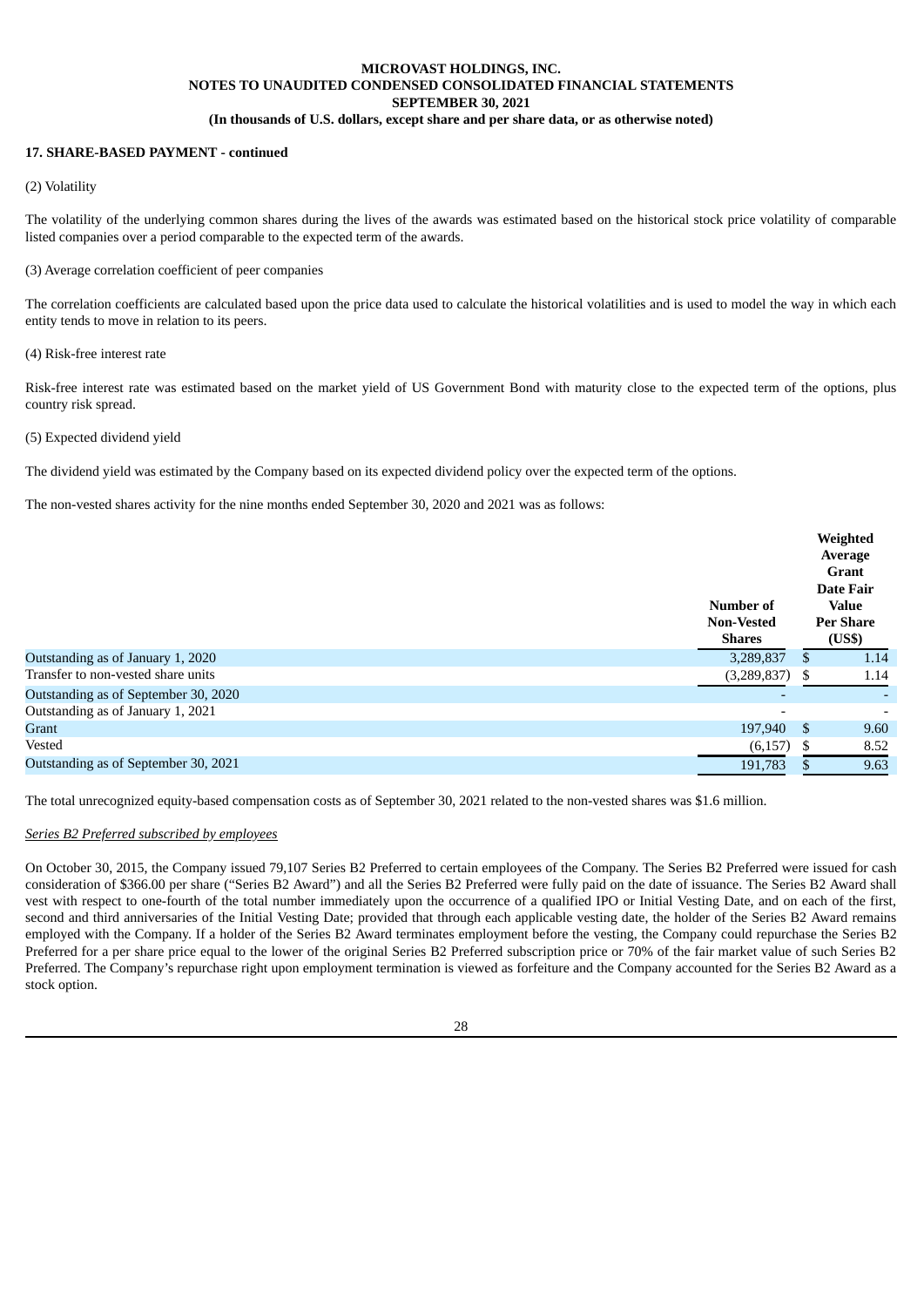#### **MICROVAST HOLDINGS, INC. NOTES TO UNAUDITED CONDENSED CONSOLIDATED FINANCIAL STATEMENTS SEPTEMBER 30, 2021 (In thousands of U.S. dollars, except share and per share data, or as otherwise noted)**

#### **17. SHARE-BASED PAYMENT - continued**

#### (2) Volatility

The volatility of the underlying common shares during the lives of the awards was estimated based on the historical stock price volatility of comparable listed companies over a period comparable to the expected term of the awards.

#### (3) Average correlation coefficient of peer companies

The correlation coefficients are calculated based upon the price data used to calculate the historical volatilities and is used to model the way in which each entity tends to move in relation to its peers.

#### (4) Risk-free interest rate

Risk-free interest rate was estimated based on the market yield of US Government Bond with maturity close to the expected term of the options, plus country risk spread.

#### (5) Expected dividend yield

The dividend yield was estimated by the Company based on its expected dividend policy over the expected term of the options.

The non-vested shares activity for the nine months ended September 30, 2020 and 2021 was as follows:

|                                      | Number of<br><b>Non-Vested</b><br><b>Shares</b> |    | Weighted<br>Average<br>Grant<br><b>Date Fair</b><br><b>Value</b><br><b>Per Share</b><br>(US\$) |
|--------------------------------------|-------------------------------------------------|----|------------------------------------------------------------------------------------------------|
| Outstanding as of January 1, 2020    | 3,289,837                                       | \$ | 1.14                                                                                           |
| Transfer to non-vested share units   | (3,289,837)                                     | S  | 1.14                                                                                           |
| Outstanding as of September 30, 2020 |                                                 |    | $\overline{\phantom{0}}$                                                                       |
| Outstanding as of January 1, 2021    | $\overline{\phantom{0}}$                        |    |                                                                                                |
| Grant                                | 197,940                                         | -S | 9.60                                                                                           |
| Vested                               | (6, 157)                                        | S  | 8.52                                                                                           |
| Outstanding as of September 30, 2021 | 191,783                                         |    | 9.63                                                                                           |

The total unrecognized equity-based compensation costs as of September 30, 2021 related to the non-vested shares was \$1.6 million.

#### *Series B2 Preferred subscribed by employees*

On October 30, 2015, the Company issued 79,107 Series B2 Preferred to certain employees of the Company. The Series B2 Preferred were issued for cash consideration of \$366.00 per share ("Series B2 Award") and all the Series B2 Preferred were fully paid on the date of issuance. The Series B2 Award shall vest with respect to one-fourth of the total number immediately upon the occurrence of a qualified IPO or Initial Vesting Date, and on each of the first, second and third anniversaries of the Initial Vesting Date; provided that through each applicable vesting date, the holder of the Series B2 Award remains employed with the Company. If a holder of the Series B2 Award terminates employment before the vesting, the Company could repurchase the Series B2 Preferred for a per share price equal to the lower of the original Series B2 Preferred subscription price or 70% of the fair market value of such Series B2 Preferred. The Company's repurchase right upon employment termination is viewed as forfeiture and the Company accounted for the Series B2 Award as a stock option.

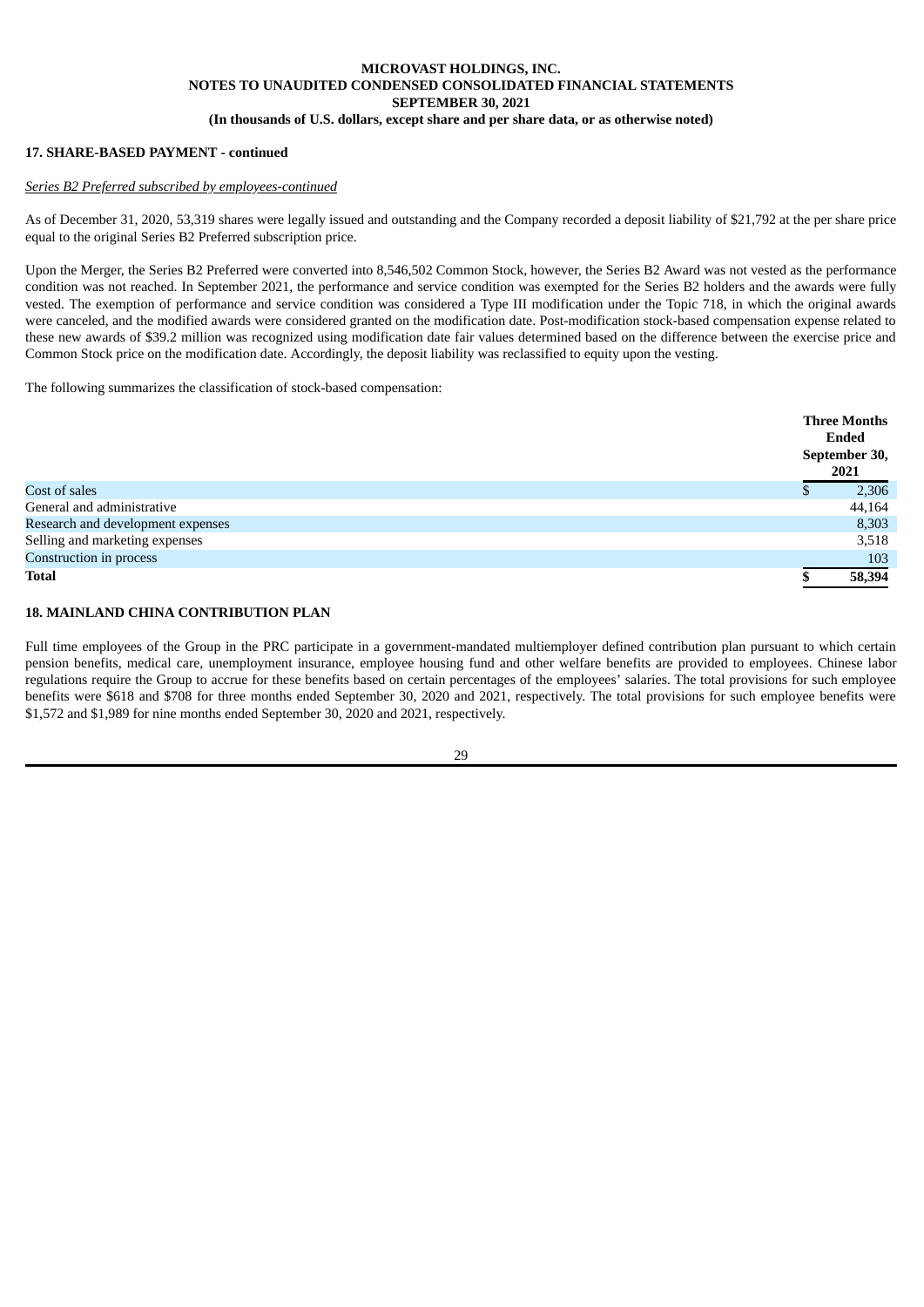#### **MICROVAST HOLDINGS, INC. NOTES TO UNAUDITED CONDENSED CONSOLIDATED FINANCIAL STATEMENTS SEPTEMBER 30, 2021 (In thousands of U.S. dollars, except share and per share data, or as otherwise noted)**

#### **17. SHARE-BASED PAYMENT - continued**

#### *Series B2 Preferred subscribed by employees-continued*

As of December 31, 2020, 53,319 shares were legally issued and outstanding and the Company recorded a deposit liability of \$21,792 at the per share price equal to the original Series B2 Preferred subscription price.

Upon the Merger, the Series B2 Preferred were converted into 8,546,502 Common Stock, however, the Series B2 Award was not vested as the performance condition was not reached. In September 2021, the performance and service condition was exempted for the Series B2 holders and the awards were fully vested. The exemption of performance and service condition was considered a Type III modification under the Topic 718, in which the original awards were canceled, and the modified awards were considered granted on the modification date. Post-modification stock-based compensation expense related to these new awards of \$39.2 million was recognized using modification date fair values determined based on the difference between the exercise price and Common Stock price on the modification date. Accordingly, the deposit liability was reclassified to equity upon the vesting.

The following summarizes the classification of stock-based compensation:

|                                   | <b>Three Months</b><br>Ended<br>September 30,<br>2021 |
|-----------------------------------|-------------------------------------------------------|
| Cost of sales                     | 2,306                                                 |
| General and administrative        | 44,164                                                |
| Research and development expenses | 8,303                                                 |
| Selling and marketing expenses    | 3,518                                                 |
| Construction in process           | 103                                                   |
| <b>Total</b>                      | 58,394                                                |

#### **18. MAINLAND CHINA CONTRIBUTION PLAN**

Full time employees of the Group in the PRC participate in a government-mandated multiemployer defined contribution plan pursuant to which certain pension benefits, medical care, unemployment insurance, employee housing fund and other welfare benefits are provided to employees. Chinese labor regulations require the Group to accrue for these benefits based on certain percentages of the employees' salaries. The total provisions for such employee benefits were \$618 and \$708 for three months ended September 30, 2020 and 2021, respectively. The total provisions for such employee benefits were \$1,572 and \$1,989 for nine months ended September 30, 2020 and 2021, respectively.

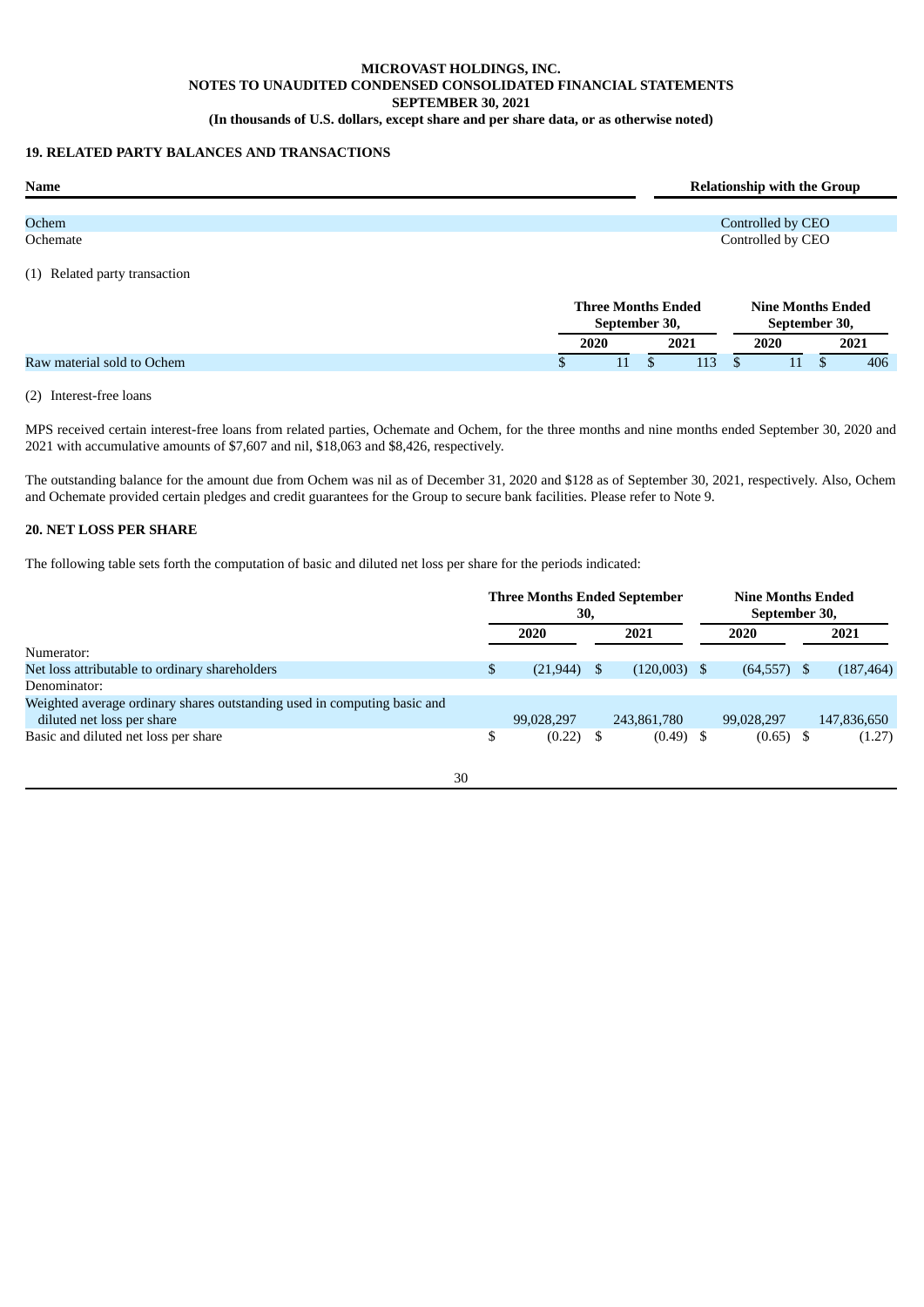**(In thousands of U.S. dollars, except share and per share data, or as otherwise noted)**

#### **19. RELATED PARTY BALANCES AND TRANSACTIONS**

| <b>Name</b> | <b>Relationship with the Group</b> |
|-------------|------------------------------------|
|             |                                    |
| Ochem       | Controlled by CEO                  |
| Ochemate    | Controlled by CEO                  |

(1) Related party transaction

|                            | <b>Three Months Ended</b><br>September 30, |      | <b>Nine Months Ended</b><br>September 30, |  |      |  |
|----------------------------|--------------------------------------------|------|-------------------------------------------|--|------|--|
|                            | 2020                                       | 2021 | 2020                                      |  | 2021 |  |
| Raw material sold to Ochem |                                            |      |                                           |  | 406  |  |

#### (2) Interest-free loans

MPS received certain interest-free loans from related parties, Ochemate and Ochem, for the three months and nine months ended September 30, 2020 and 2021 with accumulative amounts of \$7,607 and nil, \$18,063 and \$8,426, respectively.

The outstanding balance for the amount due from Ochem was nil as of December 31, 2020 and \$128 as of September 30, 2021, respectively. Also, Ochem and Ochemate provided certain pledges and credit guarantees for the Group to secure bank facilities. Please refer to Note 9.

#### **20. NET LOSS PER SHARE**

The following table sets forth the computation of basic and diluted net loss per share for the periods indicated:

|                                                                          | <b>Three Months Ended September</b><br>30, |            |      | <b>Nine Months Ended</b><br>September 30, |             |  |             |
|--------------------------------------------------------------------------|--------------------------------------------|------------|------|-------------------------------------------|-------------|--|-------------|
|                                                                          | 2020<br>2021                               |            | 2020 |                                           | 2021        |  |             |
| Numerator:                                                               |                                            |            |      |                                           |             |  |             |
| Net loss attributable to ordinary shareholders                           |                                            | (21, 944)  |      | $(120,003)$ \$                            | (64, 557)   |  | (187, 464)  |
| Denominator:                                                             |                                            |            |      |                                           |             |  |             |
| Weighted average ordinary shares outstanding used in computing basic and |                                            |            |      |                                           |             |  |             |
| diluted net loss per share                                               |                                            | 99,028,297 |      | 243,861,780                               | 99,028,297  |  | 147,836,650 |
| Basic and diluted net loss per share                                     |                                            | (0.22)     |      | $(0.49)$ \$                               | $(0.65)$ \$ |  | (1.27)      |

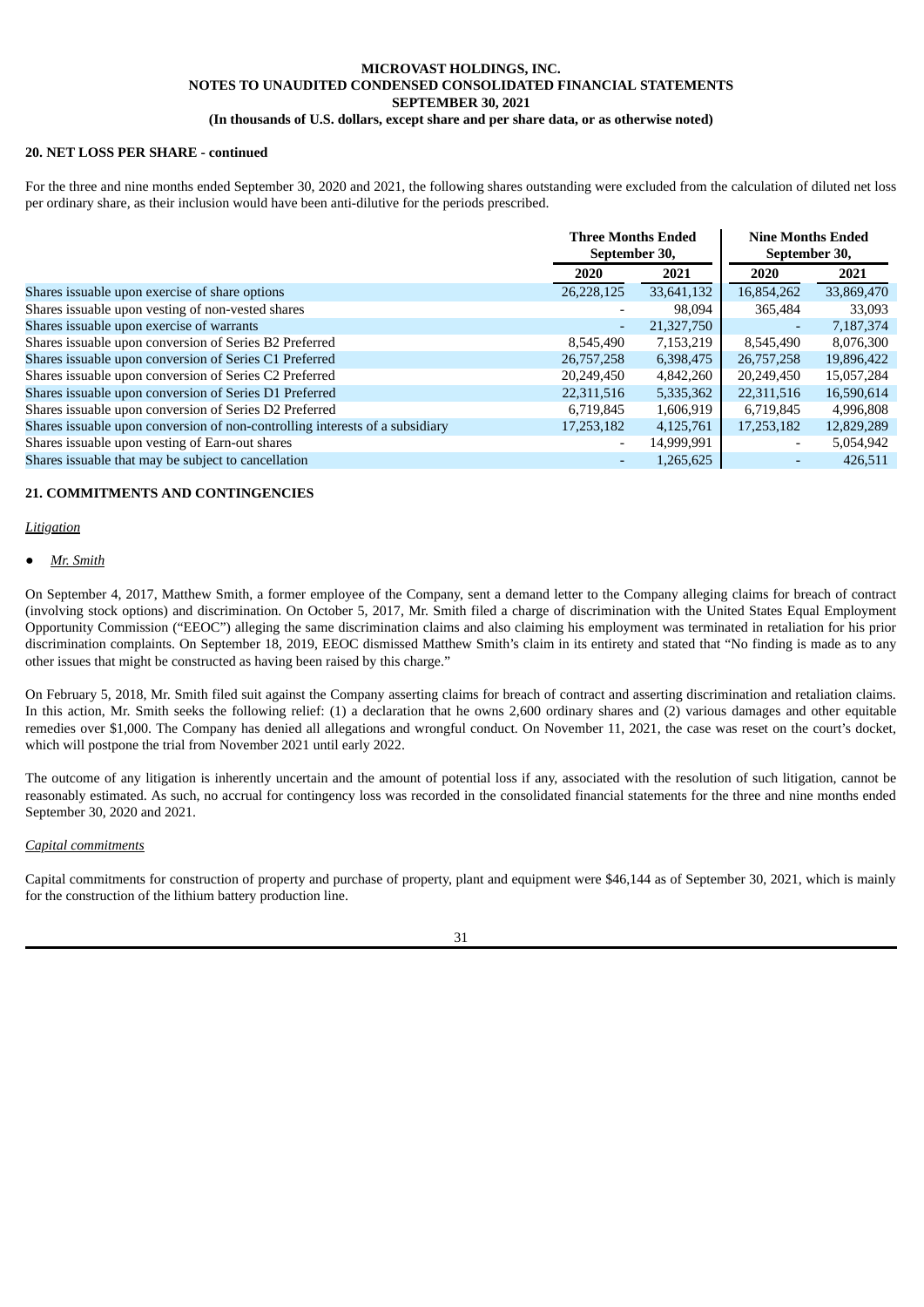#### **MICROVAST HOLDINGS, INC. NOTES TO UNAUDITED CONDENSED CONSOLIDATED FINANCIAL STATEMENTS SEPTEMBER 30, 2021 (In thousands of U.S. dollars, except share and per share data, or as otherwise noted)**

# **20. NET LOSS PER SHARE - continued**

For the three and nine months ended September 30, 2020 and 2021, the following shares outstanding were excluded from the calculation of diluted net loss per ordinary share, as their inclusion would have been anti-dilutive for the periods prescribed.

|                                                                              | <b>Three Months Ended</b> |            | <b>Nine Months Ended</b> |            |  |  |
|------------------------------------------------------------------------------|---------------------------|------------|--------------------------|------------|--|--|
|                                                                              | September 30,             |            | September 30,            |            |  |  |
|                                                                              | <b>2020</b>               | 2021       | 2020                     | 2021       |  |  |
| Shares issuable upon exercise of share options                               | 26,228,125                | 33,641,132 | 16,854,262               | 33,869,470 |  |  |
| Shares is suable upon vesting of non-vested shares                           |                           | 98.094     | 365,484                  | 33,093     |  |  |
| Shares issuable upon exercise of warrants                                    | ٠                         | 21,327,750 | $\overline{\phantom{a}}$ | 7,187,374  |  |  |
| Shares issuable upon conversion of Series B2 Preferred                       | 8,545,490                 | 7,153,219  | 8,545,490                | 8,076,300  |  |  |
| Shares issuable upon conversion of Series C1 Preferred                       | 26,757,258                | 6,398,475  | 26,757,258               | 19,896,422 |  |  |
| Shares issuable upon conversion of Series C2 Preferred                       | 20,249,450                | 4,842,260  | 20,249,450               | 15,057,284 |  |  |
| Shares issuable upon conversion of Series D1 Preferred                       | 22,311,516                | 5,335,362  | 22,311,516               | 16,590,614 |  |  |
| Shares issuable upon conversion of Series D2 Preferred                       | 6,719,845                 | 1,606,919  | 6,719,845                | 4,996,808  |  |  |
| Shares issuable upon conversion of non-controlling interests of a subsidiary | 17,253,182                | 4,125,761  | 17,253,182               | 12,829,289 |  |  |
| Shares issuable upon vesting of Earn-out shares                              | ٠                         | 14,999,991 | $\overline{\phantom{a}}$ | 5,054,942  |  |  |
| Shares issuable that may be subject to cancellation                          |                           | 1,265,625  | $\overline{\phantom{a}}$ | 426.511    |  |  |

#### **21. COMMITMENTS AND CONTINGENCIES**

#### *Litigation*

#### ● *Mr. Smith*

On September 4, 2017, Matthew Smith, a former employee of the Company, sent a demand letter to the Company alleging claims for breach of contract (involving stock options) and discrimination. On October 5, 2017, Mr. Smith filed a charge of discrimination with the United States Equal Employment Opportunity Commission ("EEOC") alleging the same discrimination claims and also claiming his employment was terminated in retaliation for his prior discrimination complaints. On September 18, 2019, EEOC dismissed Matthew Smith's claim in its entirety and stated that "No finding is made as to any other issues that might be constructed as having been raised by this charge."

On February 5, 2018, Mr. Smith filed suit against the Company asserting claims for breach of contract and asserting discrimination and retaliation claims. In this action, Mr. Smith seeks the following relief: (1) a declaration that he owns 2,600 ordinary shares and (2) various damages and other equitable remedies over \$1,000. The Company has denied all allegations and wrongful conduct. On November 11, 2021, the case was reset on the court's docket, which will postpone the trial from November 2021 until early 2022.

The outcome of any litigation is inherently uncertain and the amount of potential loss if any, associated with the resolution of such litigation, cannot be reasonably estimated. As such, no accrual for contingency loss was recorded in the consolidated financial statements for the three and nine months ended September 30, 2020 and 2021.

#### *Capital commitments*

Capital commitments for construction of property and purchase of property, plant and equipment were \$46,144 as of September 30, 2021, which is mainly for the construction of the lithium battery production line.

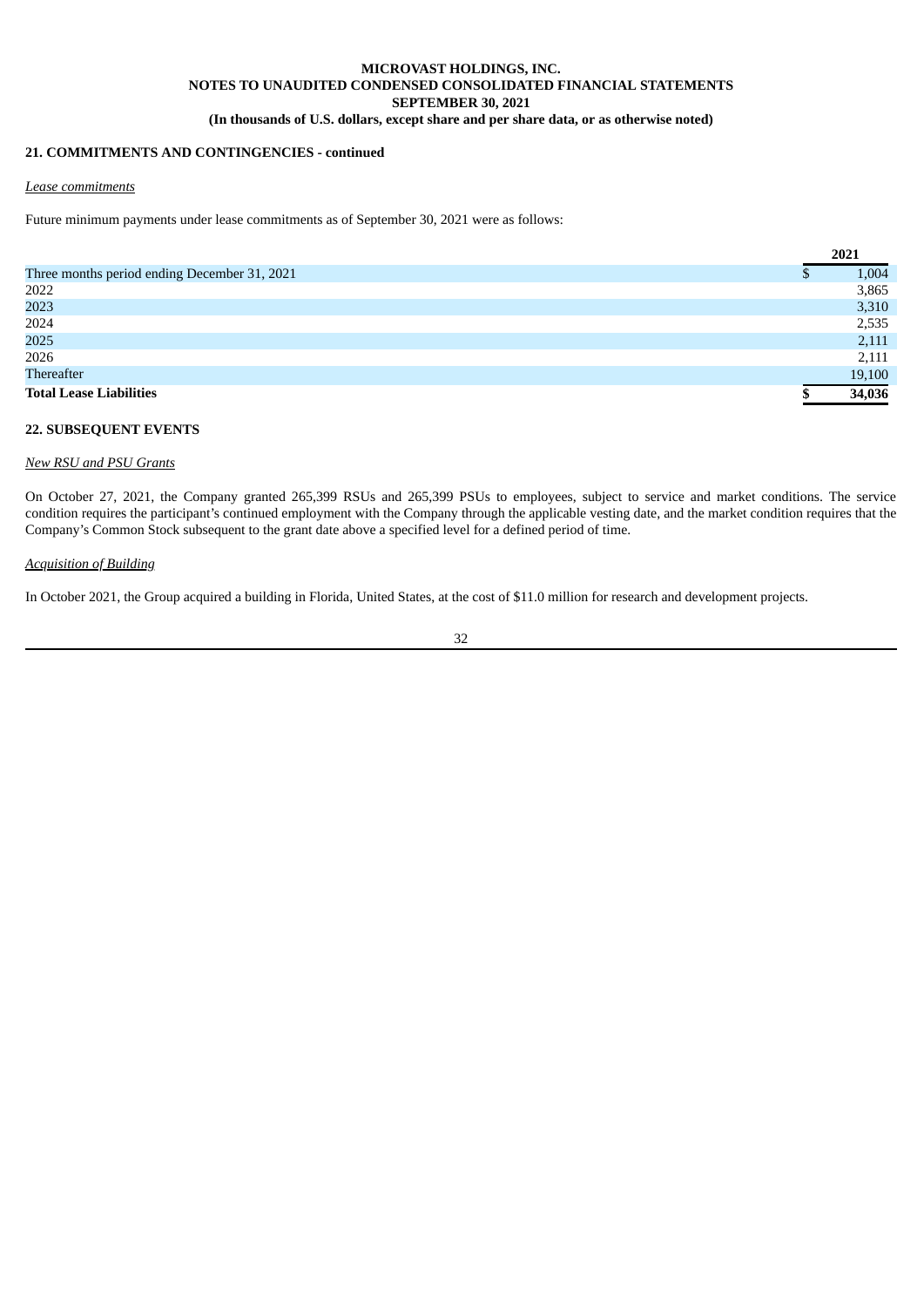#### **MICROVAST HOLDINGS, INC. NOTES TO UNAUDITED CONDENSED CONSOLIDATED FINANCIAL STATEMENTS SEPTEMBER 30, 2021 (In thousands of U.S. dollars, except share and per share data, or as otherwise noted)**

#### **21. COMMITMENTS AND CONTINGENCIES - continued**

#### *Lease commitments*

Future minimum payments under lease commitments as of September 30, 2021 were as follows:

|                                              | 2021   |
|----------------------------------------------|--------|
| Three months period ending December 31, 2021 | 1,004  |
| 2022                                         | 3,865  |
| 2023                                         | 3,310  |
| 2024                                         | 2,535  |
| 2025                                         | 2,111  |
| 2026                                         | 2,111  |
| Thereafter                                   | 19,100 |
| <b>Total Lease Liabilities</b>               | 34,036 |

#### **22. SUBSEQUENT EVENTS**

#### *New RSU and PSU Grants*

On October 27, 2021, the Company granted 265,399 RSUs and 265,399 PSUs to employees, subject to service and market conditions. The service condition requires the participant's continued employment with the Company through the applicable vesting date, and the market condition requires that the Company's Common Stock subsequent to the grant date above a specified level for a defined period of time.

#### *Acquisition of Building*

In October 2021, the Group acquired a building in Florida, United States, at the cost of \$11.0 million for research and development projects.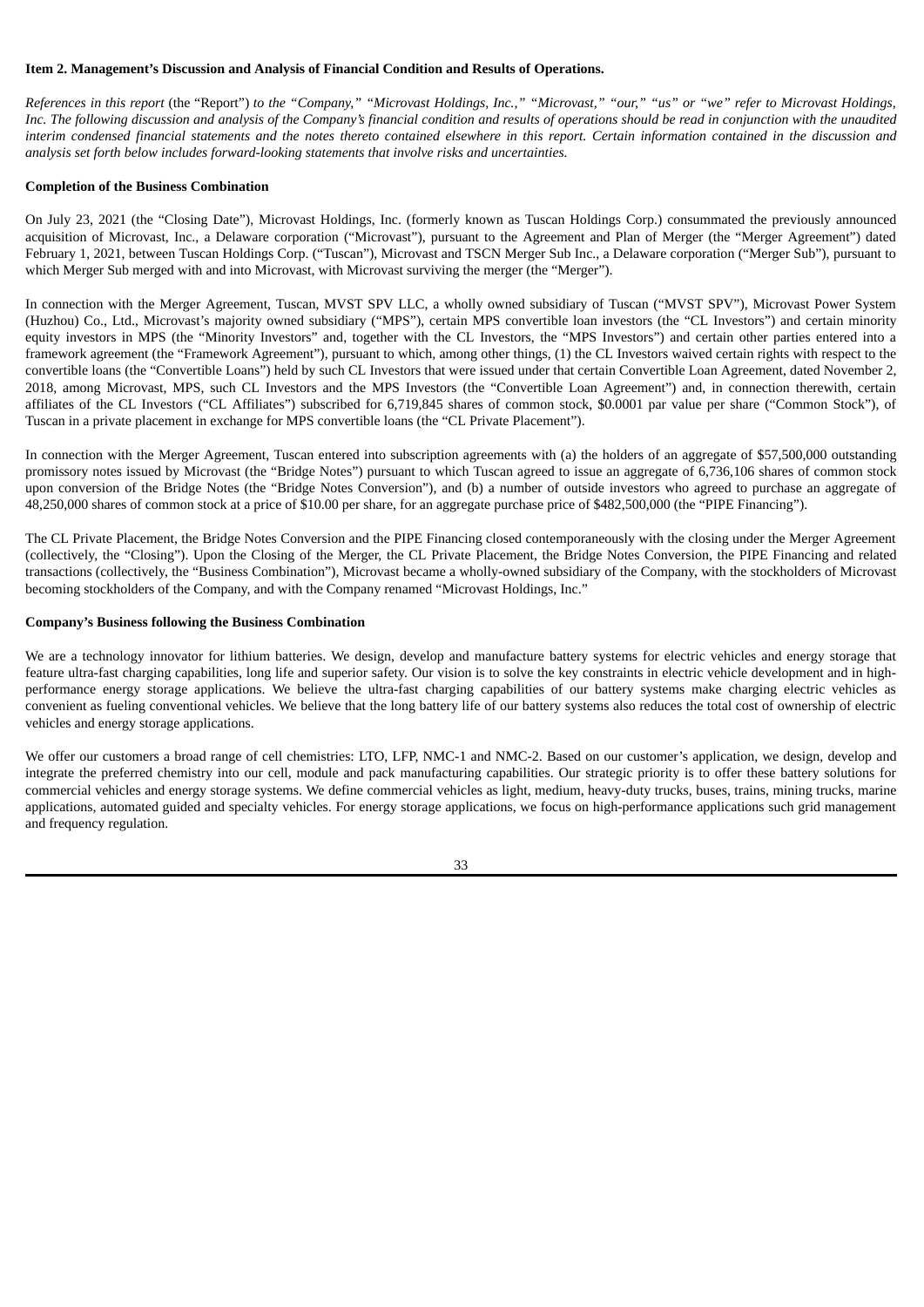#### <span id="page-35-0"></span>**Item 2. Management's Discussion and Analysis of Financial Condition and Results of Operations.**

References in this report (the "Report") to the "Company," "Microvast Holdings, Inc.," "Microvast," "our," "us" or "we" refer to Microvast Holdings, Inc. The following discussion and analysis of the Company's financial condition and results of operations should be read in conjunction with the unaudited interim condensed financial statements and the notes thereto contained elsewhere in this report. Certain information contained in the discussion and *analysis set forth below includes forward-looking statements that involve risks and uncertainties.*

#### **Completion of the Business Combination**

On July 23, 2021 (the "Closing Date"), Microvast Holdings, Inc. (formerly known as Tuscan Holdings Corp.) consummated the previously announced acquisition of Microvast, Inc., a Delaware corporation ("Microvast"), pursuant to the Agreement and Plan of Merger (the "Merger Agreement") dated February 1, 2021, between Tuscan Holdings Corp. ("Tuscan"), Microvast and TSCN Merger Sub Inc., a Delaware corporation ("Merger Sub"), pursuant to which Merger Sub merged with and into Microvast, with Microvast surviving the merger (the "Merger").

In connection with the Merger Agreement, Tuscan, MVST SPV LLC, a wholly owned subsidiary of Tuscan ("MVST SPV"), Microvast Power System (Huzhou) Co., Ltd., Microvast's majority owned subsidiary ("MPS"), certain MPS convertible loan investors (the "CL Investors") and certain minority equity investors in MPS (the "Minority Investors" and, together with the CL Investors, the "MPS Investors") and certain other parties entered into a framework agreement (the "Framework Agreement"), pursuant to which, among other things, (1) the CL Investors waived certain rights with respect to the convertible loans (the "Convertible Loans") held by such CL Investors that were issued under that certain Convertible Loan Agreement, dated November 2, 2018, among Microvast, MPS, such CL Investors and the MPS Investors (the "Convertible Loan Agreement") and, in connection therewith, certain affiliates of the CL Investors ("CL Affiliates") subscribed for 6,719,845 shares of common stock, \$0.0001 par value per share ("Common Stock"), of Tuscan in a private placement in exchange for MPS convertible loans (the "CL Private Placement").

In connection with the Merger Agreement, Tuscan entered into subscription agreements with (a) the holders of an aggregate of \$57,500,000 outstanding promissory notes issued by Microvast (the "Bridge Notes") pursuant to which Tuscan agreed to issue an aggregate of 6,736,106 shares of common stock upon conversion of the Bridge Notes (the "Bridge Notes Conversion"), and (b) a number of outside investors who agreed to purchase an aggregate of 48,250,000 shares of common stock at a price of \$10.00 per share, for an aggregate purchase price of \$482,500,000 (the "PIPE Financing").

The CL Private Placement, the Bridge Notes Conversion and the PIPE Financing closed contemporaneously with the closing under the Merger Agreement (collectively, the "Closing"). Upon the Closing of the Merger, the CL Private Placement, the Bridge Notes Conversion, the PIPE Financing and related transactions (collectively, the "Business Combination"), Microvast became a wholly-owned subsidiary of the Company, with the stockholders of Microvast becoming stockholders of the Company, and with the Company renamed "Microvast Holdings, Inc."

#### **Company's Business following the Business Combination**

We are a technology innovator for lithium batteries. We design, develop and manufacture battery systems for electric vehicles and energy storage that feature ultra-fast charging capabilities, long life and superior safety. Our vision is to solve the key constraints in electric vehicle development and in highperformance energy storage applications. We believe the ultra-fast charging capabilities of our battery systems make charging electric vehicles as convenient as fueling conventional vehicles. We believe that the long battery life of our battery systems also reduces the total cost of ownership of electric vehicles and energy storage applications.

We offer our customers a broad range of cell chemistries: LTO, LFP, NMC-1 and NMC-2. Based on our customer's application, we design, develop and integrate the preferred chemistry into our cell, module and pack manufacturing capabilities. Our strategic priority is to offer these battery solutions for commercial vehicles and energy storage systems. We define commercial vehicles as light, medium, heavy-duty trucks, buses, trains, mining trucks, marine applications, automated guided and specialty vehicles. For energy storage applications, we focus on high-performance applications such grid management and frequency regulation.

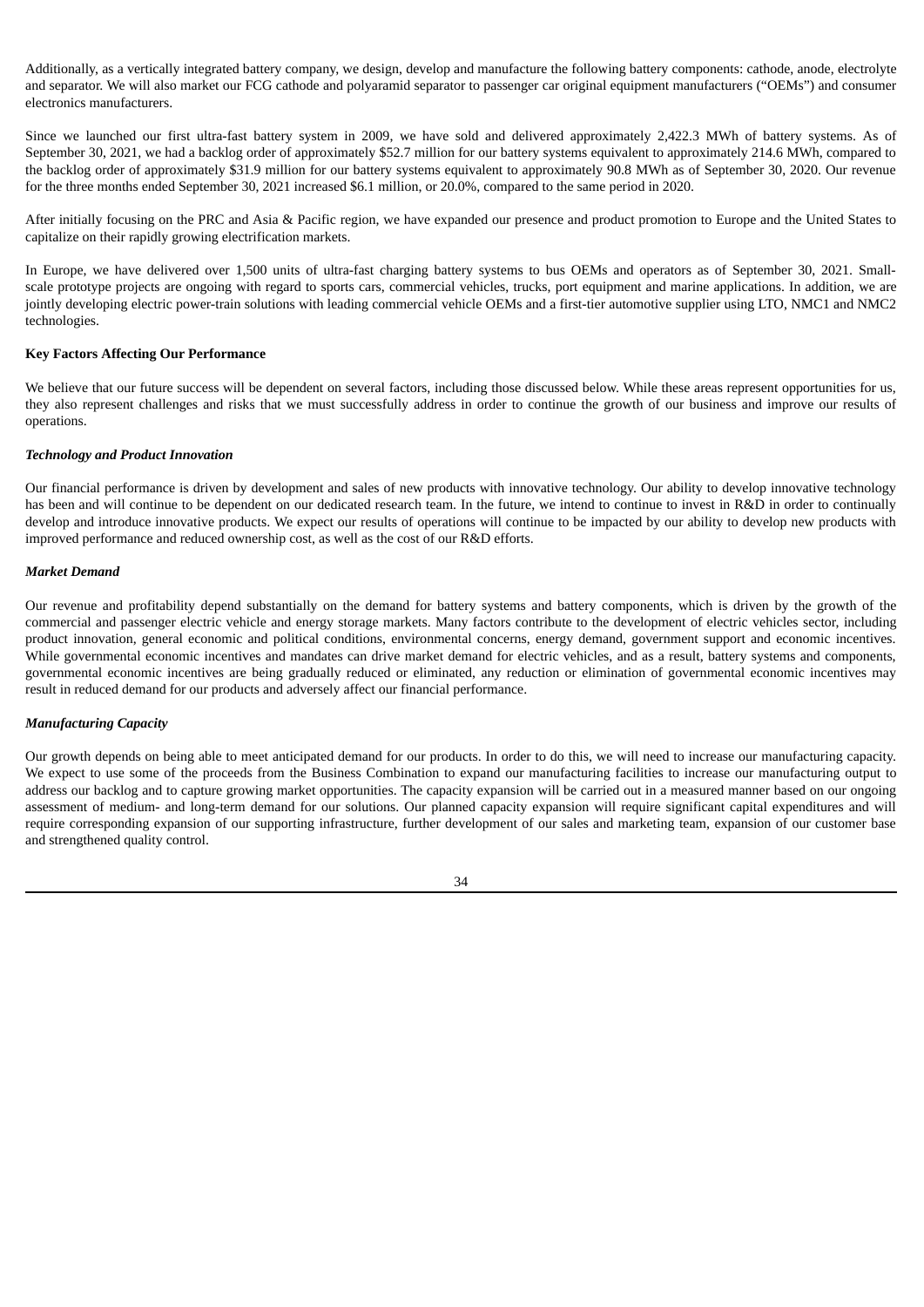Additionally, as a vertically integrated battery company, we design, develop and manufacture the following battery components: cathode, anode, electrolyte and separator. We will also market our FCG cathode and polyaramid separator to passenger car original equipment manufacturers ("OEMs") and consumer electronics manufacturers.

Since we launched our first ultra-fast battery system in 2009, we have sold and delivered approximately 2,422.3 MWh of battery systems. As of September 30, 2021, we had a backlog order of approximately \$52.7 million for our battery systems equivalent to approximately 214.6 MWh, compared to the backlog order of approximately \$31.9 million for our battery systems equivalent to approximately 90.8 MWh as of September 30, 2020. Our revenue for the three months ended September 30, 2021 increased \$6.1 million, or 20.0%, compared to the same period in 2020.

After initially focusing on the PRC and Asia & Pacific region, we have expanded our presence and product promotion to Europe and the United States to capitalize on their rapidly growing electrification markets.

In Europe, we have delivered over 1,500 units of ultra-fast charging battery systems to bus OEMs and operators as of September 30, 2021. Smallscale prototype projects are ongoing with regard to sports cars, commercial vehicles, trucks, port equipment and marine applications. In addition, we are jointly developing electric power-train solutions with leading commercial vehicle OEMs and a first-tier automotive supplier using LTO, NMC1 and NMC2 technologies.

#### **Key Factors Affecting Our Performance**

We believe that our future success will be dependent on several factors, including those discussed below. While these areas represent opportunities for us, they also represent challenges and risks that we must successfully address in order to continue the growth of our business and improve our results of operations.

#### *Technology and Product Innovation*

Our financial performance is driven by development and sales of new products with innovative technology. Our ability to develop innovative technology has been and will continue to be dependent on our dedicated research team. In the future, we intend to continue to invest in R&D in order to continually develop and introduce innovative products. We expect our results of operations will continue to be impacted by our ability to develop new products with improved performance and reduced ownership cost, as well as the cost of our R&D efforts.

#### *Market Demand*

Our revenue and profitability depend substantially on the demand for battery systems and battery components, which is driven by the growth of the commercial and passenger electric vehicle and energy storage markets. Many factors contribute to the development of electric vehicles sector, including product innovation, general economic and political conditions, environmental concerns, energy demand, government support and economic incentives. While governmental economic incentives and mandates can drive market demand for electric vehicles, and as a result, battery systems and components, governmental economic incentives are being gradually reduced or eliminated, any reduction or elimination of governmental economic incentives may result in reduced demand for our products and adversely affect our financial performance.

#### *Manufacturing Capacity*

Our growth depends on being able to meet anticipated demand for our products. In order to do this, we will need to increase our manufacturing capacity. We expect to use some of the proceeds from the Business Combination to expand our manufacturing facilities to increase our manufacturing output to address our backlog and to capture growing market opportunities. The capacity expansion will be carried out in a measured manner based on our ongoing assessment of medium- and long-term demand for our solutions. Our planned capacity expansion will require significant capital expenditures and will require corresponding expansion of our supporting infrastructure, further development of our sales and marketing team, expansion of our customer base and strengthened quality control.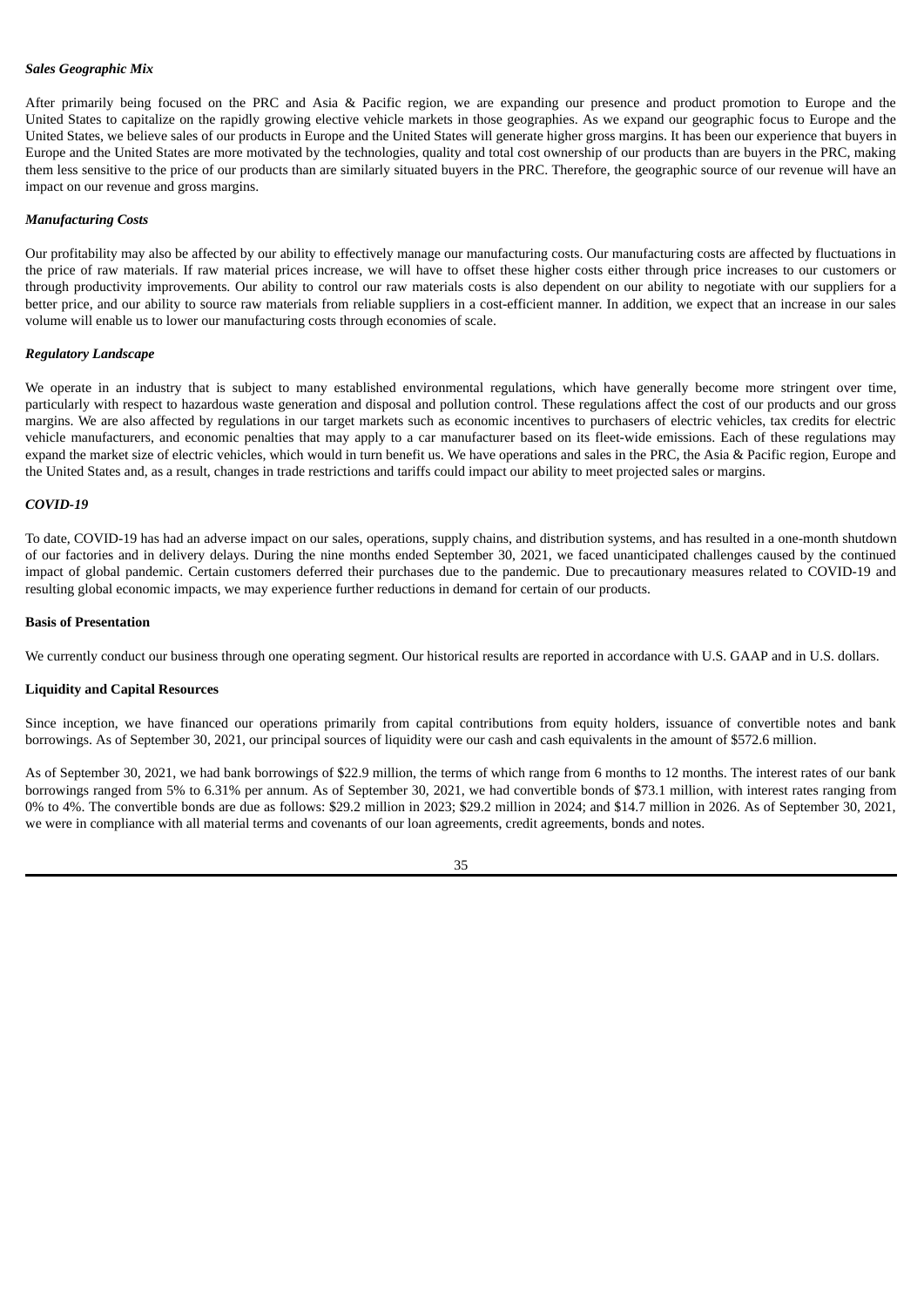#### *Sales Geographic Mix*

After primarily being focused on the PRC and Asia & Pacific region, we are expanding our presence and product promotion to Europe and the United States to capitalize on the rapidly growing elective vehicle markets in those geographies. As we expand our geographic focus to Europe and the United States, we believe sales of our products in Europe and the United States will generate higher gross margins. It has been our experience that buyers in Europe and the United States are more motivated by the technologies, quality and total cost ownership of our products than are buyers in the PRC, making them less sensitive to the price of our products than are similarly situated buyers in the PRC. Therefore, the geographic source of our revenue will have an impact on our revenue and gross margins.

#### *Manufacturing Costs*

Our profitability may also be affected by our ability to effectively manage our manufacturing costs. Our manufacturing costs are affected by fluctuations in the price of raw materials. If raw material prices increase, we will have to offset these higher costs either through price increases to our customers or through productivity improvements. Our ability to control our raw materials costs is also dependent on our ability to negotiate with our suppliers for a better price, and our ability to source raw materials from reliable suppliers in a cost-efficient manner. In addition, we expect that an increase in our sales volume will enable us to lower our manufacturing costs through economies of scale.

#### *Regulatory Landscape*

We operate in an industry that is subject to many established environmental regulations, which have generally become more stringent over time, particularly with respect to hazardous waste generation and disposal and pollution control. These regulations affect the cost of our products and our gross margins. We are also affected by regulations in our target markets such as economic incentives to purchasers of electric vehicles, tax credits for electric vehicle manufacturers, and economic penalties that may apply to a car manufacturer based on its fleet-wide emissions. Each of these regulations may expand the market size of electric vehicles, which would in turn benefit us. We have operations and sales in the PRC, the Asia & Pacific region, Europe and the United States and, as a result, changes in trade restrictions and tariffs could impact our ability to meet projected sales or margins.

#### *COVID-19*

To date, COVID-19 has had an adverse impact on our sales, operations, supply chains, and distribution systems, and has resulted in a one-month shutdown of our factories and in delivery delays. During the nine months ended September 30, 2021, we faced unanticipated challenges caused by the continued impact of global pandemic. Certain customers deferred their purchases due to the pandemic. Due to precautionary measures related to COVID-19 and resulting global economic impacts, we may experience further reductions in demand for certain of our products.

#### **Basis of Presentation**

We currently conduct our business through one operating segment. Our historical results are reported in accordance with U.S. GAAP and in U.S. dollars.

#### **Liquidity and Capital Resources**

Since inception, we have financed our operations primarily from capital contributions from equity holders, issuance of convertible notes and bank borrowings. As of September 30, 2021, our principal sources of liquidity were our cash and cash equivalents in the amount of \$572.6 million.

As of September 30, 2021, we had bank borrowings of \$22.9 million, the terms of which range from 6 months to 12 months. The interest rates of our bank borrowings ranged from 5% to 6.31% per annum. As of September 30, 2021, we had convertible bonds of \$73.1 million, with interest rates ranging from 0% to 4%. The convertible bonds are due as follows: \$29.2 million in 2023; \$29.2 million in 2024; and \$14.7 million in 2026. As of September 30, 2021, we were in compliance with all material terms and covenants of our loan agreements, credit agreements, bonds and notes.

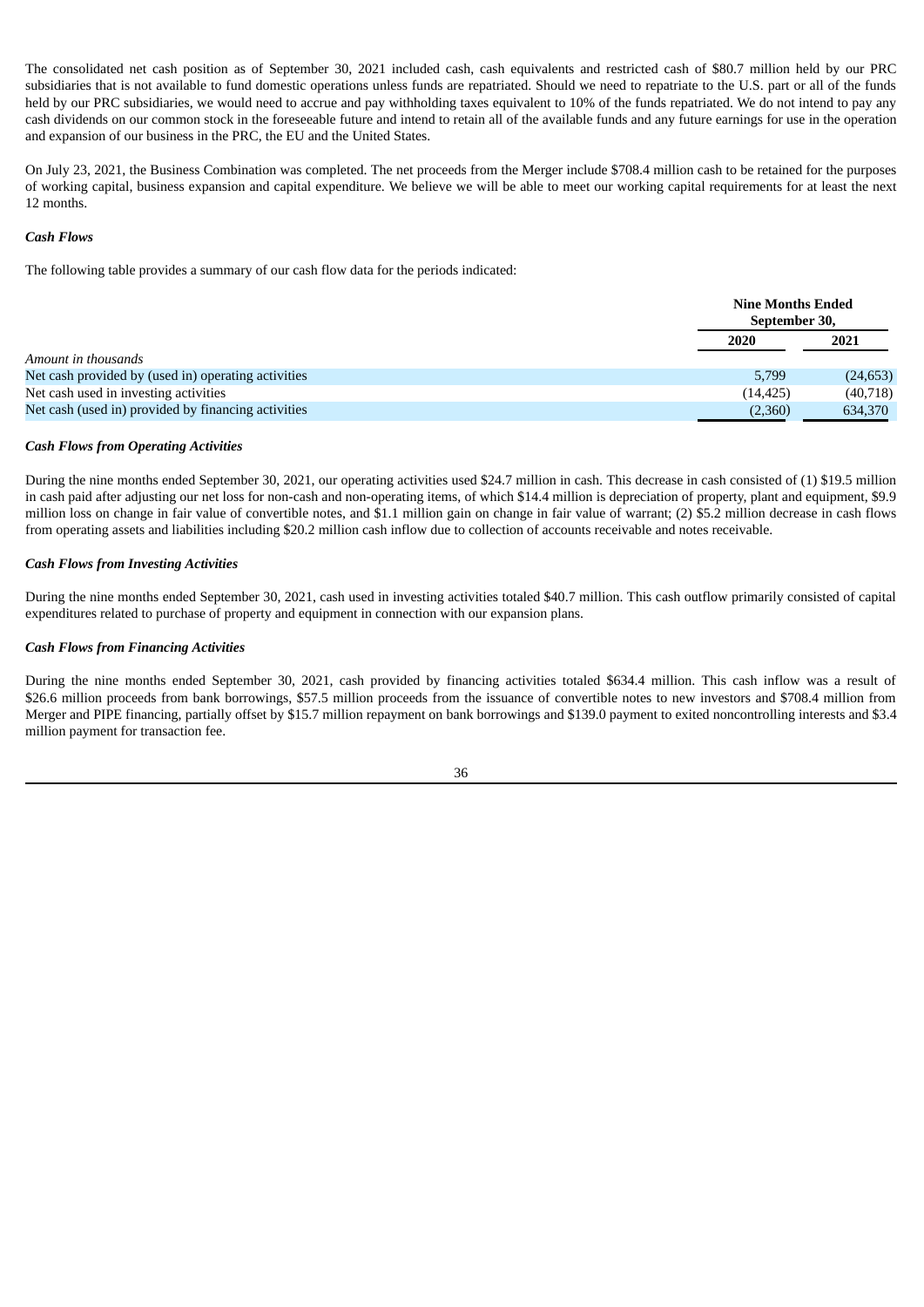The consolidated net cash position as of September 30, 2021 included cash, cash equivalents and restricted cash of \$80.7 million held by our PRC subsidiaries that is not available to fund domestic operations unless funds are repatriated. Should we need to repatriate to the U.S. part or all of the funds held by our PRC subsidiaries, we would need to accrue and pay withholding taxes equivalent to 10% of the funds repatriated. We do not intend to pay any cash dividends on our common stock in the foreseeable future and intend to retain all of the available funds and any future earnings for use in the operation and expansion of our business in the PRC, the EU and the United States.

On July 23, 2021, the Business Combination was completed. The net proceeds from the Merger include \$708.4 million cash to be retained for the purposes of working capital, business expansion and capital expenditure. We believe we will be able to meet our working capital requirements for at least the next 12 months.

#### *Cash Flows*

The following table provides a summary of our cash flow data for the periods indicated:

|                                                     | <b>Nine Months Ended</b><br>September 30, |           |
|-----------------------------------------------------|-------------------------------------------|-----------|
|                                                     | 2020                                      | 2021      |
| Amount in thousands                                 |                                           |           |
| Net cash provided by (used in) operating activities | 5.799                                     | (24, 653) |
| Net cash used in investing activities               | (14, 425)                                 | (40,718)  |
| Net cash (used in) provided by financing activities | (2,360)                                   | 634,370   |

#### *Cash Flows from Operating Activities*

During the nine months ended September 30, 2021, our operating activities used \$24.7 million in cash. This decrease in cash consisted of (1) \$19.5 million in cash paid after adjusting our net loss for non-cash and non-operating items, of which \$14.4 million is depreciation of property, plant and equipment, \$9.9 million loss on change in fair value of convertible notes, and \$1.1 million gain on change in fair value of warrant; (2) \$5.2 million decrease in cash flows from operating assets and liabilities including \$20.2 million cash inflow due to collection of accounts receivable and notes receivable.

#### *Cash Flows from Investing Activities*

During the nine months ended September 30, 2021, cash used in investing activities totaled \$40.7 million. This cash outflow primarily consisted of capital expenditures related to purchase of property and equipment in connection with our expansion plans.

#### *Cash Flows from Financing Activities*

During the nine months ended September 30, 2021, cash provided by financing activities totaled \$634.4 million. This cash inflow was a result of \$26.6 million proceeds from bank borrowings, \$57.5 million proceeds from the issuance of convertible notes to new investors and \$708.4 million from Merger and PIPE financing, partially offset by \$15.7 million repayment on bank borrowings and \$139.0 payment to exited noncontrolling interests and \$3.4 million payment for transaction fee.

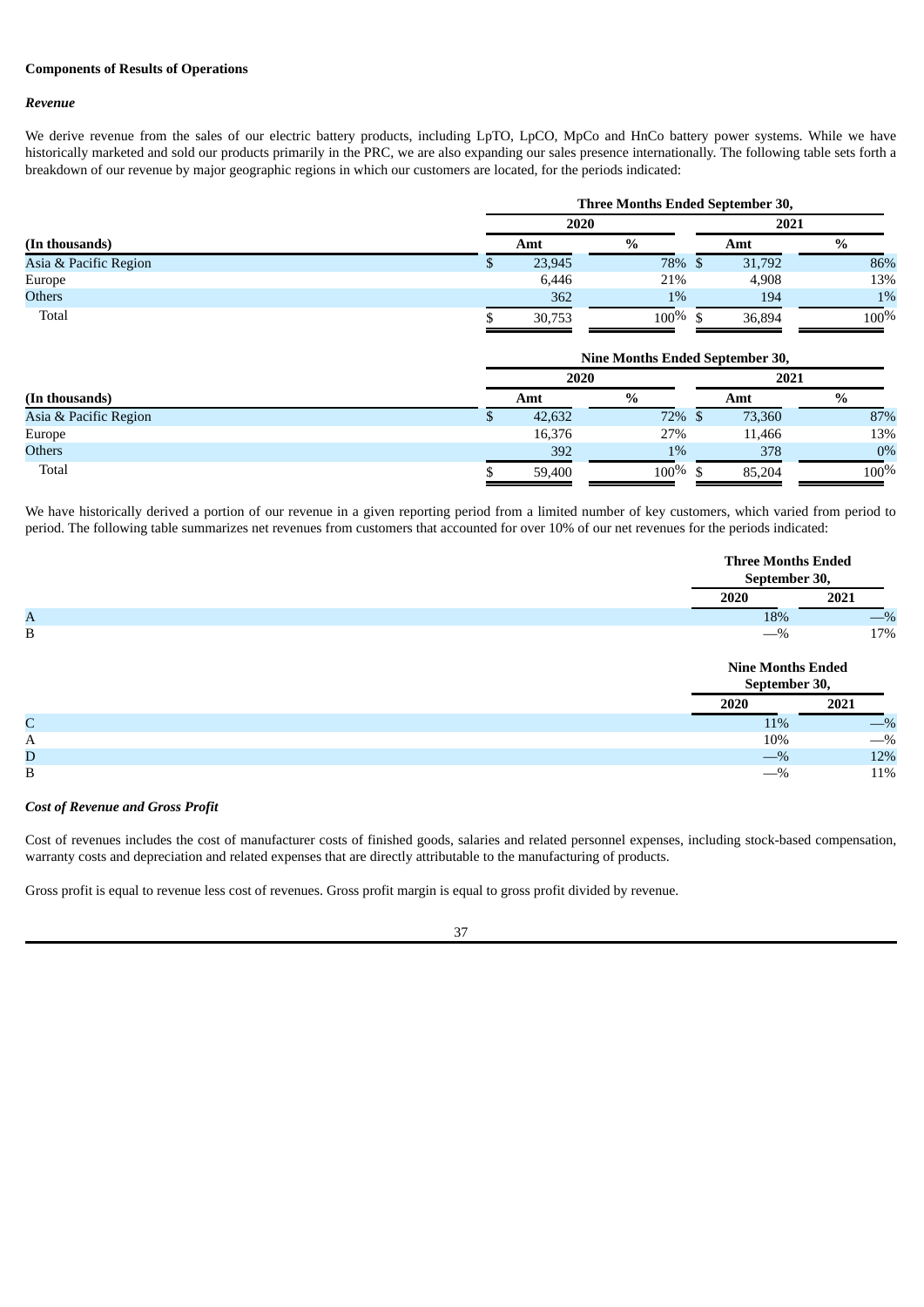#### **Components of Results of Operations**

#### *Revenue*

We derive revenue from the sales of our electric battery products, including LpTO, LpCO, MpCo and HnCo battery power systems. While we have historically marketed and sold our products primarily in the PRC, we are also expanding our sales presence internationally. The following table sets forth a breakdown of our revenue by major geographic regions in which our customers are located, for the periods indicated:

|                       |  | Three Months Ended September 30, |         |     |        |         |  |  |  |  |  |  |  |
|-----------------------|--|----------------------------------|---------|-----|--------|---------|--|--|--|--|--|--|--|
|                       |  | 2020                             |         |     | 2021   |         |  |  |  |  |  |  |  |
| (In thousands)        |  | Amt                              |         | Amt |        | $\%$    |  |  |  |  |  |  |  |
| Asia & Pacific Region |  | 23,945                           | 78% \$  |     | 31,792 | 86%     |  |  |  |  |  |  |  |
| Europe                |  | 6.446                            | 21%     |     | 4,908  | 13%     |  |  |  |  |  |  |  |
| <b>Others</b>         |  | 362                              | $1\%$   |     | 194    | $1\%$   |  |  |  |  |  |  |  |
| Total                 |  | 30,753                           | $100\%$ |     | 36,894 | $100\%$ |  |  |  |  |  |  |  |

|                       | Nine Months Ended September 30, |           |      |        |       |  |  |  |  |  |  |
|-----------------------|---------------------------------|-----------|------|--------|-------|--|--|--|--|--|--|
|                       | 2020                            |           | 2021 |        |       |  |  |  |  |  |  |
| (In thousands)        | Amt                             | $\%$      |      | Amt    | %     |  |  |  |  |  |  |
| Asia & Pacific Region | 42,632                          | $72\%$ \$ |      | 73,360 | 87%   |  |  |  |  |  |  |
| Europe                | 16,376                          | 27%       |      | 11,466 | 13%   |  |  |  |  |  |  |
| <b>Others</b>         | 392                             | $1\%$     |      | 378    | $0\%$ |  |  |  |  |  |  |
| Total                 | 59,400                          | $100\%$   |      | 85.204 | 100%  |  |  |  |  |  |  |

We have historically derived a portion of our revenue in a given reporting period from a limited number of key customers, which varied from period to period. The following table summarizes net revenues from customers that accounted for over 10% of our net revenues for the periods indicated:

|   |       | <b>Three Months Ended</b><br>September 30, |  |  |
|---|-------|--------------------------------------------|--|--|
|   | 2020  | 2021                                       |  |  |
| A | 18%   | $-$ %                                      |  |  |
| B | $-$ % | 17%                                        |  |  |
|   |       | <b>Nine Months Ended</b><br>September 30,  |  |  |
|   | 2020  | 2021                                       |  |  |
| Ċ | 11%   | $-$ %                                      |  |  |
| A | 10%   | $-$ %                                      |  |  |
| D | $-$ % | 12%                                        |  |  |
| B | $-$ % | 11%                                        |  |  |

### *Cost of Revenue and Gross Profit*

Cost of revenues includes the cost of manufacturer costs of finished goods, salaries and related personnel expenses, including stock-based compensation, warranty costs and depreciation and related expenses that are directly attributable to the manufacturing of products.

Gross profit is equal to revenue less cost of revenues. Gross profit margin is equal to gross profit divided by revenue.

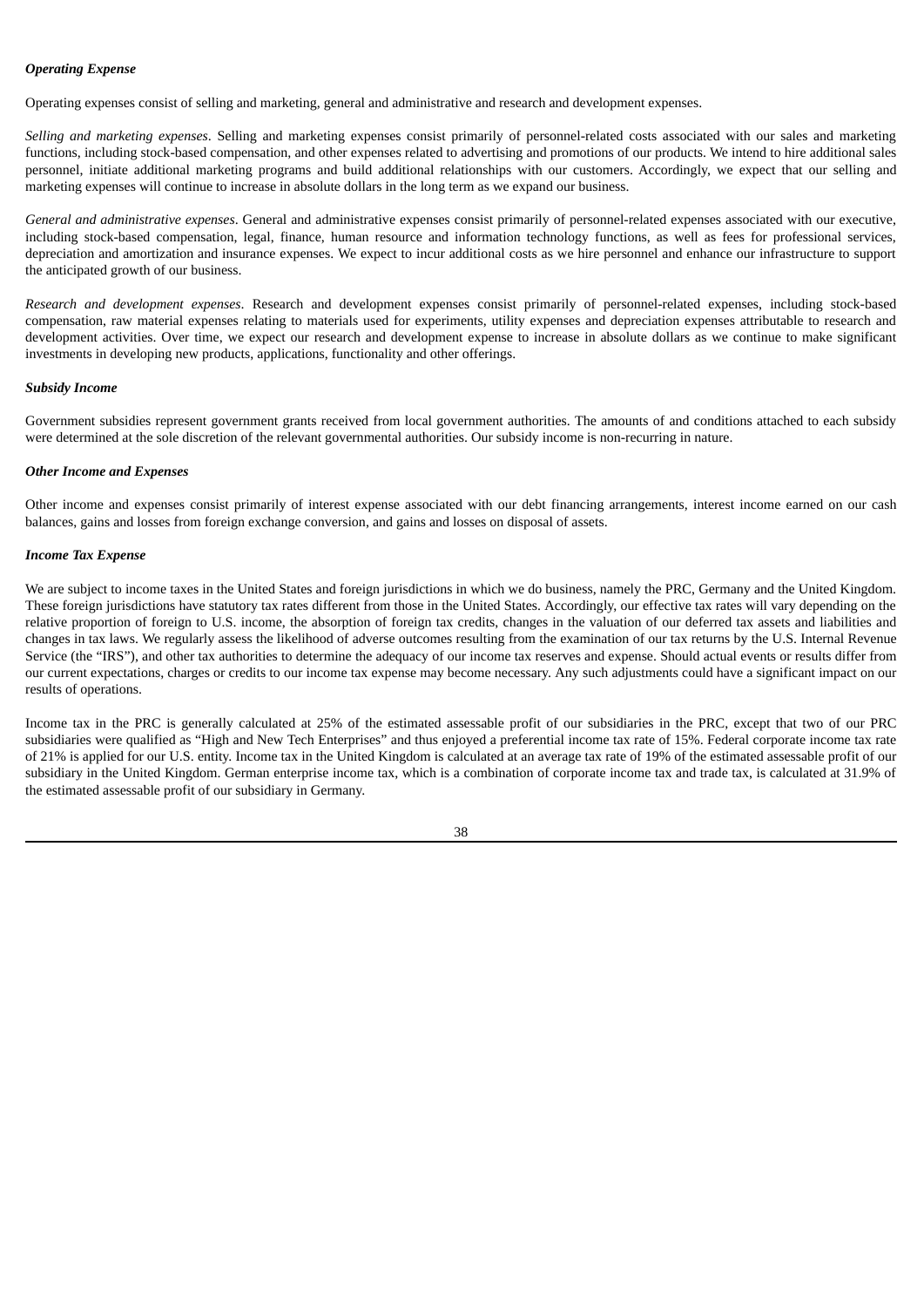#### *Operating Expense*

Operating expenses consist of selling and marketing, general and administrative and research and development expenses.

*Selling and marketing expenses*. Selling and marketing expenses consist primarily of personnel-related costs associated with our sales and marketing functions, including stock-based compensation, and other expenses related to advertising and promotions of our products. We intend to hire additional sales personnel, initiate additional marketing programs and build additional relationships with our customers. Accordingly, we expect that our selling and marketing expenses will continue to increase in absolute dollars in the long term as we expand our business.

*General and administrative expenses*. General and administrative expenses consist primarily of personnel-related expenses associated with our executive, including stock-based compensation, legal, finance, human resource and information technology functions, as well as fees for professional services, depreciation and amortization and insurance expenses. We expect to incur additional costs as we hire personnel and enhance our infrastructure to support the anticipated growth of our business.

*Research and development expenses*. Research and development expenses consist primarily of personnel-related expenses, including stock-based compensation, raw material expenses relating to materials used for experiments, utility expenses and depreciation expenses attributable to research and development activities. Over time, we expect our research and development expense to increase in absolute dollars as we continue to make significant investments in developing new products, applications, functionality and other offerings.

#### *Subsidy Income*

Government subsidies represent government grants received from local government authorities. The amounts of and conditions attached to each subsidy were determined at the sole discretion of the relevant governmental authorities. Our subsidy income is non-recurring in nature.

#### *Other Income and Expenses*

Other income and expenses consist primarily of interest expense associated with our debt financing arrangements, interest income earned on our cash balances, gains and losses from foreign exchange conversion, and gains and losses on disposal of assets.

#### *Income Tax Expense*

We are subject to income taxes in the United States and foreign jurisdictions in which we do business, namely the PRC, Germany and the United Kingdom. These foreign jurisdictions have statutory tax rates different from those in the United States. Accordingly, our effective tax rates will vary depending on the relative proportion of foreign to U.S. income, the absorption of foreign tax credits, changes in the valuation of our deferred tax assets and liabilities and changes in tax laws. We regularly assess the likelihood of adverse outcomes resulting from the examination of our tax returns by the U.S. Internal Revenue Service (the "IRS"), and other tax authorities to determine the adequacy of our income tax reserves and expense. Should actual events or results differ from our current expectations, charges or credits to our income tax expense may become necessary. Any such adjustments could have a significant impact on our results of operations.

Income tax in the PRC is generally calculated at 25% of the estimated assessable profit of our subsidiaries in the PRC, except that two of our PRC subsidiaries were qualified as "High and New Tech Enterprises" and thus enjoyed a preferential income tax rate of 15%. Federal corporate income tax rate of 21% is applied for our U.S. entity. Income tax in the United Kingdom is calculated at an average tax rate of 19% of the estimated assessable profit of our subsidiary in the United Kingdom. German enterprise income tax, which is a combination of corporate income tax and trade tax, is calculated at 31.9% of the estimated assessable profit of our subsidiary in Germany.

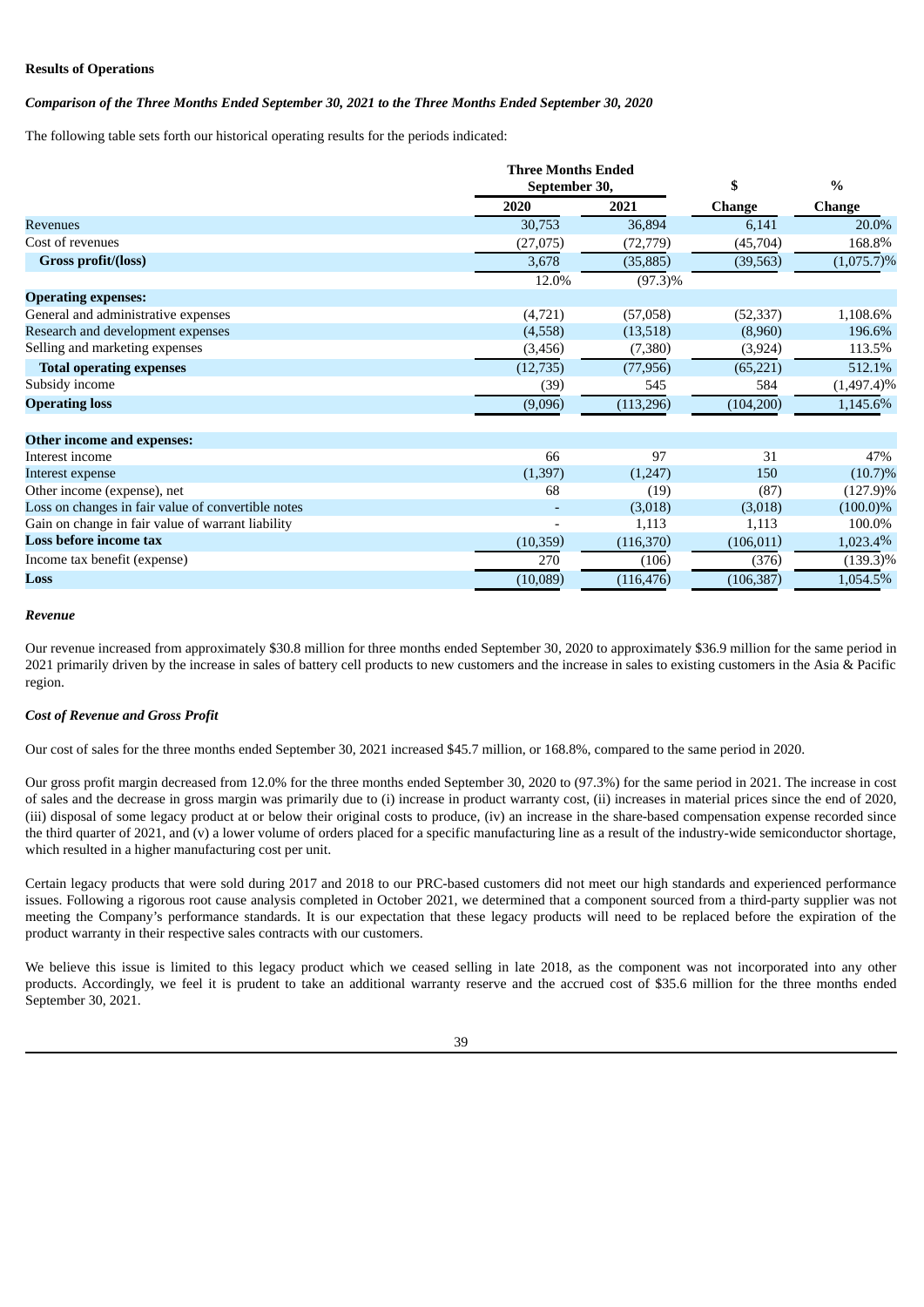#### **Results of Operations**

#### *Comparison of the Three Months Ended September 30, 2021 to the Three Months Ended September 30, 2020*

The following table sets forth our historical operating results for the periods indicated:

|                                                    | <b>Three Months Ended</b><br>September 30, |            | \$            | $\%$<br><b>Change</b> |  |
|----------------------------------------------------|--------------------------------------------|------------|---------------|-----------------------|--|
|                                                    | 2020                                       | 2021       | <b>Change</b> |                       |  |
| <b>Revenues</b>                                    | 30,753                                     | 36,894     | 6,141         | 20.0%                 |  |
| Cost of revenues                                   | (27, 075)                                  | (72,779)   | (45, 704)     | 168.8%                |  |
| Gross profit/(loss)                                | 3,678                                      | (35, 885)  | (39, 563)     | $(1,075.7)\%$         |  |
|                                                    | 12.0%                                      | $(97.3)\%$ |               |                       |  |
| <b>Operating expenses:</b>                         |                                            |            |               |                       |  |
| General and administrative expenses                | (4,721)                                    | (57,058)   | (52, 337)     | 1,108.6%              |  |
| Research and development expenses                  | (4,558)                                    | (13,518)   | (8,960)       | 196.6%                |  |
| Selling and marketing expenses                     | (3, 456)                                   | (7,380)    | (3,924)       | 113.5%                |  |
| <b>Total operating expenses</b>                    | (12, 735)                                  | (77, 956)  | (65, 221)     | 512.1%                |  |
| Subsidy income                                     | (39)                                       | 545        | 584           | $(1,497.4)\%$         |  |
| <b>Operating loss</b>                              | (9,096)                                    | (113,296)  | (104, 200)    | 1,145.6%              |  |
| Other income and expenses:                         |                                            |            |               |                       |  |
| Interest income                                    | 66                                         | 97         | 31            | 47%                   |  |
| Interest expense                                   | (1,397)                                    | (1,247)    | 150           | $(10.7)\%$            |  |
| Other income (expense), net                        | 68                                         | (19)       | (87)          | $(127.9)\%$           |  |
| Loss on changes in fair value of convertible notes |                                            | (3,018)    | (3,018)       | $(100.0)\%$           |  |
| Gain on change in fair value of warrant liability  |                                            | 1,113      | 1,113         | 100.0%                |  |
| Loss before income tax                             | (10, 359)                                  | (116,370)  | (106, 011)    | 1,023.4%              |  |
| Income tax benefit (expense)                       | 270                                        | (106)      | (376)         | $(139.3)\%$           |  |
| Loss                                               | (10,089)                                   | (116, 476) | (106, 387)    | 1,054.5%              |  |

#### *Revenue*

Our revenue increased from approximately \$30.8 million for three months ended September 30, 2020 to approximately \$36.9 million for the same period in 2021 primarily driven by the increase in sales of battery cell products to new customers and the increase in sales to existing customers in the Asia & Pacific region.

#### *Cost of Revenue and Gross Profit*

Our cost of sales for the three months ended September 30, 2021 increased \$45.7 million, or 168.8%, compared to the same period in 2020.

Our gross profit margin decreased from 12.0% for the three months ended September 30, 2020 to (97.3%) for the same period in 2021. The increase in cost of sales and the decrease in gross margin was primarily due to (i) increase in product warranty cost, (ii) increases in material prices since the end of 2020, (iii) disposal of some legacy product at or below their original costs to produce, (iv) an increase in the share-based compensation expense recorded since the third quarter of 2021, and (v) a lower volume of orders placed for a specific manufacturing line as a result of the industry-wide semiconductor shortage, which resulted in a higher manufacturing cost per unit.

Certain legacy products that were sold during 2017 and 2018 to our PRC-based customers did not meet our high standards and experienced performance issues. Following a rigorous root cause analysis completed in October 2021, we determined that a component sourced from a third-party supplier was not meeting the Company's performance standards. It is our expectation that these legacy products will need to be replaced before the expiration of the product warranty in their respective sales contracts with our customers.

We believe this issue is limited to this legacy product which we ceased selling in late 2018, as the component was not incorporated into any other products. Accordingly, we feel it is prudent to take an additional warranty reserve and the accrued cost of \$35.6 million for the three months ended September 30, 2021.

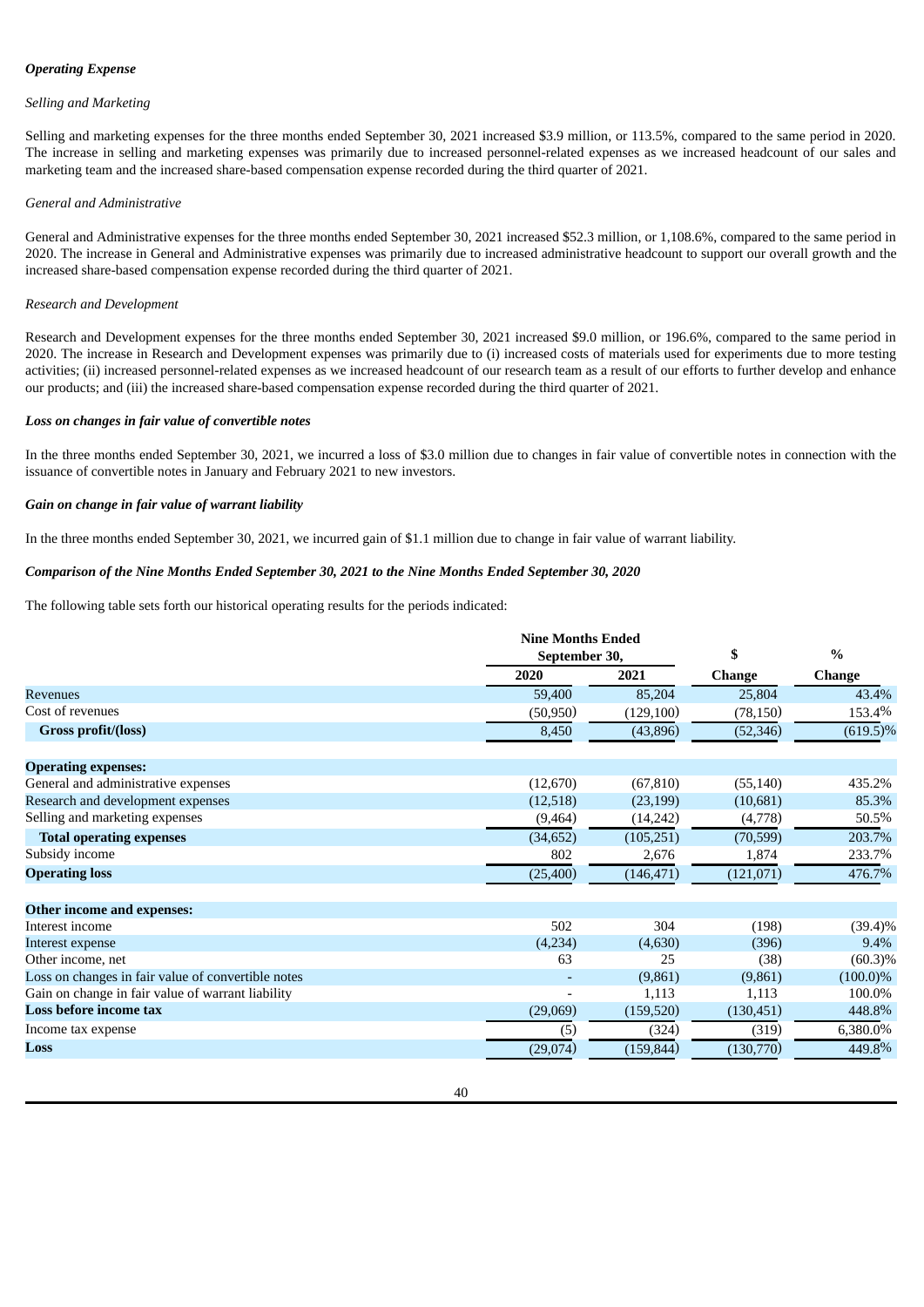#### *Operating Expense*

#### *Selling and Marketing*

Selling and marketing expenses for the three months ended September 30, 2021 increased \$3.9 million, or 113.5%, compared to the same period in 2020. The increase in selling and marketing expenses was primarily due to increased personnel-related expenses as we increased headcount of our sales and marketing team and the increased share-based compensation expense recorded during the third quarter of 2021.

#### *General and Administrative*

General and Administrative expenses for the three months ended September 30, 2021 increased \$52.3 million, or 1,108.6%, compared to the same period in 2020. The increase in General and Administrative expenses was primarily due to increased administrative headcount to support our overall growth and the increased share-based compensation expense recorded during the third quarter of 2021.

#### *Research and Development*

Research and Development expenses for the three months ended September 30, 2021 increased \$9.0 million, or 196.6%, compared to the same period in 2020. The increase in Research and Development expenses was primarily due to (i) increased costs of materials used for experiments due to more testing activities; (ii) increased personnel-related expenses as we increased headcount of our research team as a result of our efforts to further develop and enhance our products; and (iii) the increased share-based compensation expense recorded during the third quarter of 2021.

#### *Loss on changes in fair value of convertible notes*

In the three months ended September 30, 2021, we incurred a loss of \$3.0 million due to changes in fair value of convertible notes in connection with the issuance of convertible notes in January and February 2021 to new investors.

#### *Gain on change in fair value of warrant liability*

In the three months ended September 30, 2021, we incurred gain of \$1.1 million due to change in fair value of warrant liability.

#### *Comparison of the Nine Months Ended September 30, 2021 to the Nine Months Ended September 30, 2020*

The following table sets forth our historical operating results for the periods indicated:

|                                                    | <b>Nine Months Ended</b><br>September 30, |            | \$            | $\frac{0}{0}$ |
|----------------------------------------------------|-------------------------------------------|------------|---------------|---------------|
|                                                    | 2020                                      | 2021       | <b>Change</b> | <b>Change</b> |
| Revenues                                           | 59,400                                    | 85,204     | 25,804        | 43.4%         |
| Cost of revenues                                   | (50,950)                                  | (129, 100) | (78, 150)     | 153.4%        |
| Gross profit/(loss)                                | 8,450                                     | (43,896)   | (52, 346)     | $(619.5)\%$   |
| <b>Operating expenses:</b>                         |                                           |            |               |               |
| General and administrative expenses                | (12,670)                                  | (67, 810)  | (55, 140)     | 435.2%        |
| Research and development expenses                  | (12,518)                                  | (23, 199)  | (10,681)      | 85.3%         |
| Selling and marketing expenses                     | (9,464)                                   | (14,242)   | (4,778)       | 50.5%         |
| <b>Total operating expenses</b>                    | (34, 652)                                 | (105, 251) | (70, 599)     | 203.7%        |
| Subsidy income                                     | 802                                       | 2,676      | 1,874         | 233.7%        |
| <b>Operating loss</b>                              | (25, 400)                                 | (146, 471) | (121, 071)    | 476.7%        |
| Other income and expenses:                         |                                           |            |               |               |
| Interest income                                    | 502                                       | 304        | (198)         | $(39.4)\%$    |
| Interest expense                                   | (4,234)                                   | (4,630)    | (396)         | 9.4%          |
| Other income, net                                  | 63                                        | 25         | (38)          | $(60.3)\%$    |
| Loss on changes in fair value of convertible notes |                                           | (9,861)    | (9,861)       | $(100.0)\%$   |
| Gain on change in fair value of warrant liability  |                                           | 1,113      | 1,113         | 100.0%        |
| Loss before income tax                             | (29,069)                                  | (159, 520) | (130, 451)    | 448.8%        |
| Income tax expense                                 | (5)                                       | (324)      | (319)         | 6,380.0%      |
| Loss                                               | (29,074)                                  | (159, 844) | (130,770)     | 449.8%        |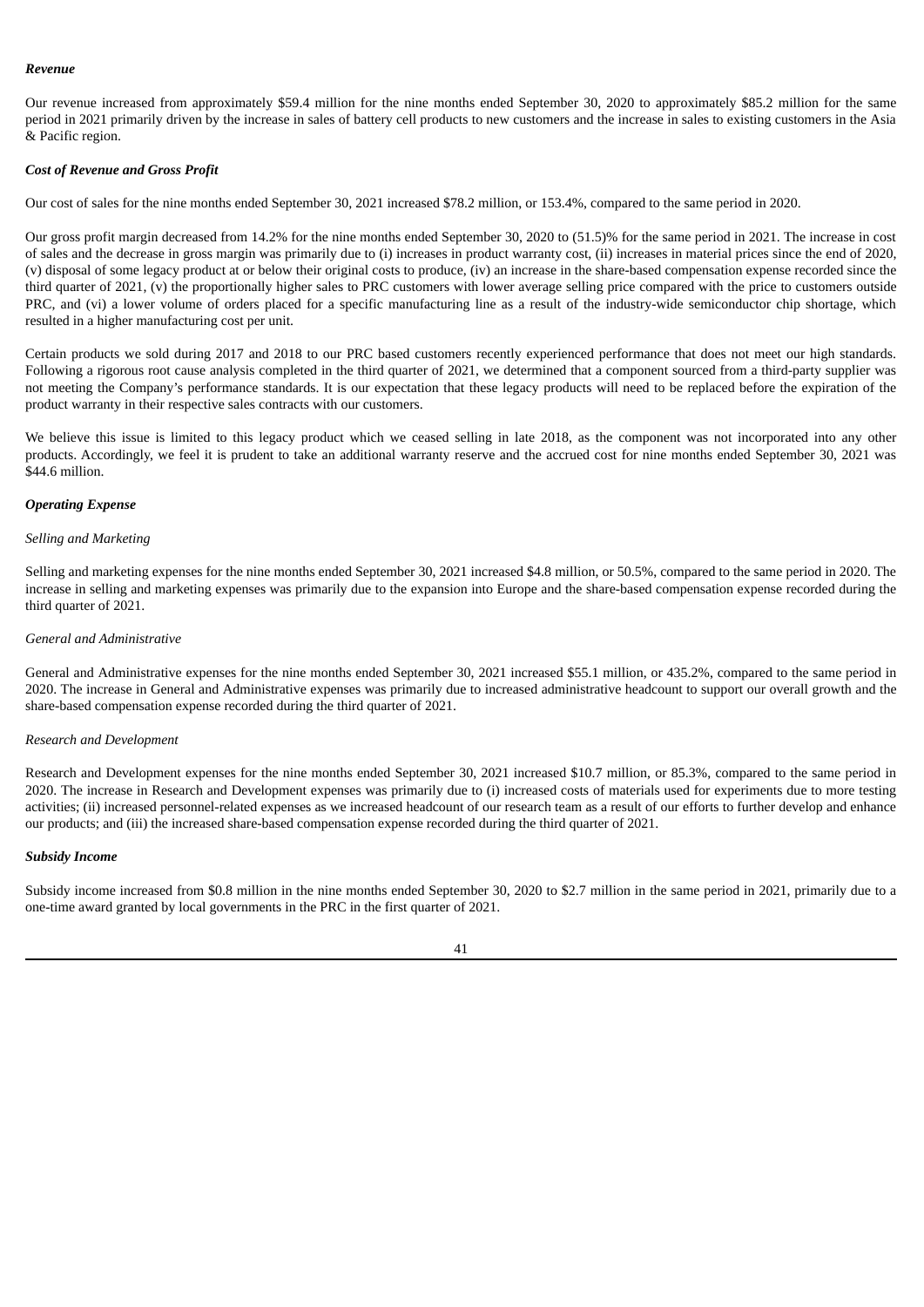#### *Revenue*

Our revenue increased from approximately \$59.4 million for the nine months ended September 30, 2020 to approximately \$85.2 million for the same period in 2021 primarily driven by the increase in sales of battery cell products to new customers and the increase in sales to existing customers in the Asia & Pacific region.

#### *Cost of Revenue and Gross Profit*

Our cost of sales for the nine months ended September 30, 2021 increased \$78.2 million, or 153.4%, compared to the same period in 2020.

Our gross profit margin decreased from 14.2% for the nine months ended September 30, 2020 to (51.5)% for the same period in 2021. The increase in cost of sales and the decrease in gross margin was primarily due to (i) increases in product warranty cost, (ii) increases in material prices since the end of 2020, (v) disposal of some legacy product at or below their original costs to produce, (iv) an increase in the share-based compensation expense recorded since the third quarter of 2021, (v) the proportionally higher sales to PRC customers with lower average selling price compared with the price to customers outside PRC, and (vi) a lower volume of orders placed for a specific manufacturing line as a result of the industry-wide semiconductor chip shortage, which resulted in a higher manufacturing cost per unit.

Certain products we sold during 2017 and 2018 to our PRC based customers recently experienced performance that does not meet our high standards. Following a rigorous root cause analysis completed in the third quarter of 2021, we determined that a component sourced from a third-party supplier was not meeting the Company's performance standards. It is our expectation that these legacy products will need to be replaced before the expiration of the product warranty in their respective sales contracts with our customers.

We believe this issue is limited to this legacy product which we ceased selling in late 2018, as the component was not incorporated into any other products. Accordingly, we feel it is prudent to take an additional warranty reserve and the accrued cost for nine months ended September 30, 2021 was \$44.6 million.

#### *Operating Expense*

#### *Selling and Marketing*

Selling and marketing expenses for the nine months ended September 30, 2021 increased \$4.8 million, or 50.5%, compared to the same period in 2020. The increase in selling and marketing expenses was primarily due to the expansion into Europe and the share-based compensation expense recorded during the third quarter of 2021.

#### *General and Administrative*

General and Administrative expenses for the nine months ended September 30, 2021 increased \$55.1 million, or 435.2%, compared to the same period in 2020. The increase in General and Administrative expenses was primarily due to increased administrative headcount to support our overall growth and the share-based compensation expense recorded during the third quarter of 2021.

#### *Research and Development*

Research and Development expenses for the nine months ended September 30, 2021 increased \$10.7 million, or 85.3%, compared to the same period in 2020. The increase in Research and Development expenses was primarily due to (i) increased costs of materials used for experiments due to more testing activities; (ii) increased personnel-related expenses as we increased headcount of our research team as a result of our efforts to further develop and enhance our products; and (iii) the increased share-based compensation expense recorded during the third quarter of 2021.

#### *Subsidy Income*

Subsidy income increased from \$0.8 million in the nine months ended September 30, 2020 to \$2.7 million in the same period in 2021, primarily due to a one-time award granted by local governments in the PRC in the first quarter of 2021.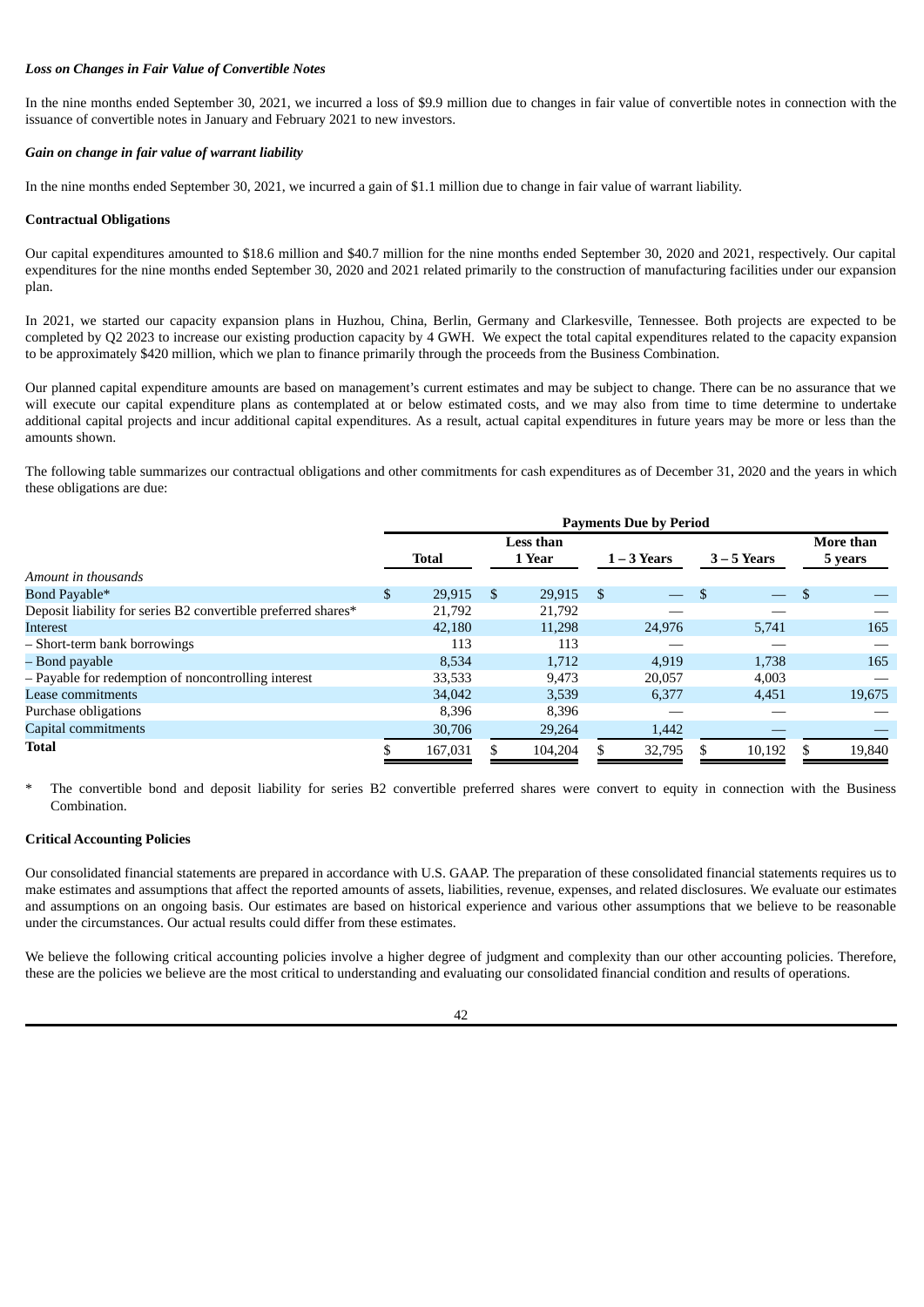#### *Loss on Changes in Fair Value of Convertible Notes*

In the nine months ended September 30, 2021, we incurred a loss of \$9.9 million due to changes in fair value of convertible notes in connection with the issuance of convertible notes in January and February 2021 to new investors.

#### *Gain on change in fair value of warrant liability*

In the nine months ended September 30, 2021, we incurred a gain of \$1.1 million due to change in fair value of warrant liability.

#### **Contractual Obligations**

Our capital expenditures amounted to \$18.6 million and \$40.7 million for the nine months ended September 30, 2020 and 2021, respectively. Our capital expenditures for the nine months ended September 30, 2020 and 2021 related primarily to the construction of manufacturing facilities under our expansion plan.

In 2021, we started our capacity expansion plans in Huzhou, China, Berlin, Germany and Clarkesville, Tennessee. Both projects are expected to be completed by Q2 2023 to increase our existing production capacity by 4 GWH. We expect the total capital expenditures related to the capacity expansion to be approximately \$420 million, which we plan to finance primarily through the proceeds from the Business Combination.

Our planned capital expenditure amounts are based on management's current estimates and may be subject to change. There can be no assurance that we will execute our capital expenditure plans as contemplated at or below estimated costs, and we may also from time to time determine to undertake additional capital projects and incur additional capital expenditures. As a result, actual capital expenditures in future years may be more or less than the amounts shown.

The following table summarizes our contractual obligations and other commitments for cash expenditures as of December 31, 2020 and the years in which these obligations are due:

|                                                               | <b>Payments Due by Period</b> |         |                     |         |               |                          |               |        |                      |        |
|---------------------------------------------------------------|-------------------------------|---------|---------------------|---------|---------------|--------------------------|---------------|--------|----------------------|--------|
|                                                               | <b>Total</b>                  |         | Less than<br>1 Year |         | $1 - 3$ Years |                          | $3 - 5$ Years |        | More than<br>5 years |        |
| Amount in thousands                                           |                               |         |                     |         |               |                          |               |        |                      |        |
| Bond Pavable*                                                 | \$                            | 29,915  | <sup>\$</sup>       | 29,915  | -S            | $\overline{\phantom{a}}$ | \$            |        | .S                   |        |
| Deposit liability for series B2 convertible preferred shares* |                               | 21,792  |                     | 21,792  |               |                          |               |        |                      |        |
| Interest                                                      |                               | 42,180  |                     | 11.298  |               | 24,976                   |               | 5,741  |                      | 165    |
| - Short-term bank borrowings                                  |                               | 113     |                     | 113     |               |                          |               |        |                      |        |
| - Bond payable                                                |                               | 8,534   |                     | 1.712   |               | 4,919                    |               | 1,738  |                      | 165    |
| - Payable for redemption of noncontrolling interest           |                               | 33,533  |                     | 9.473   |               | 20.057                   |               | 4.003  |                      |        |
| Lease commitments                                             |                               | 34,042  |                     | 3.539   |               | 6,377                    |               | 4,451  |                      | 19,675 |
| Purchase obligations                                          |                               | 8,396   |                     | 8,396   |               |                          |               |        |                      |        |
| Capital commitments                                           |                               | 30,706  |                     | 29,264  |               | 1,442                    |               |        |                      |        |
| <b>Total</b>                                                  |                               | 167,031 |                     | 104,204 |               | 32,795                   |               | 10,192 |                      | 19,840 |

The convertible bond and deposit liability for series B2 convertible preferred shares were convert to equity in connection with the Business Combination.

#### **Critical Accounting Policies**

Our consolidated financial statements are prepared in accordance with U.S. GAAP. The preparation of these consolidated financial statements requires us to make estimates and assumptions that affect the reported amounts of assets, liabilities, revenue, expenses, and related disclosures. We evaluate our estimates and assumptions on an ongoing basis. Our estimates are based on historical experience and various other assumptions that we believe to be reasonable under the circumstances. Our actual results could differ from these estimates.

We believe the following critical accounting policies involve a higher degree of judgment and complexity than our other accounting policies. Therefore, these are the policies we believe are the most critical to understanding and evaluating our consolidated financial condition and results of operations.

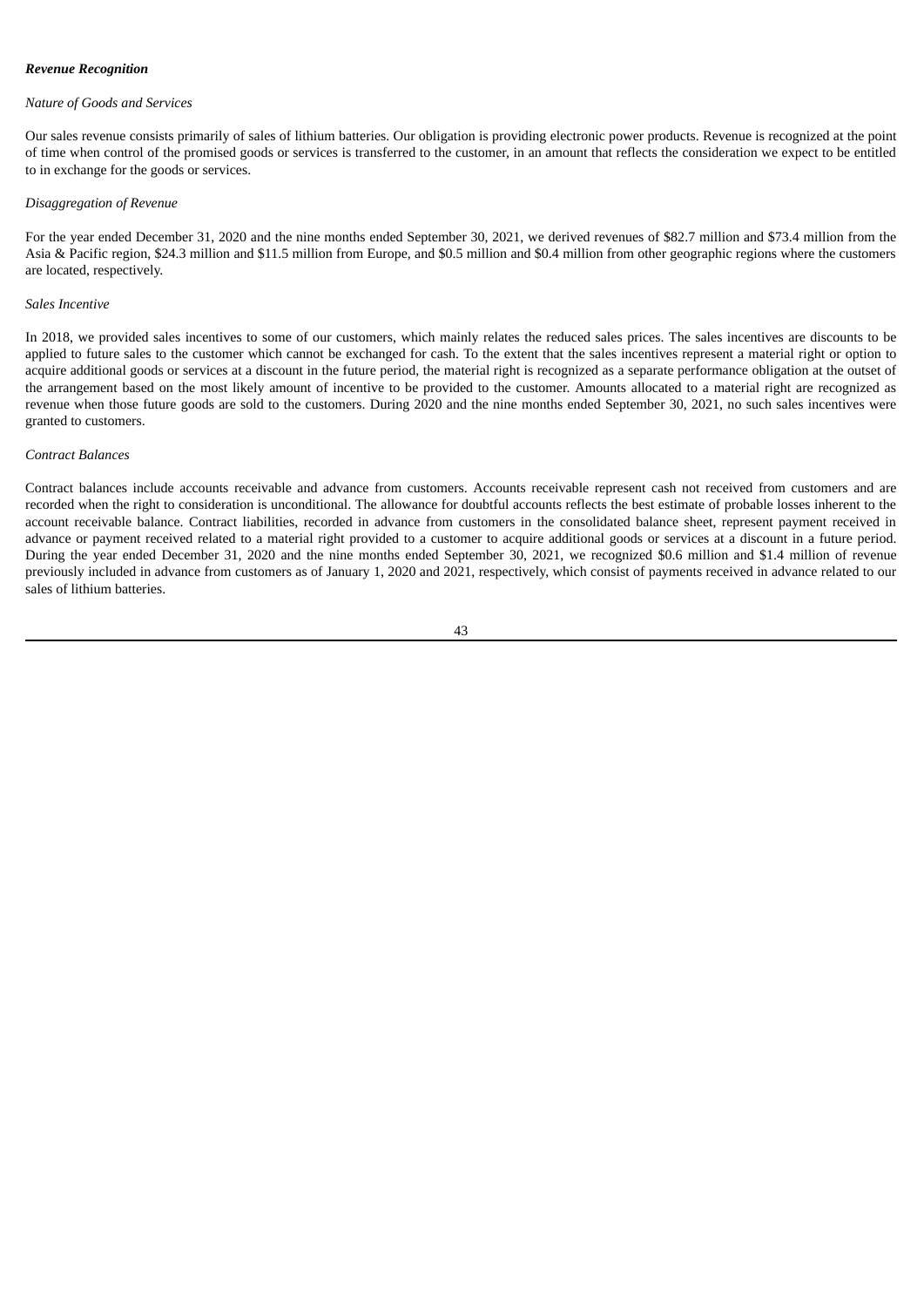#### *Revenue Recognition*

#### *Nature of Goods and Services*

Our sales revenue consists primarily of sales of lithium batteries. Our obligation is providing electronic power products. Revenue is recognized at the point of time when control of the promised goods or services is transferred to the customer, in an amount that reflects the consideration we expect to be entitled to in exchange for the goods or services.

#### *Disaggregation of Revenue*

For the year ended December 31, 2020 and the nine months ended September 30, 2021, we derived revenues of \$82.7 million and \$73.4 million from the Asia & Pacific region, \$24.3 million and \$11.5 million from Europe, and \$0.5 million and \$0.4 million from other geographic regions where the customers are located, respectively.

#### *Sales Incentive*

In 2018, we provided sales incentives to some of our customers, which mainly relates the reduced sales prices. The sales incentives are discounts to be applied to future sales to the customer which cannot be exchanged for cash. To the extent that the sales incentives represent a material right or option to acquire additional goods or services at a discount in the future period, the material right is recognized as a separate performance obligation at the outset of the arrangement based on the most likely amount of incentive to be provided to the customer. Amounts allocated to a material right are recognized as revenue when those future goods are sold to the customers. During 2020 and the nine months ended September 30, 2021, no such sales incentives were granted to customers.

#### *Contract Balances*

Contract balances include accounts receivable and advance from customers. Accounts receivable represent cash not received from customers and are recorded when the right to consideration is unconditional. The allowance for doubtful accounts reflects the best estimate of probable losses inherent to the account receivable balance. Contract liabilities, recorded in advance from customers in the consolidated balance sheet, represent payment received in advance or payment received related to a material right provided to a customer to acquire additional goods or services at a discount in a future period. During the year ended December 31, 2020 and the nine months ended September 30, 2021, we recognized \$0.6 million and \$1.4 million of revenue previously included in advance from customers as of January 1, 2020 and 2021, respectively, which consist of payments received in advance related to our sales of lithium batteries.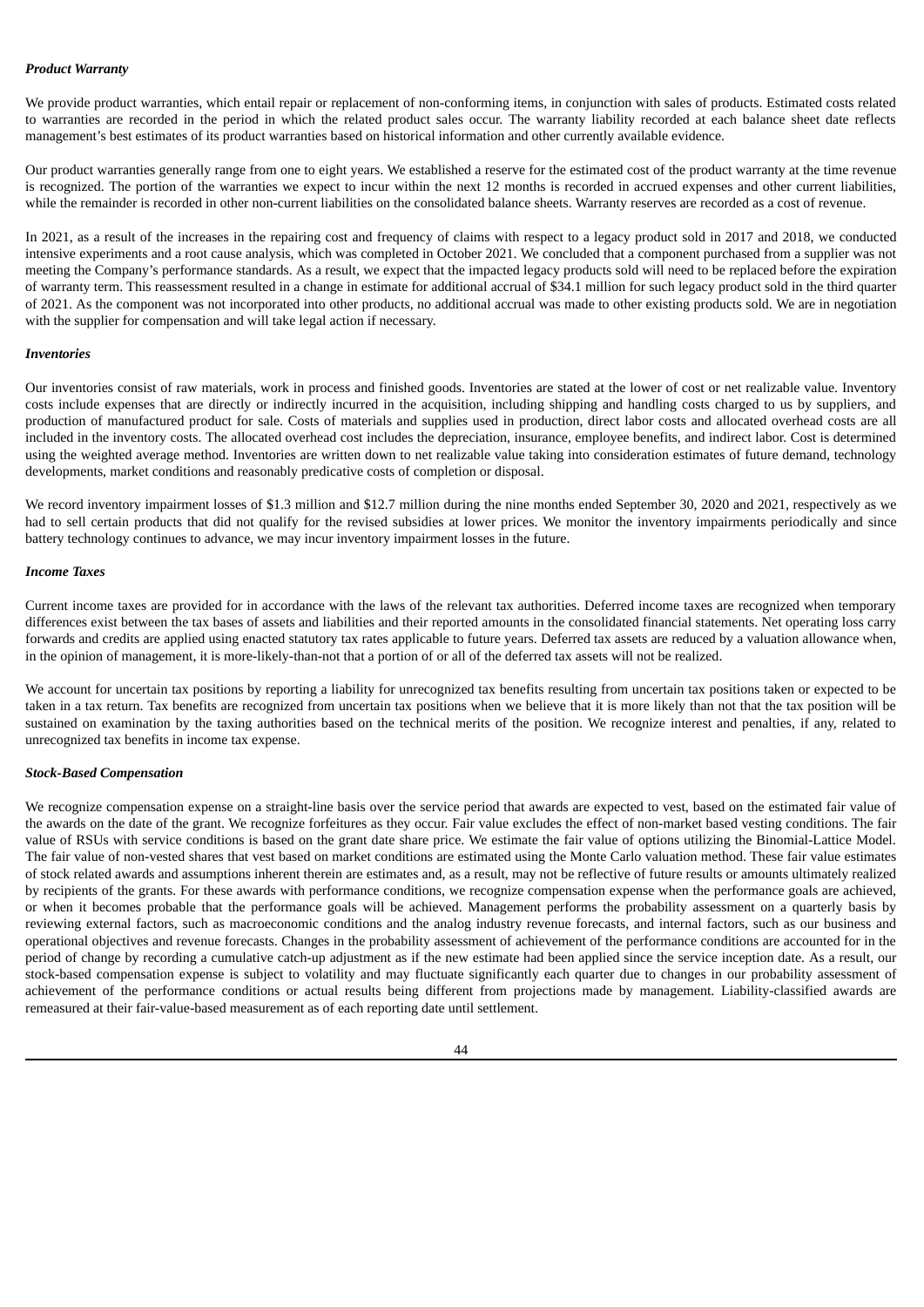#### *Product Warranty*

We provide product warranties, which entail repair or replacement of non-conforming items, in conjunction with sales of products. Estimated costs related to warranties are recorded in the period in which the related product sales occur. The warranty liability recorded at each balance sheet date reflects management's best estimates of its product warranties based on historical information and other currently available evidence.

Our product warranties generally range from one to eight years. We established a reserve for the estimated cost of the product warranty at the time revenue is recognized. The portion of the warranties we expect to incur within the next 12 months is recorded in accrued expenses and other current liabilities, while the remainder is recorded in other non-current liabilities on the consolidated balance sheets. Warranty reserves are recorded as a cost of revenue.

In 2021, as a result of the increases in the repairing cost and frequency of claims with respect to a legacy product sold in 2017 and 2018, we conducted intensive experiments and a root cause analysis, which was completed in October 2021. We concluded that a component purchased from a supplier was not meeting the Company's performance standards. As a result, we expect that the impacted legacy products sold will need to be replaced before the expiration of warranty term. This reassessment resulted in a change in estimate for additional accrual of \$34.1 million for such legacy product sold in the third quarter of 2021. As the component was not incorporated into other products, no additional accrual was made to other existing products sold. We are in negotiation with the supplier for compensation and will take legal action if necessary.

#### *Inventories*

Our inventories consist of raw materials, work in process and finished goods. Inventories are stated at the lower of cost or net realizable value. Inventory costs include expenses that are directly or indirectly incurred in the acquisition, including shipping and handling costs charged to us by suppliers, and production of manufactured product for sale. Costs of materials and supplies used in production, direct labor costs and allocated overhead costs are all included in the inventory costs. The allocated overhead cost includes the depreciation, insurance, employee benefits, and indirect labor. Cost is determined using the weighted average method. Inventories are written down to net realizable value taking into consideration estimates of future demand, technology developments, market conditions and reasonably predicative costs of completion or disposal.

We record inventory impairment losses of \$1.3 million and \$12.7 million during the nine months ended September 30, 2020 and 2021, respectively as we had to sell certain products that did not qualify for the revised subsidies at lower prices. We monitor the inventory impairments periodically and since battery technology continues to advance, we may incur inventory impairment losses in the future.

#### *Income Taxes*

Current income taxes are provided for in accordance with the laws of the relevant tax authorities. Deferred income taxes are recognized when temporary differences exist between the tax bases of assets and liabilities and their reported amounts in the consolidated financial statements. Net operating loss carry forwards and credits are applied using enacted statutory tax rates applicable to future years. Deferred tax assets are reduced by a valuation allowance when, in the opinion of management, it is more-likely-than-not that a portion of or all of the deferred tax assets will not be realized.

We account for uncertain tax positions by reporting a liability for unrecognized tax benefits resulting from uncertain tax positions taken or expected to be taken in a tax return. Tax benefits are recognized from uncertain tax positions when we believe that it is more likely than not that the tax position will be sustained on examination by the taxing authorities based on the technical merits of the position. We recognize interest and penalties, if any, related to unrecognized tax benefits in income tax expense.

#### *Stock-Based Compensation*

We recognize compensation expense on a straight-line basis over the service period that awards are expected to vest, based on the estimated fair value of the awards on the date of the grant. We recognize forfeitures as they occur. Fair value excludes the effect of non-market based vesting conditions. The fair value of RSUs with service conditions is based on the grant date share price. We estimate the fair value of options utilizing the Binomial-Lattice Model. The fair value of non-vested shares that vest based on market conditions are estimated using the Monte Carlo valuation method. These fair value estimates of stock related awards and assumptions inherent therein are estimates and, as a result, may not be reflective of future results or amounts ultimately realized by recipients of the grants. For these awards with performance conditions, we recognize compensation expense when the performance goals are achieved, or when it becomes probable that the performance goals will be achieved. Management performs the probability assessment on a quarterly basis by reviewing external factors, such as macroeconomic conditions and the analog industry revenue forecasts, and internal factors, such as our business and operational objectives and revenue forecasts. Changes in the probability assessment of achievement of the performance conditions are accounted for in the period of change by recording a cumulative catch-up adjustment as if the new estimate had been applied since the service inception date. As a result, our stock-based compensation expense is subject to volatility and may fluctuate significantly each quarter due to changes in our probability assessment of achievement of the performance conditions or actual results being different from projections made by management. Liability-classified awards are remeasured at their fair-value-based measurement as of each reporting date until settlement.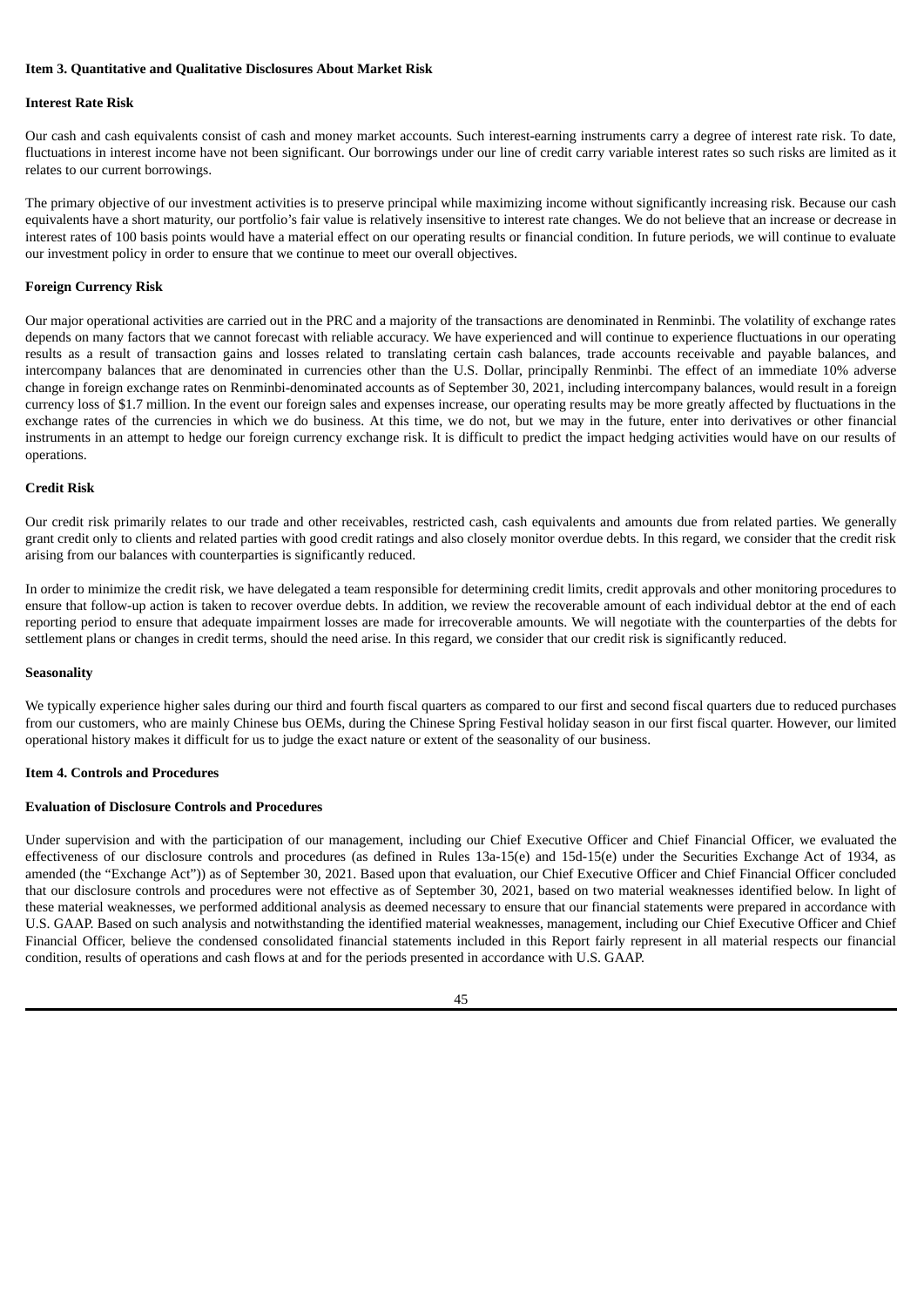#### <span id="page-47-0"></span>**Item 3. Quantitative and Qualitative Disclosures About Market Risk**

#### **Interest Rate Risk**

Our cash and cash equivalents consist of cash and money market accounts. Such interest-earning instruments carry a degree of interest rate risk. To date, fluctuations in interest income have not been significant. Our borrowings under our line of credit carry variable interest rates so such risks are limited as it relates to our current borrowings.

The primary objective of our investment activities is to preserve principal while maximizing income without significantly increasing risk. Because our cash equivalents have a short maturity, our portfolio's fair value is relatively insensitive to interest rate changes. We do not believe that an increase or decrease in interest rates of 100 basis points would have a material effect on our operating results or financial condition. In future periods, we will continue to evaluate our investment policy in order to ensure that we continue to meet our overall objectives.

#### **Foreign Currency Risk**

Our major operational activities are carried out in the PRC and a majority of the transactions are denominated in Renminbi. The volatility of exchange rates depends on many factors that we cannot forecast with reliable accuracy. We have experienced and will continue to experience fluctuations in our operating results as a result of transaction gains and losses related to translating certain cash balances, trade accounts receivable and payable balances, and intercompany balances that are denominated in currencies other than the U.S. Dollar, principally Renminbi. The effect of an immediate 10% adverse change in foreign exchange rates on Renminbi-denominated accounts as of September 30, 2021, including intercompany balances, would result in a foreign currency loss of \$1.7 million. In the event our foreign sales and expenses increase, our operating results may be more greatly affected by fluctuations in the exchange rates of the currencies in which we do business. At this time, we do not, but we may in the future, enter into derivatives or other financial instruments in an attempt to hedge our foreign currency exchange risk. It is difficult to predict the impact hedging activities would have on our results of operations.

#### **Credit Risk**

Our credit risk primarily relates to our trade and other receivables, restricted cash, cash equivalents and amounts due from related parties. We generally grant credit only to clients and related parties with good credit ratings and also closely monitor overdue debts. In this regard, we consider that the credit risk arising from our balances with counterparties is significantly reduced.

In order to minimize the credit risk, we have delegated a team responsible for determining credit limits, credit approvals and other monitoring procedures to ensure that follow-up action is taken to recover overdue debts. In addition, we review the recoverable amount of each individual debtor at the end of each reporting period to ensure that adequate impairment losses are made for irrecoverable amounts. We will negotiate with the counterparties of the debts for settlement plans or changes in credit terms, should the need arise. In this regard, we consider that our credit risk is significantly reduced.

#### **Seasonality**

We typically experience higher sales during our third and fourth fiscal quarters as compared to our first and second fiscal quarters due to reduced purchases from our customers, who are mainly Chinese bus OEMs, during the Chinese Spring Festival holiday season in our first fiscal quarter. However, our limited operational history makes it difficult for us to judge the exact nature or extent of the seasonality of our business.

#### <span id="page-47-1"></span>**Item 4. Controls and Procedures**

#### **Evaluation of Disclosure Controls and Procedures**

Under supervision and with the participation of our management, including our Chief Executive Officer and Chief Financial Officer, we evaluated the effectiveness of our disclosure controls and procedures (as defined in Rules 13a-15(e) and 15d-15(e) under the Securities Exchange Act of 1934, as amended (the "Exchange Act")) as of September 30, 2021. Based upon that evaluation, our Chief Executive Officer and Chief Financial Officer concluded that our disclosure controls and procedures were not effective as of September 30, 2021, based on two material weaknesses identified below. In light of these material weaknesses, we performed additional analysis as deemed necessary to ensure that our financial statements were prepared in accordance with U.S. GAAP. Based on such analysis and notwithstanding the identified material weaknesses, management, including our Chief Executive Officer and Chief Financial Officer, believe the condensed consolidated financial statements included in this Report fairly represent in all material respects our financial condition, results of operations and cash flows at and for the periods presented in accordance with U.S. GAAP.

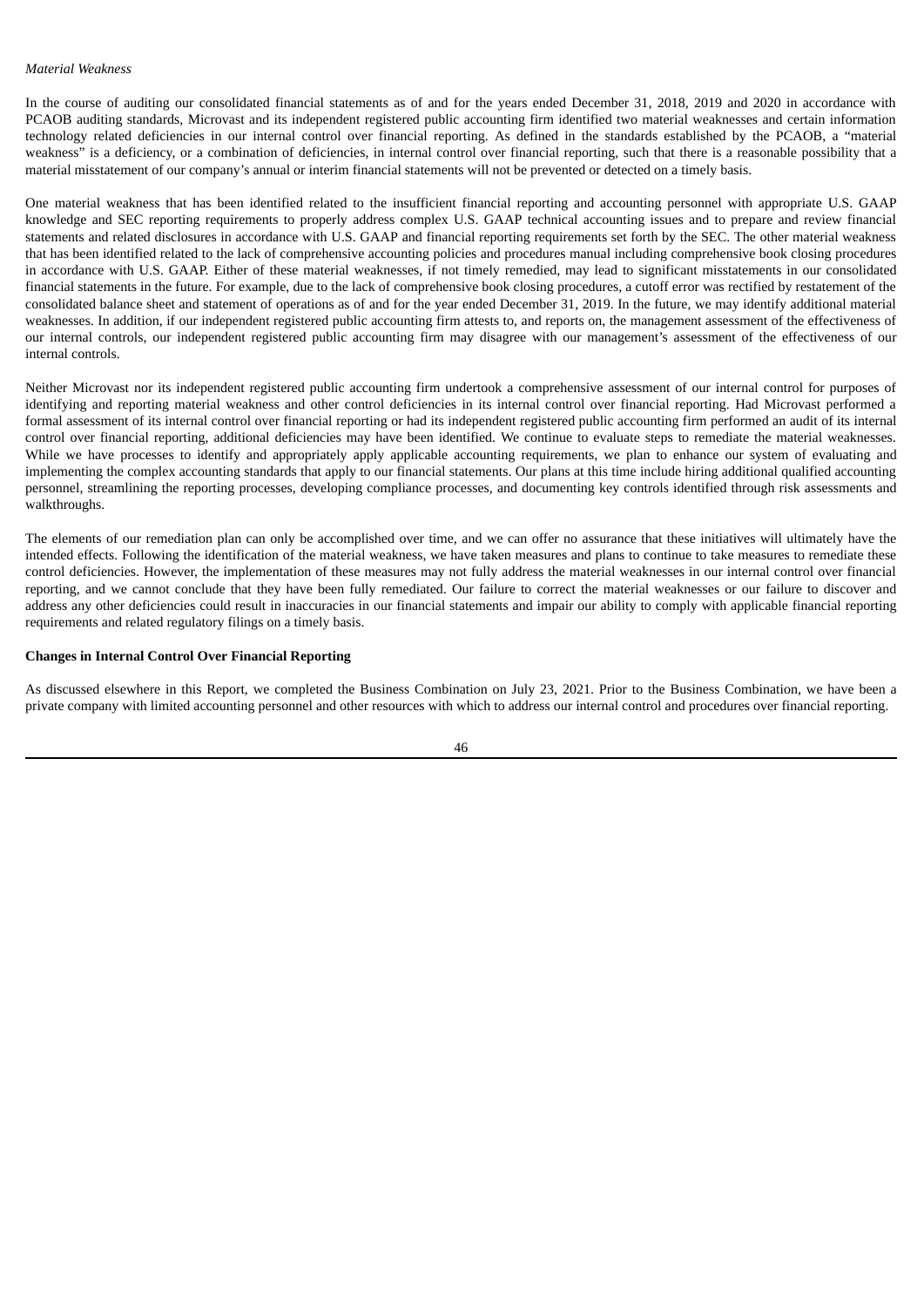In the course of auditing our consolidated financial statements as of and for the years ended December 31, 2018, 2019 and 2020 in accordance with PCAOB auditing standards, Microvast and its independent registered public accounting firm identified two material weaknesses and certain information technology related deficiencies in our internal control over financial reporting. As defined in the standards established by the PCAOB, a "material weakness" is a deficiency, or a combination of deficiencies, in internal control over financial reporting, such that there is a reasonable possibility that a material misstatement of our company's annual or interim financial statements will not be prevented or detected on a timely basis.

One material weakness that has been identified related to the insufficient financial reporting and accounting personnel with appropriate U.S. GAAP knowledge and SEC reporting requirements to properly address complex U.S. GAAP technical accounting issues and to prepare and review financial statements and related disclosures in accordance with U.S. GAAP and financial reporting requirements set forth by the SEC. The other material weakness that has been identified related to the lack of comprehensive accounting policies and procedures manual including comprehensive book closing procedures in accordance with U.S. GAAP. Either of these material weaknesses, if not timely remedied, may lead to significant misstatements in our consolidated financial statements in the future. For example, due to the lack of comprehensive book closing procedures, a cutoff error was rectified by restatement of the consolidated balance sheet and statement of operations as of and for the year ended December 31, 2019. In the future, we may identify additional material weaknesses. In addition, if our independent registered public accounting firm attests to, and reports on, the management assessment of the effectiveness of our internal controls, our independent registered public accounting firm may disagree with our management's assessment of the effectiveness of our internal controls.

Neither Microvast nor its independent registered public accounting firm undertook a comprehensive assessment of our internal control for purposes of identifying and reporting material weakness and other control deficiencies in its internal control over financial reporting. Had Microvast performed a formal assessment of its internal control over financial reporting or had its independent registered public accounting firm performed an audit of its internal control over financial reporting, additional deficiencies may have been identified. We continue to evaluate steps to remediate the material weaknesses. While we have processes to identify and appropriately apply applicable accounting requirements, we plan to enhance our system of evaluating and implementing the complex accounting standards that apply to our financial statements. Our plans at this time include hiring additional qualified accounting personnel, streamlining the reporting processes, developing compliance processes, and documenting key controls identified through risk assessments and walkthroughs.

The elements of our remediation plan can only be accomplished over time, and we can offer no assurance that these initiatives will ultimately have the intended effects. Following the identification of the material weakness, we have taken measures and plans to continue to take measures to remediate these control deficiencies. However, the implementation of these measures may not fully address the material weaknesses in our internal control over financial reporting, and we cannot conclude that they have been fully remediated. Our failure to correct the material weaknesses or our failure to discover and address any other deficiencies could result in inaccuracies in our financial statements and impair our ability to comply with applicable financial reporting requirements and related regulatory filings on a timely basis.

#### **Changes in Internal Control Over Financial Reporting**

As discussed elsewhere in this Report, we completed the Business Combination on July 23, 2021. Prior to the Business Combination, we have been a private company with limited accounting personnel and other resources with which to address our internal control and procedures over financial reporting.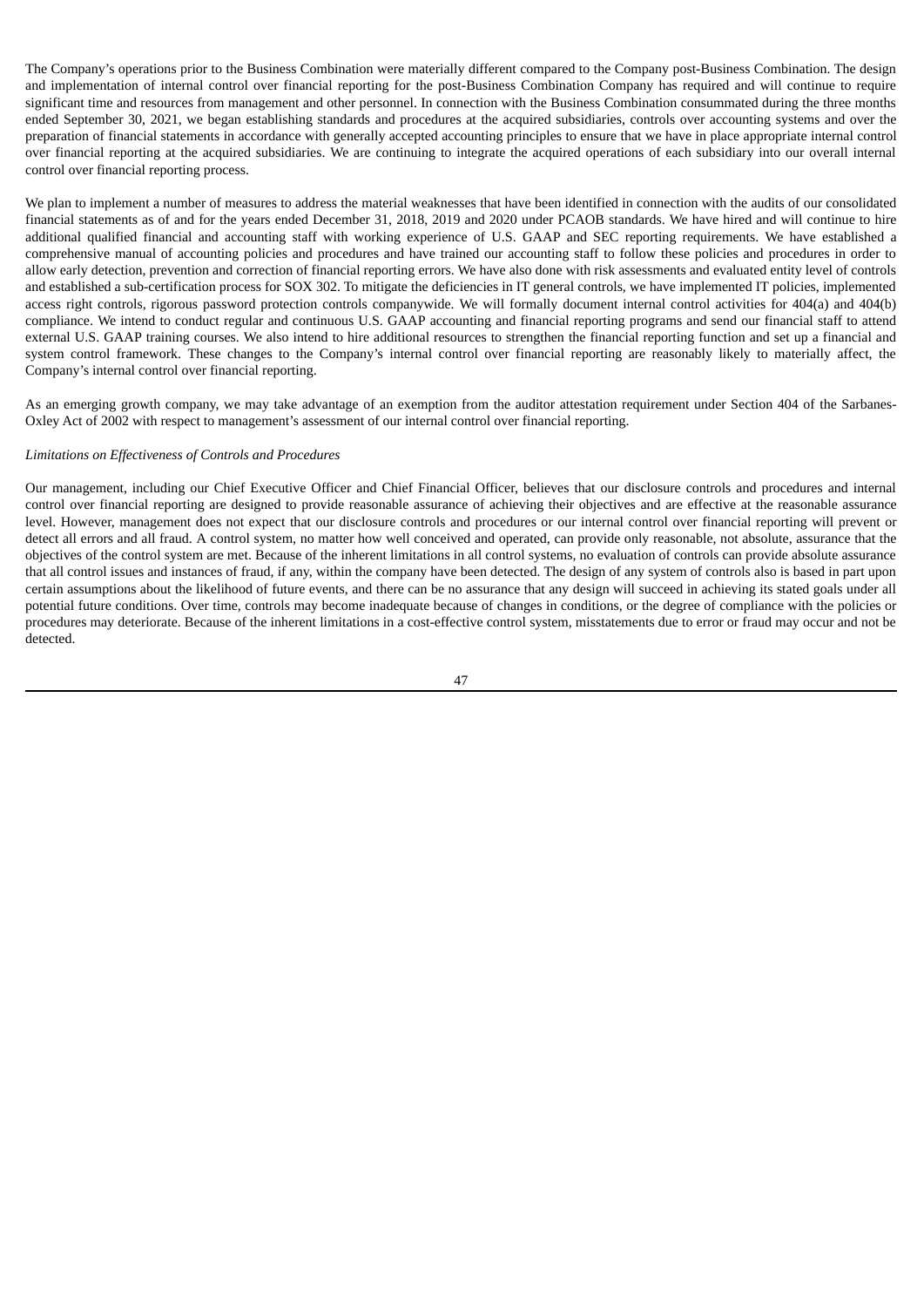The Company's operations prior to the Business Combination were materially different compared to the Company post-Business Combination. The design and implementation of internal control over financial reporting for the post-Business Combination Company has required and will continue to require significant time and resources from management and other personnel. In connection with the Business Combination consummated during the three months ended September 30, 2021, we began establishing standards and procedures at the acquired subsidiaries, controls over accounting systems and over the preparation of financial statements in accordance with generally accepted accounting principles to ensure that we have in place appropriate internal control over financial reporting at the acquired subsidiaries. We are continuing to integrate the acquired operations of each subsidiary into our overall internal control over financial reporting process.

We plan to implement a number of measures to address the material weaknesses that have been identified in connection with the audits of our consolidated financial statements as of and for the years ended December 31, 2018, 2019 and 2020 under PCAOB standards. We have hired and will continue to hire additional qualified financial and accounting staff with working experience of U.S. GAAP and SEC reporting requirements. We have established a comprehensive manual of accounting policies and procedures and have trained our accounting staff to follow these policies and procedures in order to allow early detection, prevention and correction of financial reporting errors. We have also done with risk assessments and evaluated entity level of controls and established a sub-certification process for SOX 302. To mitigate the deficiencies in IT general controls, we have implemented IT policies, implemented access right controls, rigorous password protection controls companywide. We will formally document internal control activities for 404(a) and 404(b) compliance. We intend to conduct regular and continuous U.S. GAAP accounting and financial reporting programs and send our financial staff to attend external U.S. GAAP training courses. We also intend to hire additional resources to strengthen the financial reporting function and set up a financial and system control framework. These changes to the Company's internal control over financial reporting are reasonably likely to materially affect, the Company's internal control over financial reporting.

As an emerging growth company, we may take advantage of an exemption from the auditor attestation requirement under Section 404 of the Sarbanes-Oxley Act of 2002 with respect to management's assessment of our internal control over financial reporting.

#### *Limitations on Effectiveness of Controls and Procedures*

Our management, including our Chief Executive Officer and Chief Financial Officer, believes that our disclosure controls and procedures and internal control over financial reporting are designed to provide reasonable assurance of achieving their objectives and are effective at the reasonable assurance level. However, management does not expect that our disclosure controls and procedures or our internal control over financial reporting will prevent or detect all errors and all fraud. A control system, no matter how well conceived and operated, can provide only reasonable, not absolute, assurance that the objectives of the control system are met. Because of the inherent limitations in all control systems, no evaluation of controls can provide absolute assurance that all control issues and instances of fraud, if any, within the company have been detected. The design of any system of controls also is based in part upon certain assumptions about the likelihood of future events, and there can be no assurance that any design will succeed in achieving its stated goals under all potential future conditions. Over time, controls may become inadequate because of changes in conditions, or the degree of compliance with the policies or procedures may deteriorate. Because of the inherent limitations in a cost-effective control system, misstatements due to error or fraud may occur and not be detected.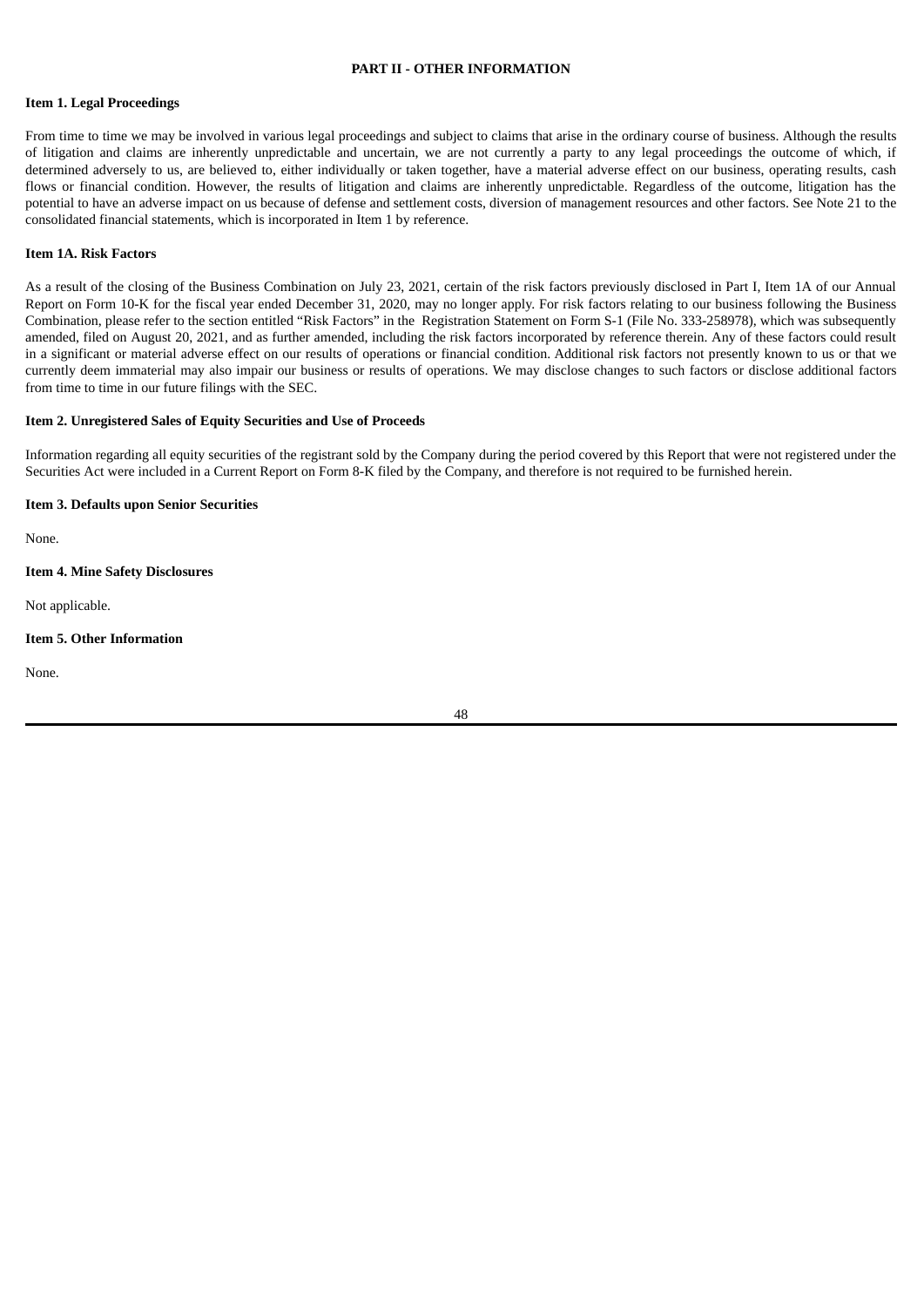#### **PART II - OTHER INFORMATION**

#### <span id="page-50-1"></span><span id="page-50-0"></span>**Item 1. Legal Proceedings**

From time to time we may be involved in various legal proceedings and subject to claims that arise in the ordinary course of business. Although the results of litigation and claims are inherently unpredictable and uncertain, we are not currently a party to any legal proceedings the outcome of which, if determined adversely to us, are believed to, either individually or taken together, have a material adverse effect on our business, operating results, cash flows or financial condition. However, the results of litigation and claims are inherently unpredictable. Regardless of the outcome, litigation has the potential to have an adverse impact on us because of defense and settlement costs, diversion of management resources and other factors. See Note 21 to the consolidated financial statements, which is incorporated in Item 1 by reference.

#### <span id="page-50-2"></span>**Item 1A. Risk Factors**

As a result of the closing of the Business Combination on July 23, 2021, certain of the risk factors previously disclosed in Part I, Item 1A of our Annual Report on Form 10-K for the fiscal year ended December 31, 2020, may no longer apply. For risk factors relating to our business following the Business Combination, please refer to the section entitled "Risk Factors" in the Registration Statement on Form S-1 (File No. 333-258978), which was subsequently amended, filed on August 20, 2021, and as further amended, including the risk factors incorporated by reference therein. Any of these factors could result in a significant or material adverse effect on our results of operations or financial condition. Additional risk factors not presently known to us or that we currently deem immaterial may also impair our business or results of operations. We may disclose changes to such factors or disclose additional factors from time to time in our future filings with the SEC.

#### <span id="page-50-3"></span>**Item 2. Unregistered Sales of Equity Securities and Use of Proceeds**

Information regarding all equity securities of the registrant sold by the Company during the period covered by this Report that were not registered under the Securities Act were included in a Current Report on Form 8-K filed by the Company, and therefore is not required to be furnished herein.

#### <span id="page-50-4"></span>**Item 3. Defaults upon Senior Securities**

None.

#### <span id="page-50-5"></span>**Item 4. Mine Safety Disclosures**

Not applicable.

#### <span id="page-50-6"></span>**Item 5. Other Information**

None.

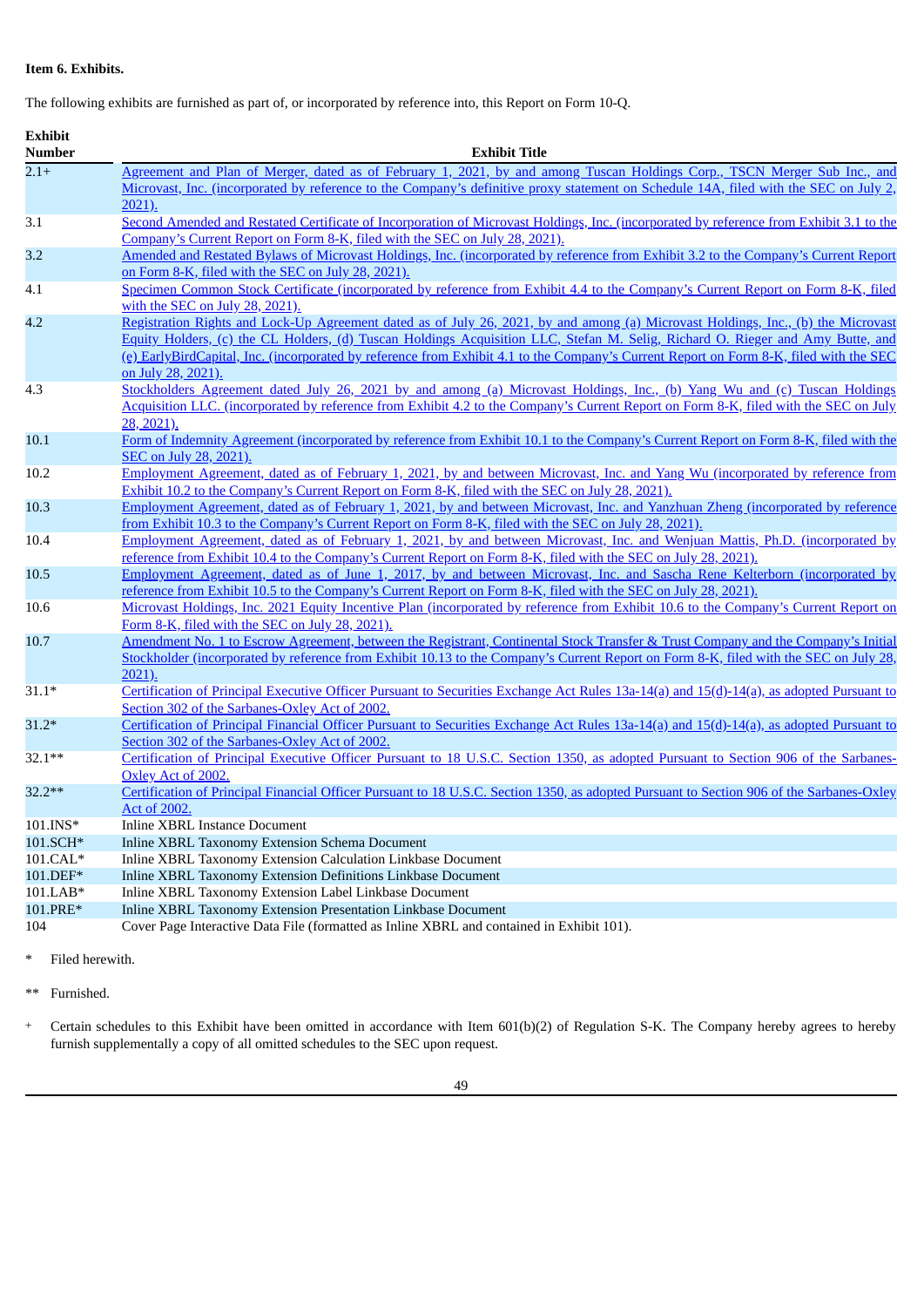### <span id="page-51-0"></span>**Item 6. Exhibits.**

The following exhibits are furnished as part of, or incorporated by reference into, this Report on Form 10-Q.

| <b>Exhibit</b><br>Number | <b>Exhibit Title</b>                                                                                                                                                                                                                                                                                                                                                                                                                |
|--------------------------|-------------------------------------------------------------------------------------------------------------------------------------------------------------------------------------------------------------------------------------------------------------------------------------------------------------------------------------------------------------------------------------------------------------------------------------|
| $2.1+$                   | Agreement and Plan of Merger, dated as of February 1, 2021, by and among Tuscan Holdings Corp., TSCN Merger Sub Inc., and                                                                                                                                                                                                                                                                                                           |
|                          | Microvast, Inc. (incorporated by reference to the Company's definitive proxy statement on Schedule 14A, filed with the SEC on July 2,<br>2021).                                                                                                                                                                                                                                                                                     |
| 3.1                      | Second Amended and Restated Certificate of Incorporation of Microvast Holdings, Inc. (incorporated by reference from Exhibit 3.1 to the<br>Company's Current Report on Form 8-K, filed with the SEC on July 28, 2021).                                                                                                                                                                                                              |
| 3.2                      | Amended and Restated Bylaws of Microvast Holdings, Inc. (incorporated by reference from Exhibit 3.2 to the Company's Current Report<br>on Form 8-K, filed with the SEC on July 28, 2021).                                                                                                                                                                                                                                           |
| 4.1                      | Specimen Common Stock Certificate (incorporated by reference from Exhibit 4.4 to the Company's Current Report on Form 8-K, filed<br>with the SEC on July 28, 2021).                                                                                                                                                                                                                                                                 |
| 4.2                      | Registration Rights and Lock-Up Agreement dated as of July 26, 2021, by and among (a) Microvast Holdings, Inc., (b) the Microvast<br>Equity Holders, (c) the CL Holders, (d) Tuscan Holdings Acquisition LLC, Stefan M. Selig, Richard O. Rieger and Amy Butte, and<br>(e) EarlyBirdCapital, Inc. (incorporated by reference from Exhibit 4.1 to the Company's Current Report on Form 8-K, filed with the SEC<br>on July 28, 2021). |
| 4.3                      | Stockholders Agreement dated July 26, 2021 by and among (a) Microvast Holdings, Inc., (b) Yang Wu and (c) Tuscan Holdings<br>Acquisition LLC. (incorporated by reference from Exhibit 4.2 to the Company's Current Report on Form 8-K, filed with the SEC on July<br>28, 2021).                                                                                                                                                     |
| 10.1                     | Form of Indemnity Agreement (incorporated by reference from Exhibit 10.1 to the Company's Current Report on Form 8-K, filed with the<br>SEC on July 28, 2021).                                                                                                                                                                                                                                                                      |
| 10.2                     | Employment Agreement, dated as of February 1, 2021, by and between Microvast, Inc. and Yang Wu (incorporated by reference from<br>Exhibit 10.2 to the Company's Current Report on Form 8-K, filed with the SEC on July 28, 2021).                                                                                                                                                                                                   |
| 10.3                     | Employment Agreement, dated as of February 1, 2021, by and between Microvast, Inc. and Yanzhuan Zheng (incorporated by reference<br>from Exhibit 10.3 to the Company's Current Report on Form 8-K, filed with the SEC on July 28, 2021).                                                                                                                                                                                            |
| 10.4                     | Employment Agreement, dated as of February 1, 2021, by and between Microvast, Inc. and Wenjuan Mattis, Ph.D. (incorporated by<br>reference from Exhibit 10.4 to the Company's Current Report on Form 8-K, filed with the SEC on July 28, 2021).                                                                                                                                                                                     |
| 10.5                     | Employment Agreement, dated as of June 1, 2017, by and between Microvast, Inc. and Sascha Rene Kelterborn (incorporated by<br>reference from Exhibit 10.5 to the Company's Current Report on Form 8-K, filed with the SEC on July 28, 2021).                                                                                                                                                                                        |
| 10.6                     | Microvast Holdings, Inc. 2021 Equity Incentive Plan (incorporated by reference from Exhibit 10.6 to the Company's Current Report on<br>Form 8-K, filed with the SEC on July 28, 2021).                                                                                                                                                                                                                                              |
| 10.7                     | <u>Amendment No. 1 to Escrow Agreement, between the Registrant, Continental Stock Transfer &amp; Trust Company and the Company's Initial</u><br>Stockholder (incorporated by reference from Exhibit 10.13 to the Company's Current Report on Form 8-K, filed with the SEC on July 28,<br>2021).                                                                                                                                     |
| $31.1*$                  | Certification of Principal Executive Officer Pursuant to Securities Exchange Act Rules 13a-14(a) and 15(d)-14(a), as adopted Pursuant to<br>Section 302 of the Sarbanes-Oxley Act of 2002.                                                                                                                                                                                                                                          |
| $31.2*$                  | Certification of Principal Financial Officer Pursuant to Securities Exchange Act Rules 13a-14(a) and 15(d)-14(a), as adopted Pursuant to<br>Section 302 of the Sarbanes-Oxley Act of 2002.                                                                                                                                                                                                                                          |
| $32.1**$                 | Certification of Principal Executive Officer Pursuant to 18 U.S.C. Section 1350, as adopted Pursuant to Section 906 of the Sarbanes-<br>Oxley Act of 2002.                                                                                                                                                                                                                                                                          |
| $32.2**$                 | Certification of Principal Financial Officer Pursuant to 18 U.S.C. Section 1350, as adopted Pursuant to Section 906 of the Sarbanes-Oxley<br><b>Act of 2002.</b>                                                                                                                                                                                                                                                                    |
| $101.INS*$               | <b>Inline XBRL Instance Document</b>                                                                                                                                                                                                                                                                                                                                                                                                |
| 101.SCH*                 | <b>Inline XBRL Taxonomy Extension Schema Document</b>                                                                                                                                                                                                                                                                                                                                                                               |
| 101.CAL*                 | Inline XBRL Taxonomy Extension Calculation Linkbase Document                                                                                                                                                                                                                                                                                                                                                                        |
| 101.DEF*                 | Inline XBRL Taxonomy Extension Definitions Linkbase Document                                                                                                                                                                                                                                                                                                                                                                        |
| 101.LAB*                 | Inline XBRL Taxonomy Extension Label Linkbase Document                                                                                                                                                                                                                                                                                                                                                                              |
| 101.PRE*                 | Inline XBRL Taxonomy Extension Presentation Linkbase Document                                                                                                                                                                                                                                                                                                                                                                       |
| 104                      | Cover Page Interactive Data File (formatted as Inline XBRL and contained in Exhibit 101).                                                                                                                                                                                                                                                                                                                                           |

Filed herewith.

\*\* Furnished.

+ Certain schedules to this Exhibit have been omitted in accordance with Item 601(b)(2) of Regulation S-K. The Company hereby agrees to hereby furnish supplementally a copy of all omitted schedules to the SEC upon request.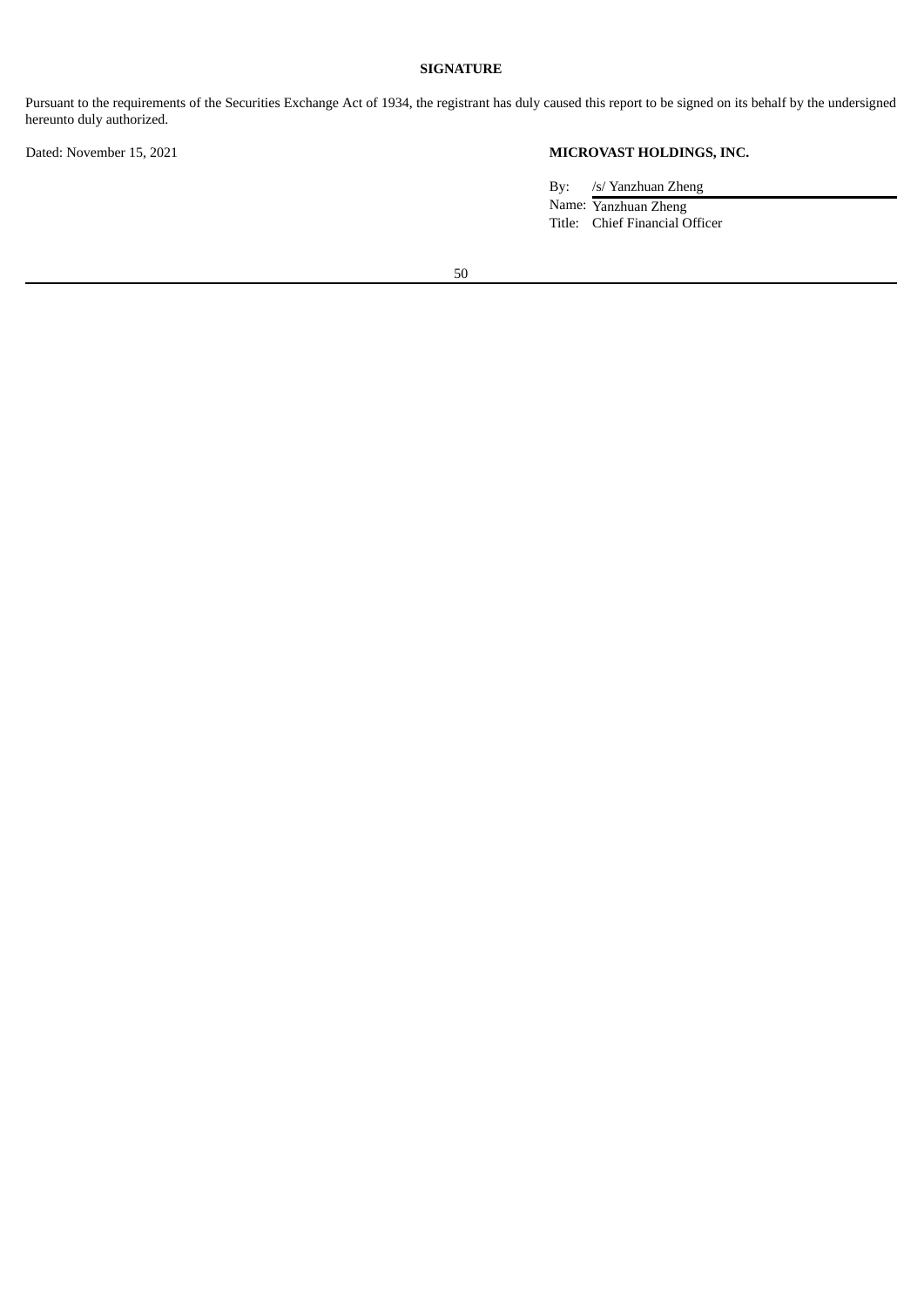### **SIGNATURE**

Pursuant to the requirements of the Securities Exchange Act of 1934, the registrant has duly caused this report to be signed on its behalf by the undersigned hereunto duly authorized.

### Dated: November 15, 2021 **MICROVAST HOLDINGS, INC.**

By: /s/ Yanzhuan Zheng Name: Yanzhuan Zheng Title: Chief Financial Officer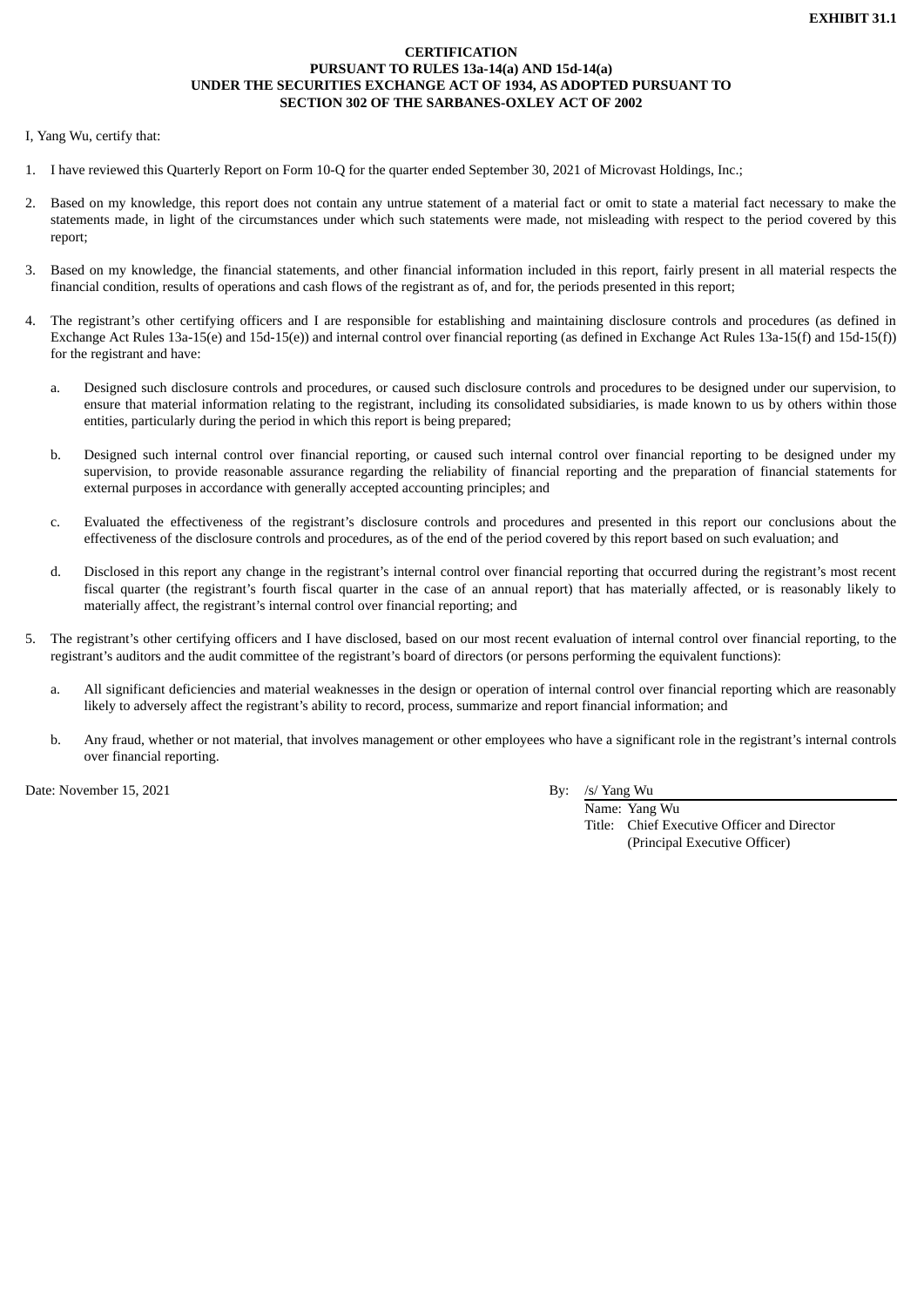### **CERTIFICATION PURSUANT TO RULES 13a-14(a) AND 15d-14(a) UNDER THE SECURITIES EXCHANGE ACT OF 1934, AS ADOPTED PURSUANT TO SECTION 302 OF THE SARBANES-OXLEY ACT OF 2002**

<span id="page-53-0"></span>I, Yang Wu, certify that:

- 1. I have reviewed this Quarterly Report on Form 10-Q for the quarter ended September 30, 2021 of Microvast Holdings, Inc.;
- 2. Based on my knowledge, this report does not contain any untrue statement of a material fact or omit to state a material fact necessary to make the statements made, in light of the circumstances under which such statements were made, not misleading with respect to the period covered by this report;
- 3. Based on my knowledge, the financial statements, and other financial information included in this report, fairly present in all material respects the financial condition, results of operations and cash flows of the registrant as of, and for, the periods presented in this report;
- 4. The registrant's other certifying officers and I are responsible for establishing and maintaining disclosure controls and procedures (as defined in Exchange Act Rules 13a-15(e) and 15d-15(e)) and internal control over financial reporting (as defined in Exchange Act Rules 13a-15(f) and 15d-15(f)) for the registrant and have:
	- a. Designed such disclosure controls and procedures, or caused such disclosure controls and procedures to be designed under our supervision, to ensure that material information relating to the registrant, including its consolidated subsidiaries, is made known to us by others within those entities, particularly during the period in which this report is being prepared;
	- b. Designed such internal control over financial reporting, or caused such internal control over financial reporting to be designed under my supervision, to provide reasonable assurance regarding the reliability of financial reporting and the preparation of financial statements for external purposes in accordance with generally accepted accounting principles; and
	- c. Evaluated the effectiveness of the registrant's disclosure controls and procedures and presented in this report our conclusions about the effectiveness of the disclosure controls and procedures, as of the end of the period covered by this report based on such evaluation; and
	- d. Disclosed in this report any change in the registrant's internal control over financial reporting that occurred during the registrant's most recent fiscal quarter (the registrant's fourth fiscal quarter in the case of an annual report) that has materially affected, or is reasonably likely to materially affect, the registrant's internal control over financial reporting; and
- 5. The registrant's other certifying officers and I have disclosed, based on our most recent evaluation of internal control over financial reporting, to the registrant's auditors and the audit committee of the registrant's board of directors (or persons performing the equivalent functions):
	- a. All significant deficiencies and material weaknesses in the design or operation of internal control over financial reporting which are reasonably likely to adversely affect the registrant's ability to record, process, summarize and report financial information; and
	- b. Any fraud, whether or not material, that involves management or other employees who have a significant role in the registrant's internal controls over financial reporting.

Date: November 15, 2021 By: /s/ Yang Wu

Name: Yang Wu Title: Chief Executive Officer and Director (Principal Executive Officer)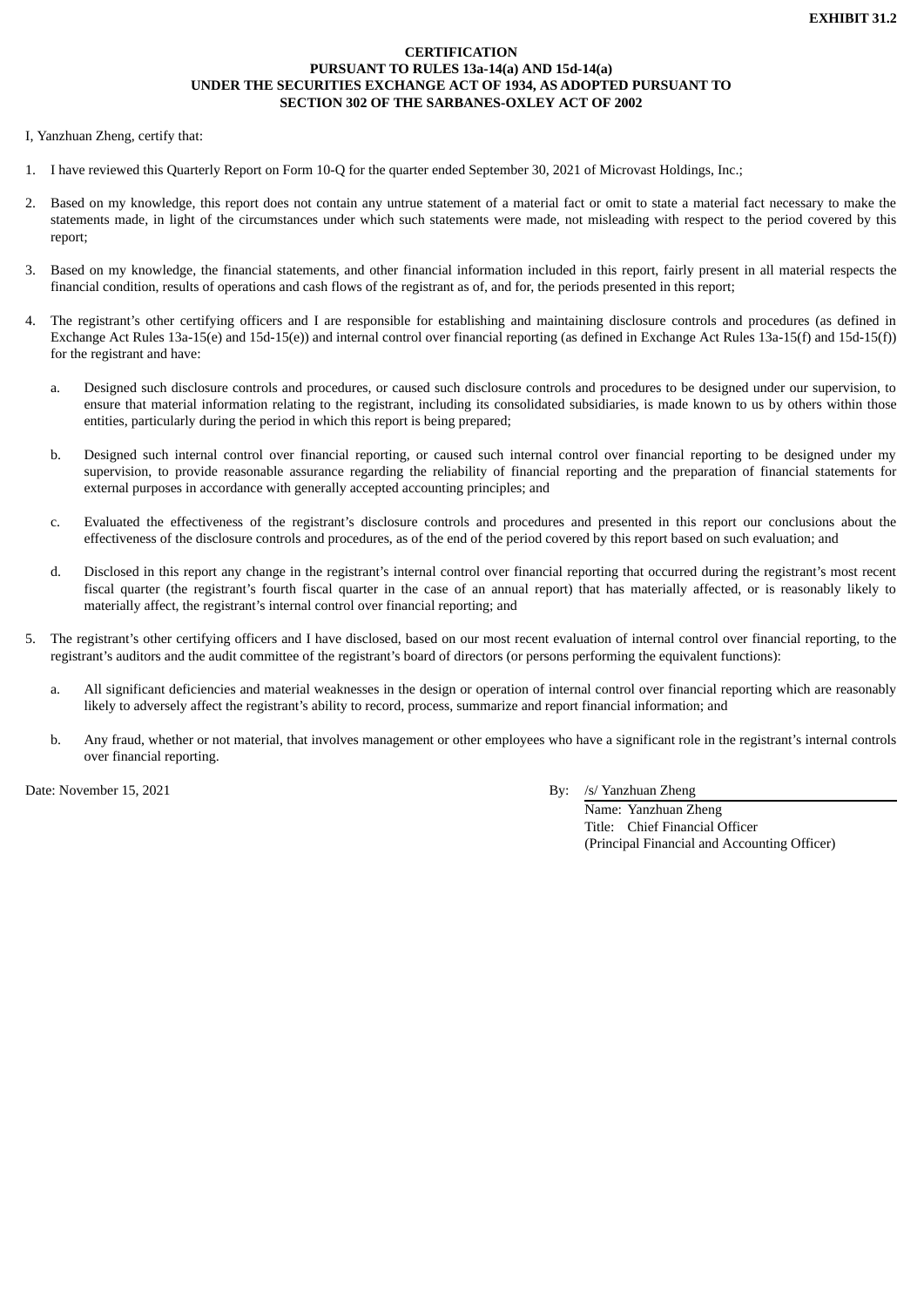### **CERTIFICATION PURSUANT TO RULES 13a-14(a) AND 15d-14(a) UNDER THE SECURITIES EXCHANGE ACT OF 1934, AS ADOPTED PURSUANT TO SECTION 302 OF THE SARBANES-OXLEY ACT OF 2002**

<span id="page-54-0"></span>I, Yanzhuan Zheng, certify that:

- 1. I have reviewed this Quarterly Report on Form 10-Q for the quarter ended September 30, 2021 of Microvast Holdings, Inc.;
- 2. Based on my knowledge, this report does not contain any untrue statement of a material fact or omit to state a material fact necessary to make the statements made, in light of the circumstances under which such statements were made, not misleading with respect to the period covered by this report;
- 3. Based on my knowledge, the financial statements, and other financial information included in this report, fairly present in all material respects the financial condition, results of operations and cash flows of the registrant as of, and for, the periods presented in this report;
- 4. The registrant's other certifying officers and I are responsible for establishing and maintaining disclosure controls and procedures (as defined in Exchange Act Rules 13a-15(e) and 15d-15(e)) and internal control over financial reporting (as defined in Exchange Act Rules 13a-15(f) and 15d-15(f)) for the registrant and have:
	- a. Designed such disclosure controls and procedures, or caused such disclosure controls and procedures to be designed under our supervision, to ensure that material information relating to the registrant, including its consolidated subsidiaries, is made known to us by others within those entities, particularly during the period in which this report is being prepared;
	- b. Designed such internal control over financial reporting, or caused such internal control over financial reporting to be designed under my supervision, to provide reasonable assurance regarding the reliability of financial reporting and the preparation of financial statements for external purposes in accordance with generally accepted accounting principles; and
	- c. Evaluated the effectiveness of the registrant's disclosure controls and procedures and presented in this report our conclusions about the effectiveness of the disclosure controls and procedures, as of the end of the period covered by this report based on such evaluation; and
	- d. Disclosed in this report any change in the registrant's internal control over financial reporting that occurred during the registrant's most recent fiscal quarter (the registrant's fourth fiscal quarter in the case of an annual report) that has materially affected, or is reasonably likely to materially affect, the registrant's internal control over financial reporting; and
- 5. The registrant's other certifying officers and I have disclosed, based on our most recent evaluation of internal control over financial reporting, to the registrant's auditors and the audit committee of the registrant's board of directors (or persons performing the equivalent functions):
	- a. All significant deficiencies and material weaknesses in the design or operation of internal control over financial reporting which are reasonably likely to adversely affect the registrant's ability to record, process, summarize and report financial information; and
	- b. Any fraud, whether or not material, that involves management or other employees who have a significant role in the registrant's internal controls over financial reporting.

Date: November 15, 2021 By: /s/ Yanzhuan Zheng

Name: Yanzhuan Zheng Title: Chief Financial Officer (Principal Financial and Accounting Officer)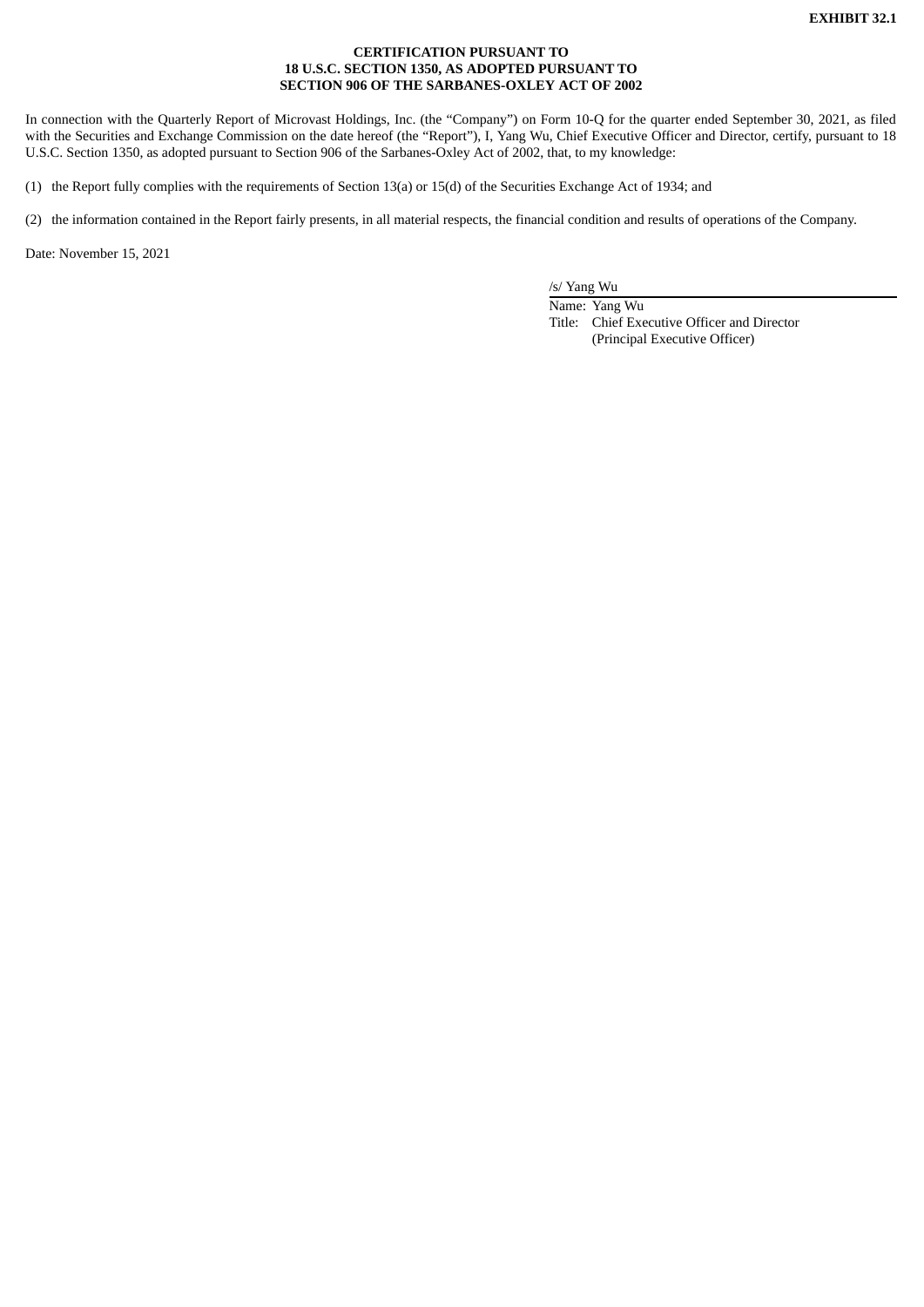#### **CERTIFICATION PURSUANT TO 18 U.S.C. SECTION 1350, AS ADOPTED PURSUANT TO SECTION 906 OF THE SARBANES-OXLEY ACT OF 2002**

<span id="page-55-0"></span>In connection with the Quarterly Report of Microvast Holdings, Inc. (the "Company") on Form 10-Q for the quarter ended September 30, 2021, as filed with the Securities and Exchange Commission on the date hereof (the "Report"), I, Yang Wu, Chief Executive Officer and Director, certify, pursuant to 18 U.S.C. Section 1350, as adopted pursuant to Section 906 of the Sarbanes-Oxley Act of 2002, that, to my knowledge:

(1) the Report fully complies with the requirements of Section 13(a) or 15(d) of the Securities Exchange Act of 1934; and

(2) the information contained in the Report fairly presents, in all material respects, the financial condition and results of operations of the Company.

Date: November 15, 2021

/s/ Yang Wu

Name: Yang Wu Title: Chief Executive Officer and Director (Principal Executive Officer)